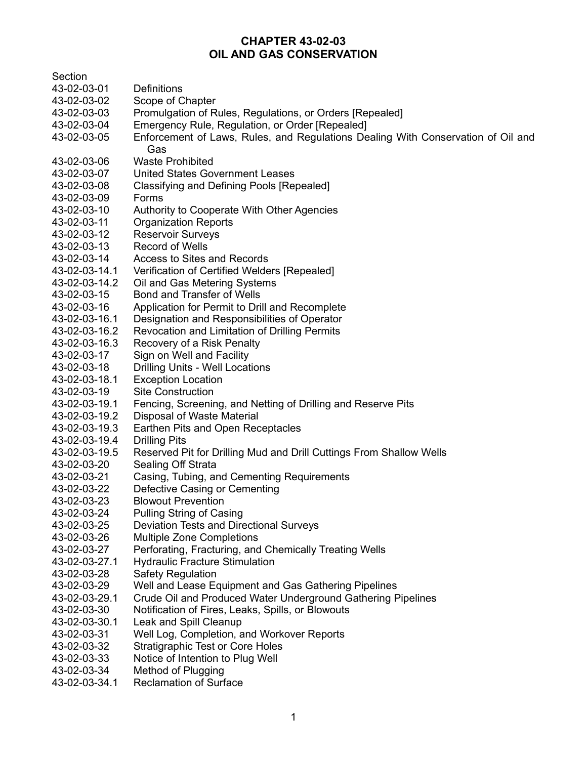# **CHAPTER 43-02-03 OIL AND GAS CONSERVATION**

| Section       |                                                                                         |
|---------------|-----------------------------------------------------------------------------------------|
| 43-02-03-01   | <b>Definitions</b>                                                                      |
| 43-02-03-02   | Scope of Chapter                                                                        |
| 43-02-03-03   | Promulgation of Rules, Regulations, or Orders [Repealed]                                |
| 43-02-03-04   | Emergency Rule, Regulation, or Order [Repealed]                                         |
| 43-02-03-05   | Enforcement of Laws, Rules, and Regulations Dealing With Conservation of Oil and<br>Gas |
| 43-02-03-06   | <b>Waste Prohibited</b>                                                                 |
| 43-02-03-07   | <b>United States Government Leases</b>                                                  |
| 43-02-03-08   | Classifying and Defining Pools [Repealed]                                               |
| 43-02-03-09   | Forms                                                                                   |
| 43-02-03-10   | Authority to Cooperate With Other Agencies                                              |
| 43-02-03-11   | <b>Organization Reports</b>                                                             |
| 43-02-03-12   | <b>Reservoir Surveys</b>                                                                |
| 43-02-03-13   | <b>Record of Wells</b>                                                                  |
| 43-02-03-14   | Access to Sites and Records                                                             |
| 43-02-03-14.1 | Verification of Certified Welders [Repealed]                                            |
| 43-02-03-14.2 | Oil and Gas Metering Systems                                                            |
| 43-02-03-15   | <b>Bond and Transfer of Wells</b>                                                       |
| 43-02-03-16   | Application for Permit to Drill and Recomplete                                          |
| 43-02-03-16.1 | Designation and Responsibilities of Operator                                            |
| 43-02-03-16.2 | Revocation and Limitation of Drilling Permits                                           |
| 43-02-03-16.3 | Recovery of a Risk Penalty                                                              |
| 43-02-03-17   | Sign on Well and Facility                                                               |
| 43-02-03-18   | Drilling Units - Well Locations                                                         |
| 43-02-03-18.1 | <b>Exception Location</b>                                                               |
| 43-02-03-19   | <b>Site Construction</b>                                                                |
| 43-02-03-19.1 | Fencing, Screening, and Netting of Drilling and Reserve Pits                            |
| 43-02-03-19.2 | Disposal of Waste Material                                                              |
| 43-02-03-19.3 | Earthen Pits and Open Receptacles                                                       |
| 43-02-03-19.4 | <b>Drilling Pits</b>                                                                    |
| 43-02-03-19.5 | Reserved Pit for Drilling Mud and Drill Cuttings From Shallow Wells                     |
| 43-02-03-20   | Sealing Off Strata                                                                      |
| 43-02-03-21   | Casing, Tubing, and Cementing Requirements                                              |
| 43-02-03-22   | Defective Casing or Cementing                                                           |
| 43-02-03-23   | <b>Blowout Prevention</b>                                                               |
| 43-02-03-24   | Pulling String of Casing                                                                |
| 43-02-03-25   | Deviation Tests and Directional Surveys                                                 |
| 43-02-03-26   | <b>Multiple Zone Completions</b>                                                        |
| 43-02-03-27   | Perforating, Fracturing, and Chemically Treating Wells                                  |
| 43-02-03-27.1 | <b>Hydraulic Fracture Stimulation</b>                                                   |
| 43-02-03-28   | <b>Safety Regulation</b>                                                                |
| 43-02-03-29   | Well and Lease Equipment and Gas Gathering Pipelines                                    |
| 43-02-03-29.1 | Crude Oil and Produced Water Underground Gathering Pipelines                            |
| 43-02-03-30   | Notification of Fires, Leaks, Spills, or Blowouts                                       |
| 43-02-03-30.1 | Leak and Spill Cleanup                                                                  |
| 43-02-03-31   | Well Log, Completion, and Workover Reports                                              |
| 43-02-03-32   | <b>Stratigraphic Test or Core Holes</b>                                                 |
| 43-02-03-33   | Notice of Intention to Plug Well                                                        |
| 43-02-03-34   | Method of Plugging                                                                      |

- 43-02-03-34 Method of Plugging
- 43-02-03-34.1 Reclamation of Surface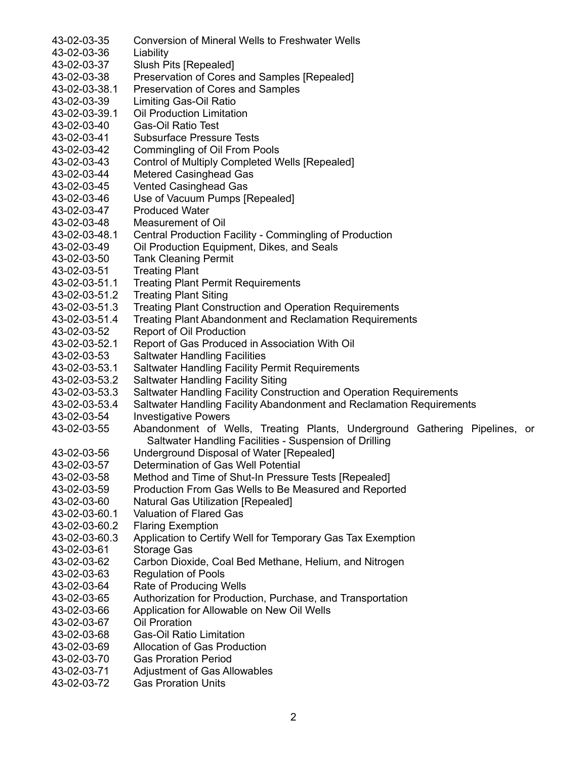| 43-02-03-35   | <b>Conversion of Mineral Wells to Freshwater Wells</b>                     |
|---------------|----------------------------------------------------------------------------|
| 43-02-03-36   | Liability                                                                  |
| 43-02-03-37   | Slush Pits [Repealed]                                                      |
| 43-02-03-38   | Preservation of Cores and Samples [Repealed]                               |
| 43-02-03-38.1 | Preservation of Cores and Samples                                          |
| 43-02-03-39   | Limiting Gas-Oil Ratio                                                     |
| 43-02-03-39.1 | <b>Oil Production Limitation</b>                                           |
| 43-02-03-40   | Gas-Oil Ratio Test                                                         |
| 43-02-03-41   | <b>Subsurface Pressure Tests</b>                                           |
| 43-02-03-42   | Commingling of Oil From Pools                                              |
| 43-02-03-43   | Control of Multiply Completed Wells [Repealed]                             |
| 43-02-03-44   | <b>Metered Casinghead Gas</b>                                              |
| 43-02-03-45   | <b>Vented Casinghead Gas</b>                                               |
| 43-02-03-46   | Use of Vacuum Pumps [Repealed]                                             |
| 43-02-03-47   | <b>Produced Water</b>                                                      |
| 43-02-03-48   | Measurement of Oil                                                         |
| 43-02-03-48.1 | Central Production Facility - Commingling of Production                    |
| 43-02-03-49   | Oil Production Equipment, Dikes, and Seals                                 |
| 43-02-03-50   | <b>Tank Cleaning Permit</b>                                                |
| 43-02-03-51   | <b>Treating Plant</b>                                                      |
| 43-02-03-51.1 | <b>Treating Plant Permit Requirements</b>                                  |
| 43-02-03-51.2 | <b>Treating Plant Siting</b>                                               |
| 43-02-03-51.3 | <b>Treating Plant Construction and Operation Requirements</b>              |
| 43-02-03-51.4 | <b>Treating Plant Abandonment and Reclamation Requirements</b>             |
| 43-02-03-52   | Report of Oil Production                                                   |
| 43-02-03-52.1 | Report of Gas Produced in Association With Oil                             |
| 43-02-03-53   | <b>Saltwater Handling Facilities</b>                                       |
| 43-02-03-53.1 | <b>Saltwater Handling Facility Permit Requirements</b>                     |
| 43-02-03-53.2 | <b>Saltwater Handling Facility Siting</b>                                  |
| 43-02-03-53.3 | Saltwater Handling Facility Construction and Operation Requirements        |
| 43-02-03-53.4 | Saltwater Handling Facility Abandonment and Reclamation Requirements       |
| 43-02-03-54   | <b>Investigative Powers</b>                                                |
| 43-02-03-55   | Abandonment of Wells, Treating Plants, Underground Gathering Pipelines, or |
|               | Saltwater Handling Facilities - Suspension of Drilling                     |
| 43-02-03-56   | Underground Disposal of Water [Repealed]                                   |
| 43-02-03-57   | Determination of Gas Well Potential                                        |
| 43-02-03-58   | Method and Time of Shut-In Pressure Tests [Repealed]                       |
| 43-02-03-59   | Production From Gas Wells to Be Measured and Reported                      |
| 43-02-03-60   | <b>Natural Gas Utilization [Repealed]</b>                                  |
| 43-02-03-60.1 | <b>Valuation of Flared Gas</b>                                             |
| 43-02-03-60.2 | <b>Flaring Exemption</b>                                                   |
| 43-02-03-60.3 | Application to Certify Well for Temporary Gas Tax Exemption                |
| 43-02-03-61   | Storage Gas                                                                |
| 43-02-03-62   | Carbon Dioxide, Coal Bed Methane, Helium, and Nitrogen                     |
| 43-02-03-63   | <b>Regulation of Pools</b>                                                 |
| 43-02-03-64   | Rate of Producing Wells                                                    |
| 43-02-03-65   | Authorization for Production, Purchase, and Transportation                 |
| 43-02-03-66   | Application for Allowable on New Oil Wells                                 |
| 43-02-03-67   | Oil Proration                                                              |
| 43-02-03-68   | <b>Gas-Oil Ratio Limitation</b>                                            |
| 43-02-03-69   | Allocation of Gas Production                                               |
| 43-02-03-70   | <b>Gas Proration Period</b>                                                |
| 43-02-03-71   | <b>Adjustment of Gas Allowables</b>                                        |
| 43-02-03-72   | <b>Gas Proration Units</b>                                                 |
|               |                                                                            |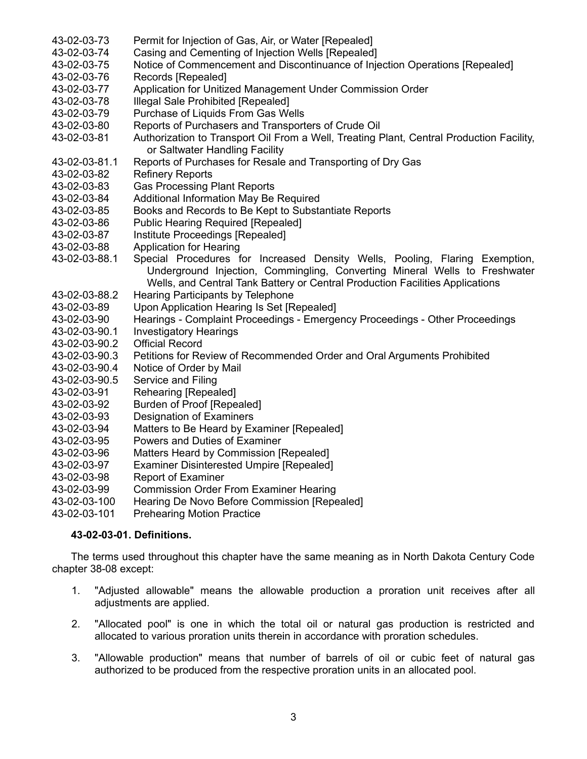- 43-02-03-73 Permit for Injection of Gas, Air, or Water [Repealed]
- 43-02-03-74 Casing and Cementing of Injection Wells [Repealed]
- 43-02-03-75 Notice of Commencement and Discontinuance of Injection Operations [Repealed]
- 43-02-03-76 Records [Repealed]
- 43-02-03-77 Application for Unitized Management Under Commission Order
- 43-02-03-78 Illegal Sale Prohibited [Repealed]
- 43-02-03-79 Purchase of Liquids From Gas Wells
- 43-02-03-80 Reports of Purchasers and Transporters of Crude Oil
- 43-02-03-81 Authorization to Transport Oil From a Well, Treating Plant, Central Production Facility, or Saltwater Handling Facility
- 43-02-03-81.1 Reports of Purchases for Resale and Transporting of Dry Gas
- 43-02-03-82 Refinery Reports
- 43-02-03-83 Gas Processing Plant Reports
- 43-02-03-84 Additional Information May Be Required
- 43-02-03-85 Books and Records to Be Kept to Substantiate Reports
- 43-02-03-86 Public Hearing Required [Repealed]
- 43-02-03-87 Institute Proceedings [Repealed]
- 43-02-03-88 Application for Hearing
- 43-02-03-88.1 Special Procedures for Increased Density Wells, Pooling, Flaring Exemption, Underground Injection, Commingling, Converting Mineral Wells to Freshwater Wells, and Central Tank Battery or Central Production Facilities Applications
- 43-02-03-88.2 Hearing Participants by Telephone
- 43-02-03-89 Upon Application Hearing Is Set [Repealed]
- 43-02-03-90 Hearings Complaint Proceedings Emergency Proceedings Other Proceedings
- 43-02-03-90.1 Investigatory Hearings
- 43-02-03-90.2 Official Record
- 43-02-03-90.3 Petitions for Review of Recommended Order and Oral Arguments Prohibited
- 43-02-03-90.4 Notice of Order by Mail
- 43-02-03-90.5 Service and Filing
- 43-02-03-91 Rehearing [Repealed]
- 43-02-03-92 Burden of Proof [Repealed]
- 43-02-03-93 Designation of Examiners
- 43-02-03-94 Matters to Be Heard by Examiner [Repealed]
- 43-02-03-95 Powers and Duties of Examiner
- 43-02-03-96 Matters Heard by Commission [Repealed]
- 43-02-03-97 Examiner Disinterested Umpire [Repealed]
- 43-02-03-98 Report of Examiner
- 43-02-03-99 Commission Order From Examiner Hearing
- 43-02-03-100 Hearing De Novo Before Commission [Repealed]
- 43-02-03-101 Prehearing Motion Practice

# **43-02-03-01. Definitions.**

The terms used throughout this chapter have the same meaning as in North Dakota Century Code chapter 38-08 except:

- 1. "Adjusted allowable" means the allowable production a proration unit receives after all adjustments are applied.
- 2. "Allocated pool" is one in which the total oil or natural gas production is restricted and allocated to various proration units therein in accordance with proration schedules.
- 3. "Allowable production" means that number of barrels of oil or cubic feet of natural gas authorized to be produced from the respective proration units in an allocated pool.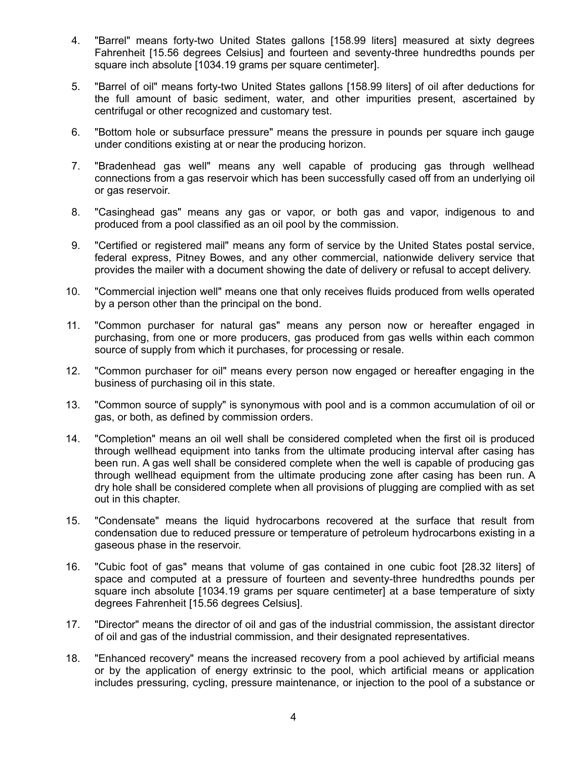- 4. "Barrel" means forty-two United States gallons [158.99 liters] measured at sixty degrees Fahrenheit [15.56 degrees Celsius] and fourteen and seventy-three hundredths pounds per square inch absolute [1034.19 grams per square centimeter].
- 5. "Barrel of oil" means forty-two United States gallons [158.99 liters] of oil after deductions for the full amount of basic sediment, water, and other impurities present, ascertained by centrifugal or other recognized and customary test.
- 6. "Bottom hole or subsurface pressure" means the pressure in pounds per square inch gauge under conditions existing at or near the producing horizon.
- 7. "Bradenhead gas well" means any well capable of producing gas through wellhead connections from a gas reservoir which has been successfully cased off from an underlying oil or gas reservoir.
- 8. "Casinghead gas" means any gas or vapor, or both gas and vapor, indigenous to and produced from a pool classified as an oil pool by the commission.
- 9. "Certified or registered mail" means any form of service by the United States postal service, federal express, Pitney Bowes, and any other commercial, nationwide delivery service that provides the mailer with a document showing the date of delivery or refusal to accept delivery.
- 10. "Commercial injection well" means one that only receives fluids produced from wells operated by a person other than the principal on the bond.
- 11. "Common purchaser for natural gas" means any person now or hereafter engaged in purchasing, from one or more producers, gas produced from gas wells within each common source of supply from which it purchases, for processing or resale.
- 12. "Common purchaser for oil" means every person now engaged or hereafter engaging in the business of purchasing oil in this state.
- 13. "Common source of supply" is synonymous with pool and is a common accumulation of oil or gas, or both, as defined by commission orders.
- 14. "Completion" means an oil well shall be considered completed when the first oil is produced through wellhead equipment into tanks from the ultimate producing interval after casing has been run. A gas well shall be considered complete when the well is capable of producing gas through wellhead equipment from the ultimate producing zone after casing has been run. A dry hole shall be considered complete when all provisions of plugging are complied with as set out in this chapter.
- 15. "Condensate" means the liquid hydrocarbons recovered at the surface that result from condensation due to reduced pressure or temperature of petroleum hydrocarbons existing in a gaseous phase in the reservoir.
- 16. "Cubic foot of gas" means that volume of gas contained in one cubic foot [28.32 liters] of space and computed at a pressure of fourteen and seventy-three hundredths pounds per square inch absolute [1034.19 grams per square centimeter] at a base temperature of sixty degrees Fahrenheit [15.56 degrees Celsius].
- 17. "Director" means the director of oil and gas of the industrial commission, the assistant director of oil and gas of the industrial commission, and their designated representatives.
- 18. "Enhanced recovery" means the increased recovery from a pool achieved by artificial means or by the application of energy extrinsic to the pool, which artificial means or application includes pressuring, cycling, pressure maintenance, or injection to the pool of a substance or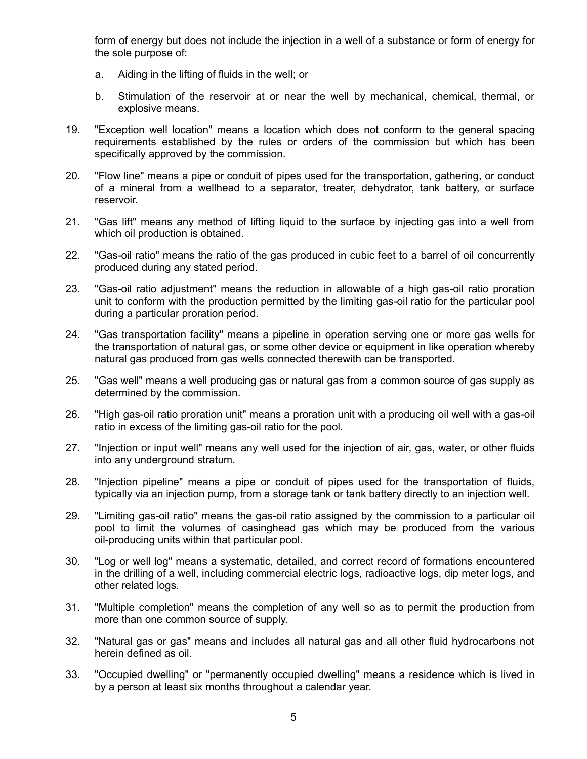form of energy but does not include the injection in a well of a substance or form of energy for the sole purpose of:

- a. Aiding in the lifting of fluids in the well; or
- b. Stimulation of the reservoir at or near the well by mechanical, chemical, thermal, or explosive means.
- 19. "Exception well location" means a location which does not conform to the general spacing requirements established by the rules or orders of the commission but which has been specifically approved by the commission.
- 20. "Flow line" means a pipe or conduit of pipes used for the transportation, gathering, or conduct of a mineral from a wellhead to a separator, treater, dehydrator, tank battery, or surface reservoir.
- 21. "Gas lift" means any method of lifting liquid to the surface by injecting gas into a well from which oil production is obtained.
- 22. "Gas-oil ratio" means the ratio of the gas produced in cubic feet to a barrel of oil concurrently produced during any stated period.
- 23. "Gas-oil ratio adjustment" means the reduction in allowable of a high gas-oil ratio proration unit to conform with the production permitted by the limiting gas-oil ratio for the particular pool during a particular proration period.
- 24. "Gas transportation facility" means a pipeline in operation serving one or more gas wells for the transportation of natural gas, or some other device or equipment in like operation whereby natural gas produced from gas wells connected therewith can be transported.
- 25. "Gas well" means a well producing gas or natural gas from a common source of gas supply as determined by the commission.
- 26. "High gas-oil ratio proration unit" means a proration unit with a producing oil well with a gas-oil ratio in excess of the limiting gas-oil ratio for the pool.
- 27. "Injection or input well" means any well used for the injection of air, gas, water, or other fluids into any underground stratum.
- 28. "Injection pipeline" means a pipe or conduit of pipes used for the transportation of fluids, typically via an injection pump, from a storage tank or tank battery directly to an injection well.
- 29. "Limiting gas-oil ratio" means the gas-oil ratio assigned by the commission to a particular oil pool to limit the volumes of casinghead gas which may be produced from the various oil-producing units within that particular pool.
- 30. "Log or well log" means a systematic, detailed, and correct record of formations encountered in the drilling of a well, including commercial electric logs, radioactive logs, dip meter logs, and other related logs.
- 31. "Multiple completion" means the completion of any well so as to permit the production from more than one common source of supply.
- 32. "Natural gas or gas" means and includes all natural gas and all other fluid hydrocarbons not herein defined as oil.
- 33. "Occupied dwelling" or "permanently occupied dwelling" means a residence which is lived in by a person at least six months throughout a calendar year.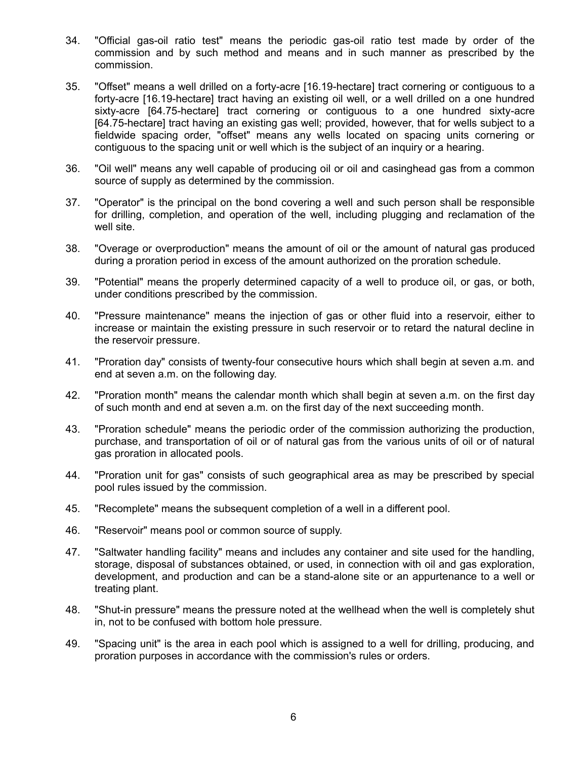- 34. "Official gas-oil ratio test" means the periodic gas-oil ratio test made by order of the commission and by such method and means and in such manner as prescribed by the commission.
- 35. "Offset" means a well drilled on a forty-acre [16.19-hectare] tract cornering or contiguous to a forty-acre [16.19-hectare] tract having an existing oil well, or a well drilled on a one hundred sixty-acre [64.75-hectare] tract cornering or contiguous to a one hundred sixty-acre [64.75-hectare] tract having an existing gas well; provided, however, that for wells subject to a fieldwide spacing order, "offset" means any wells located on spacing units cornering or contiguous to the spacing unit or well which is the subject of an inquiry or a hearing.
- 36. "Oil well" means any well capable of producing oil or oil and casinghead gas from a common source of supply as determined by the commission.
- 37. "Operator" is the principal on the bond covering a well and such person shall be responsible for drilling, completion, and operation of the well, including plugging and reclamation of the well site.
- 38. "Overage or overproduction" means the amount of oil or the amount of natural gas produced during a proration period in excess of the amount authorized on the proration schedule.
- 39. "Potential" means the properly determined capacity of a well to produce oil, or gas, or both, under conditions prescribed by the commission.
- 40. "Pressure maintenance" means the injection of gas or other fluid into a reservoir, either to increase or maintain the existing pressure in such reservoir or to retard the natural decline in the reservoir pressure.
- 41. "Proration day" consists of twenty-four consecutive hours which shall begin at seven a.m. and end at seven a.m. on the following day.
- 42. "Proration month" means the calendar month which shall begin at seven a.m. on the first day of such month and end at seven a.m. on the first day of the next succeeding month.
- 43. "Proration schedule" means the periodic order of the commission authorizing the production, purchase, and transportation of oil or of natural gas from the various units of oil or of natural gas proration in allocated pools.
- 44. "Proration unit for gas" consists of such geographical area as may be prescribed by special pool rules issued by the commission.
- 45. "Recomplete" means the subsequent completion of a well in a different pool.
- 46. "Reservoir" means pool or common source of supply.
- 47. "Saltwater handling facility" means and includes any container and site used for the handling, storage, disposal of substances obtained, or used, in connection with oil and gas exploration, development, and production and can be a stand-alone site or an appurtenance to a well or treating plant.
- 48. "Shut-in pressure" means the pressure noted at the wellhead when the well is completely shut in, not to be confused with bottom hole pressure.
- 49. "Spacing unit" is the area in each pool which is assigned to a well for drilling, producing, and proration purposes in accordance with the commission's rules or orders.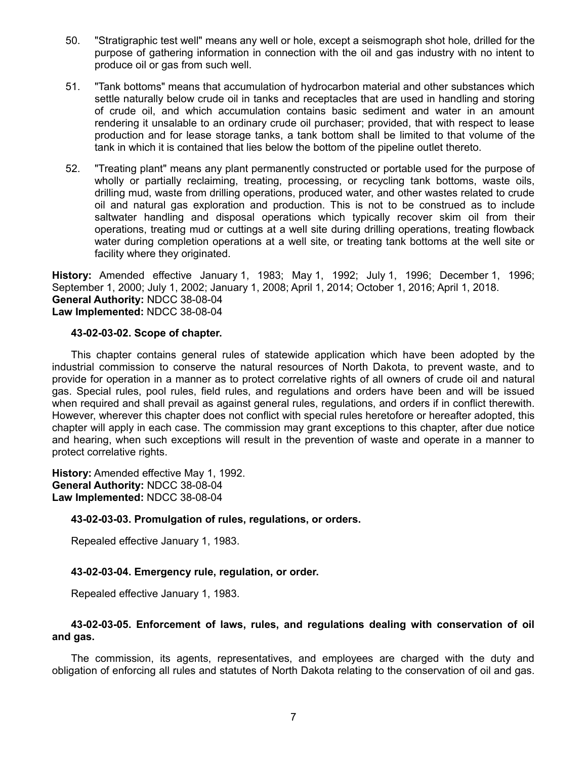- 50. "Stratigraphic test well" means any well or hole, except a seismograph shot hole, drilled for the purpose of gathering information in connection with the oil and gas industry with no intent to produce oil or gas from such well.
- 51. "Tank bottoms" means that accumulation of hydrocarbon material and other substances which settle naturally below crude oil in tanks and receptacles that are used in handling and storing of crude oil, and which accumulation contains basic sediment and water in an amount rendering it unsalable to an ordinary crude oil purchaser; provided, that with respect to lease production and for lease storage tanks, a tank bottom shall be limited to that volume of the tank in which it is contained that lies below the bottom of the pipeline outlet thereto.
- 52. "Treating plant" means any plant permanently constructed or portable used for the purpose of wholly or partially reclaiming, treating, processing, or recycling tank bottoms, waste oils, drilling mud, waste from drilling operations, produced water, and other wastes related to crude oil and natural gas exploration and production. This is not to be construed as to include saltwater handling and disposal operations which typically recover skim oil from their operations, treating mud or cuttings at a well site during drilling operations, treating flowback water during completion operations at a well site, or treating tank bottoms at the well site or facility where they originated.

**History:** Amended effective January 1, 1983; May 1, 1992; July 1, 1996; December 1, 1996; September 1, 2000; July 1, 2002; January 1, 2008; April 1, 2014; October 1, 2016; April 1, 2018. **General Authority:** NDCC 38-08-04 **Law Implemented:** NDCC 38-08-04

### **43-02-03-02. Scope of chapter.**

This chapter contains general rules of statewide application which have been adopted by the industrial commission to conserve the natural resources of North Dakota, to prevent waste, and to provide for operation in a manner as to protect correlative rights of all owners of crude oil and natural gas. Special rules, pool rules, field rules, and regulations and orders have been and will be issued when required and shall prevail as against general rules, regulations, and orders if in conflict therewith. However, wherever this chapter does not conflict with special rules heretofore or hereafter adopted, this chapter will apply in each case. The commission may grant exceptions to this chapter, after due notice and hearing, when such exceptions will result in the prevention of waste and operate in a manner to protect correlative rights.

**History:** Amended effective May 1, 1992. **General Authority:** NDCC 38-08-04 **Law Implemented:** NDCC 38-08-04

# **43-02-03-03. Promulgation of rules, regulations, or orders.**

Repealed effective January 1, 1983.

# **43-02-03-04. Emergency rule, regulation, or order.**

Repealed effective January 1, 1983.

### **43-02-03-05. Enforcement of laws, rules, and regulations dealing with conservation of oil and gas.**

The commission, its agents, representatives, and employees are charged with the duty and obligation of enforcing all rules and statutes of North Dakota relating to the conservation of oil and gas.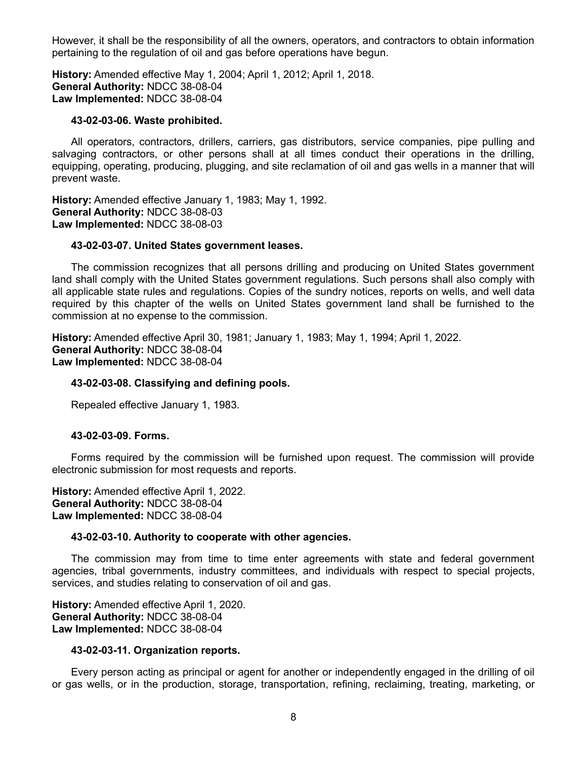However, it shall be the responsibility of all the owners, operators, and contractors to obtain information pertaining to the regulation of oil and gas before operations have begun.

**History:** Amended effective May 1, 2004; April 1, 2012; April 1, 2018. **General Authority:** NDCC 38-08-04 **Law Implemented:** NDCC 38-08-04

#### **43-02-03-06. Waste prohibited.**

All operators, contractors, drillers, carriers, gas distributors, service companies, pipe pulling and salvaging contractors, or other persons shall at all times conduct their operations in the drilling. equipping, operating, producing, plugging, and site reclamation of oil and gas wells in a manner that will prevent waste.

**History:** Amended effective January 1, 1983; May 1, 1992. **General Authority:** NDCC 38-08-03 **Law Implemented:** NDCC 38-08-03

#### **43-02-03-07. United States government leases.**

The commission recognizes that all persons drilling and producing on United States government land shall comply with the United States government regulations. Such persons shall also comply with all applicable state rules and regulations. Copies of the sundry notices, reports on wells, and well data required by this chapter of the wells on United States government land shall be furnished to the commission at no expense to the commission.

**History:** Amended effective April 30, 1981; January 1, 1983; May 1, 1994; April 1, 2022. **General Authority:** NDCC 38-08-04 **Law Implemented:** NDCC 38-08-04

#### **43-02-03-08. Classifying and defining pools.**

Repealed effective January 1, 1983.

#### **43-02-03-09. Forms.**

Forms required by the commission will be furnished upon request. The commission will provide electronic submission for most requests and reports.

**History:** Amended effective April 1, 2022. **General Authority:** NDCC 38-08-04 **Law Implemented:** NDCC 38-08-04

#### **43-02-03-10. Authority to cooperate with other agencies.**

The commission may from time to time enter agreements with state and federal government agencies, tribal governments, industry committees, and individuals with respect to special projects, services, and studies relating to conservation of oil and gas.

**History:** Amended effective April 1, 2020. **General Authority:** NDCC 38-08-04 **Law Implemented:** NDCC 38-08-04

#### **43-02-03-11. Organization reports.**

Every person acting as principal or agent for another or independently engaged in the drilling of oil or gas wells, or in the production, storage, transportation, refining, reclaiming, treating, marketing, or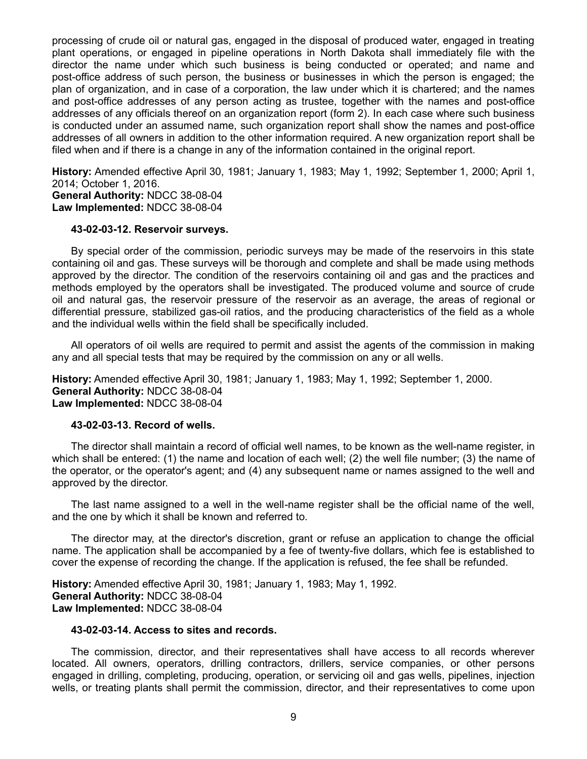processing of crude oil or natural gas, engaged in the disposal of produced water, engaged in treating plant operations, or engaged in pipeline operations in North Dakota shall immediately file with the director the name under which such business is being conducted or operated; and name and post-office address of such person, the business or businesses in which the person is engaged; the plan of organization, and in case of a corporation, the law under which it is chartered; and the names and post-office addresses of any person acting as trustee, together with the names and post-office addresses of any officials thereof on an organization report (form 2). In each case where such business is conducted under an assumed name, such organization report shall show the names and post-office addresses of all owners in addition to the other information required. A new organization report shall be filed when and if there is a change in any of the information contained in the original report.

**History:** Amended effective April 30, 1981; January 1, 1983; May 1, 1992; September 1, 2000; April 1, 2014; October 1, 2016. **General Authority:** NDCC 38-08-04

**Law Implemented:** NDCC 38-08-04

#### **43-02-03-12. Reservoir surveys.**

By special order of the commission, periodic surveys may be made of the reservoirs in this state containing oil and gas. These surveys will be thorough and complete and shall be made using methods approved by the director. The condition of the reservoirs containing oil and gas and the practices and methods employed by the operators shall be investigated. The produced volume and source of crude oil and natural gas, the reservoir pressure of the reservoir as an average, the areas of regional or differential pressure, stabilized gas-oil ratios, and the producing characteristics of the field as a whole and the individual wells within the field shall be specifically included.

All operators of oil wells are required to permit and assist the agents of the commission in making any and all special tests that may be required by the commission on any or all wells.

**History:** Amended effective April 30, 1981; January 1, 1983; May 1, 1992; September 1, 2000. **General Authority:** NDCC 38-08-04 **Law Implemented:** NDCC 38-08-04

#### **43-02-03-13. Record of wells.**

The director shall maintain a record of official well names, to be known as the well-name register, in which shall be entered: (1) the name and location of each well; (2) the well file number; (3) the name of the operator, or the operator's agent; and (4) any subsequent name or names assigned to the well and approved by the director.

The last name assigned to a well in the well-name register shall be the official name of the well, and the one by which it shall be known and referred to.

The director may, at the director's discretion, grant or refuse an application to change the official name. The application shall be accompanied by a fee of twenty-five dollars, which fee is established to cover the expense of recording the change. If the application is refused, the fee shall be refunded.

**History:** Amended effective April 30, 1981; January 1, 1983; May 1, 1992. **General Authority:** NDCC 38-08-04 **Law Implemented:** NDCC 38-08-04

### **43-02-03-14. Access to sites and records.**

The commission, director, and their representatives shall have access to all records wherever located. All owners, operators, drilling contractors, drillers, service companies, or other persons engaged in drilling, completing, producing, operation, or servicing oil and gas wells, pipelines, injection wells, or treating plants shall permit the commission, director, and their representatives to come upon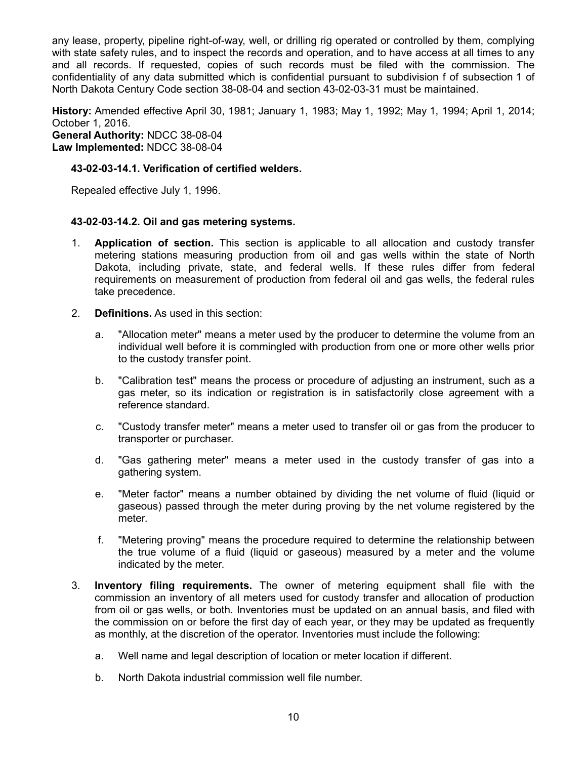any lease, property, pipeline right-of-way, well, or drilling rig operated or controlled by them, complying with state safety rules, and to inspect the records and operation, and to have access at all times to any and all records. If requested, copies of such records must be filed with the commission. The confidentiality of any data submitted which is confidential pursuant to subdivision f of subsection 1 of North Dakota Century Code section 38-08-04 and section 43-02-03-31 must be maintained.

**History:** Amended effective April 30, 1981; January 1, 1983; May 1, 1992; May 1, 1994; April 1, 2014; October 1, 2016. **General Authority:** NDCC 38-08-04 **Law Implemented:** NDCC 38-08-04

# **43-02-03-14.1. Verification of certified welders.**

Repealed effective July 1, 1996.

# **43-02-03-14.2. Oil and gas metering systems.**

- 1. **Application of section.** This section is applicable to all allocation and custody transfer metering stations measuring production from oil and gas wells within the state of North Dakota, including private, state, and federal wells. If these rules differ from federal requirements on measurement of production from federal oil and gas wells, the federal rules take precedence.
- 2. **Definitions.** As used in this section:
	- a. "Allocation meter" means a meter used by the producer to determine the volume from an individual well before it is commingled with production from one or more other wells prior to the custody transfer point.
	- b. "Calibration test" means the process or procedure of adjusting an instrument, such as a gas meter, so its indication or registration is in satisfactorily close agreement with a reference standard.
	- c. "Custody transfer meter" means a meter used to transfer oil or gas from the producer to transporter or purchaser.
	- d. "Gas gathering meter" means a meter used in the custody transfer of gas into a gathering system.
	- e. "Meter factor" means a number obtained by dividing the net volume of fluid (liquid or gaseous) passed through the meter during proving by the net volume registered by the meter.
	- f. "Metering proving" means the procedure required to determine the relationship between the true volume of a fluid (liquid or gaseous) measured by a meter and the volume indicated by the meter.
- 3. **Inventory filing requirements.** The owner of metering equipment shall file with the commission an inventory of all meters used for custody transfer and allocation of production from oil or gas wells, or both. Inventories must be updated on an annual basis, and filed with the commission on or before the first day of each year, or they may be updated as frequently as monthly, at the discretion of the operator. Inventories must include the following:
	- a. Well name and legal description of location or meter location if different.
	- b. North Dakota industrial commission well file number.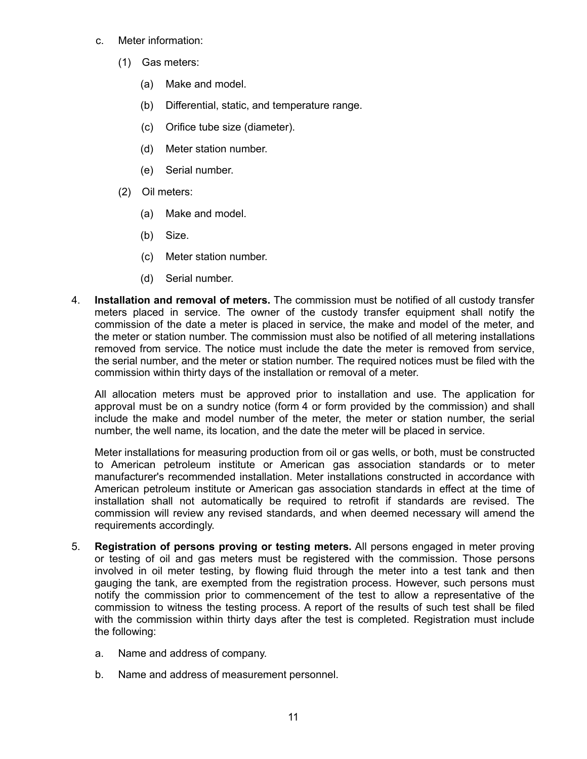- c. Meter information:
	- (1) Gas meters:
		- (a) Make and model.
		- (b) Differential, static, and temperature range.
		- (c) Orifice tube size (diameter).
		- (d) Meter station number.
		- (e) Serial number.
	- (2) Oil meters:
		- (a) Make and model.
		- (b) Size.
		- (c) Meter station number.
		- (d) Serial number.
- 4. **Installation and removal of meters.** The commission must be notified of all custody transfer meters placed in service. The owner of the custody transfer equipment shall notify the commission of the date a meter is placed in service, the make and model of the meter, and the meter or station number. The commission must also be notified of all metering installations removed from service. The notice must include the date the meter is removed from service, the serial number, and the meter or station number. The required notices must be filed with the commission within thirty days of the installation or removal of a meter.

All allocation meters must be approved prior to installation and use. The application for approval must be on a sundry notice (form 4 or form provided by the commission) and shall include the make and model number of the meter, the meter or station number, the serial number, the well name, its location, and the date the meter will be placed in service.

Meter installations for measuring production from oil or gas wells, or both, must be constructed to American petroleum institute or American gas association standards or to meter manufacturer's recommended installation. Meter installations constructed in accordance with American petroleum institute or American gas association standards in effect at the time of installation shall not automatically be required to retrofit if standards are revised. The commission will review any revised standards, and when deemed necessary will amend the requirements accordingly.

- 5. **Registration of persons proving or testing meters.** All persons engaged in meter proving or testing of oil and gas meters must be registered with the commission. Those persons involved in oil meter testing, by flowing fluid through the meter into a test tank and then gauging the tank, are exempted from the registration process. However, such persons must notify the commission prior to commencement of the test to allow a representative of the commission to witness the testing process. A report of the results of such test shall be filed with the commission within thirty days after the test is completed. Registration must include the following:
	- a. Name and address of company.
	- b. Name and address of measurement personnel.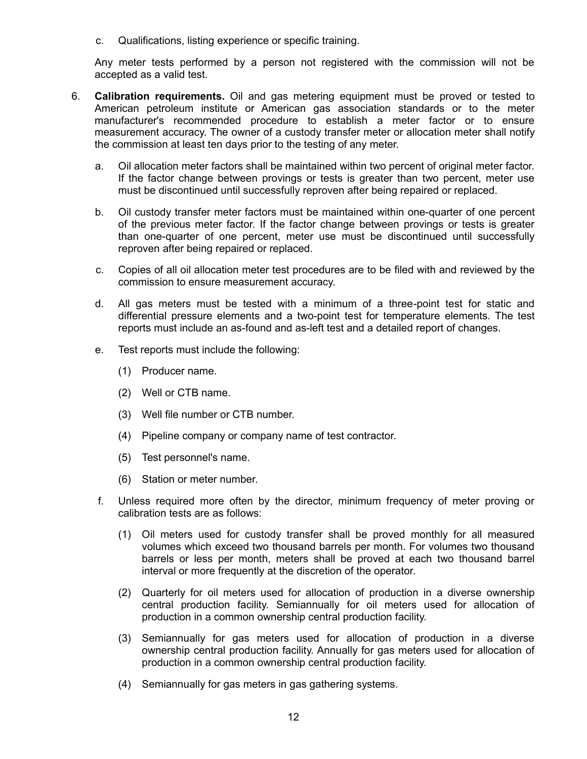c. Qualifications, listing experience or specific training.

Any meter tests performed by a person not registered with the commission will not be accepted as a valid test.

- 6. **Calibration requirements.** Oil and gas metering equipment must be proved or tested to American petroleum institute or American gas association standards or to the meter manufacturer's recommended procedure to establish a meter factor or to ensure measurement accuracy. The owner of a custody transfer meter or allocation meter shall notify the commission at least ten days prior to the testing of any meter.
	- a. Oil allocation meter factors shall be maintained within two percent of original meter factor. If the factor change between provings or tests is greater than two percent, meter use must be discontinued until successfully reproven after being repaired or replaced.
	- b. Oil custody transfer meter factors must be maintained within one-quarter of one percent of the previous meter factor. If the factor change between provings or tests is greater than one-quarter of one percent, meter use must be discontinued until successfully reproven after being repaired or replaced.
	- c. Copies of all oil allocation meter test procedures are to be filed with and reviewed by the commission to ensure measurement accuracy.
	- d. All gas meters must be tested with a minimum of a three-point test for static and differential pressure elements and a two-point test for temperature elements. The test reports must include an as-found and as-left test and a detailed report of changes.
	- e. Test reports must include the following:
		- (1) Producer name.
		- (2) Well or CTB name.
		- (3) Well file number or CTB number.
		- (4) Pipeline company or company name of test contractor.
		- (5) Test personnel's name.
		- (6) Station or meter number.
	- f. Unless required more often by the director, minimum frequency of meter proving or calibration tests are as follows:
		- (1) Oil meters used for custody transfer shall be proved monthly for all measured volumes which exceed two thousand barrels per month. For volumes two thousand barrels or less per month, meters shall be proved at each two thousand barrel interval or more frequently at the discretion of the operator.
		- (2) Quarterly for oil meters used for allocation of production in a diverse ownership central production facility. Semiannually for oil meters used for allocation of production in a common ownership central production facility.
		- (3) Semiannually for gas meters used for allocation of production in a diverse ownership central production facility. Annually for gas meters used for allocation of production in a common ownership central production facility.
		- (4) Semiannually for gas meters in gas gathering systems.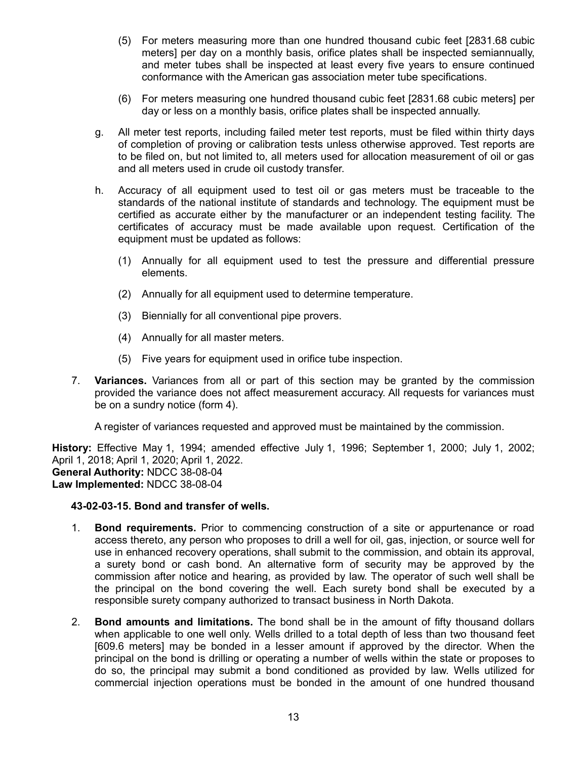- (5) For meters measuring more than one hundred thousand cubic feet [2831.68 cubic meters] per day on a monthly basis, orifice plates shall be inspected semiannually, and meter tubes shall be inspected at least every five years to ensure continued conformance with the American gas association meter tube specifications.
- (6) For meters measuring one hundred thousand cubic feet [2831.68 cubic meters] per day or less on a monthly basis, orifice plates shall be inspected annually.
- g. All meter test reports, including failed meter test reports, must be filed within thirty days of completion of proving or calibration tests unless otherwise approved. Test reports are to be filed on, but not limited to, all meters used for allocation measurement of oil or gas and all meters used in crude oil custody transfer.
- h. Accuracy of all equipment used to test oil or gas meters must be traceable to the standards of the national institute of standards and technology. The equipment must be certified as accurate either by the manufacturer or an independent testing facility. The certificates of accuracy must be made available upon request. Certification of the equipment must be updated as follows:
	- (1) Annually for all equipment used to test the pressure and differential pressure elements.
	- (2) Annually for all equipment used to determine temperature.
	- (3) Biennially for all conventional pipe provers.
	- (4) Annually for all master meters.
	- (5) Five years for equipment used in orifice tube inspection.
- 7. **Variances.** Variances from all or part of this section may be granted by the commission provided the variance does not affect measurement accuracy. All requests for variances must be on a sundry notice (form 4).

A register of variances requested and approved must be maintained by the commission.

**History:** Effective May 1, 1994; amended effective July 1, 1996; September 1, 2000; July 1, 2002; April 1, 2018; April 1, 2020; April 1, 2022. **General Authority:** NDCC 38-08-04 **Law Implemented:** NDCC 38-08-04

# **43-02-03-15. Bond and transfer of wells.**

- 1. **Bond requirements.** Prior to commencing construction of a site or appurtenance or road access thereto, any person who proposes to drill a well for oil, gas, injection, or source well for use in enhanced recovery operations, shall submit to the commission, and obtain its approval, a surety bond or cash bond. An alternative form of security may be approved by the commission after notice and hearing, as provided by law. The operator of such well shall be the principal on the bond covering the well. Each surety bond shall be executed by a responsible surety company authorized to transact business in North Dakota.
- 2. **Bond amounts and limitations.** The bond shall be in the amount of fifty thousand dollars when applicable to one well only. Wells drilled to a total depth of less than two thousand feet [609.6 meters] may be bonded in a lesser amount if approved by the director. When the principal on the bond is drilling or operating a number of wells within the state or proposes to do so, the principal may submit a bond conditioned as provided by law. Wells utilized for commercial injection operations must be bonded in the amount of one hundred thousand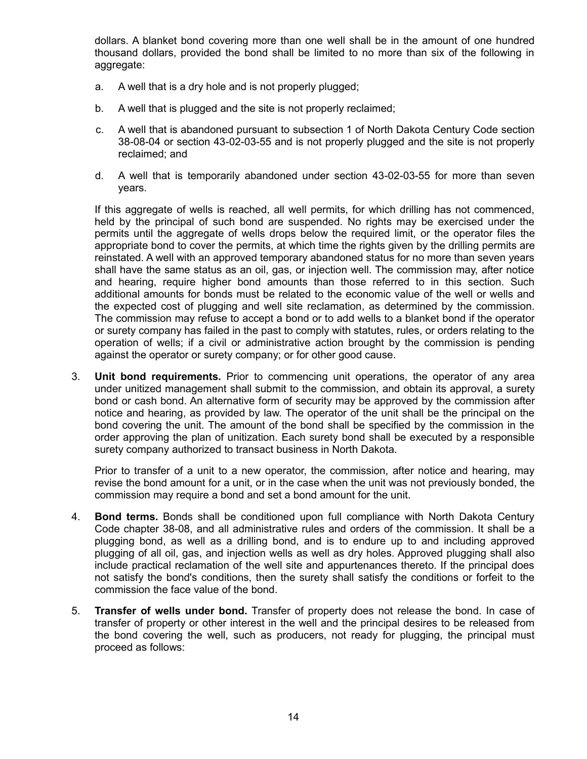dollars. A blanket bond covering more than one well shall be in the amount of one hundred thousand dollars, provided the bond shall be limited to no more than six of the following in aggregate:

- a. A well that is a dry hole and is not properly plugged;
- b. A well that is plugged and the site is not properly reclaimed;
- c. A well that is abandoned pursuant to subsection 1 of North Dakota Century Code section 38-08-04 or section 43-02-03-55 and is not properly plugged and the site is not properly reclaimed; and
- d. A well that is temporarily abandoned under section 43-02-03-55 for more than seven years.

If this aggregate of wells is reached, all well permits, for which drilling has not commenced, held by the principal of such bond are suspended. No rights may be exercised under the permits until the aggregate of wells drops below the required limit, or the operator files the appropriate bond to cover the permits, at which time the rights given by the drilling permits are reinstated. A well with an approved temporary abandoned status for no more than seven years shall have the same status as an oil, gas, or injection well. The commission may, after notice and hearing, require higher bond amounts than those referred to in this section. Such additional amounts for bonds must be related to the economic value of the well or wells and the expected cost of plugging and well site reclamation, as determined by the commission. The commission may refuse to accept a bond or to add wells to a blanket bond if the operator or surety company has failed in the past to comply with statutes, rules, or orders relating to the operation of wells; if a civil or administrative action brought by the commission is pending against the operator or surety company; or for other good cause.

3. **Unit bond requirements.** Prior to commencing unit operations, the operator of any area under unitized management shall submit to the commission, and obtain its approval, a surety bond or cash bond. An alternative form of security may be approved by the commission after notice and hearing, as provided by law. The operator of the unit shall be the principal on the bond covering the unit. The amount of the bond shall be specified by the commission in the order approving the plan of unitization. Each surety bond shall be executed by a responsible surety company authorized to transact business in North Dakota.

Prior to transfer of a unit to a new operator, the commission, after notice and hearing, may revise the bond amount for a unit, or in the case when the unit was not previously bonded, the commission may require a bond and set a bond amount for the unit.

- 4. **Bond terms.** Bonds shall be conditioned upon full compliance with North Dakota Century Code chapter 38-08, and all administrative rules and orders of the commission. It shall be a plugging bond, as well as a drilling bond, and is to endure up to and including approved plugging of all oil, gas, and injection wells as well as dry holes. Approved plugging shall also include practical reclamation of the well site and appurtenances thereto. If the principal does not satisfy the bond's conditions, then the surety shall satisfy the conditions or forfeit to the commission the face value of the bond.
- 5. **Transfer of wells under bond.** Transfer of property does not release the bond. In case of transfer of property or other interest in the well and the principal desires to be released from the bond covering the well, such as producers, not ready for plugging, the principal must proceed as follows: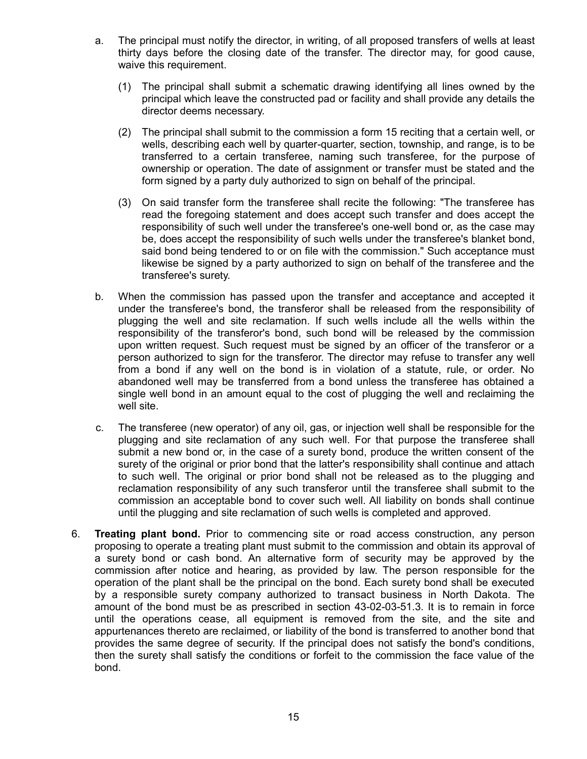- a. The principal must notify the director, in writing, of all proposed transfers of wells at least thirty days before the closing date of the transfer. The director may, for good cause, waive this requirement.
	- (1) The principal shall submit a schematic drawing identifying all lines owned by the principal which leave the constructed pad or facility and shall provide any details the director deems necessary.
	- (2) The principal shall submit to the commission a form 15 reciting that a certain well, or wells, describing each well by quarter-quarter, section, township, and range, is to be transferred to a certain transferee, naming such transferee, for the purpose of ownership or operation. The date of assignment or transfer must be stated and the form signed by a party duly authorized to sign on behalf of the principal.
	- (3) On said transfer form the transferee shall recite the following: "The transferee has read the foregoing statement and does accept such transfer and does accept the responsibility of such well under the transferee's one-well bond or, as the case may be, does accept the responsibility of such wells under the transferee's blanket bond, said bond being tendered to or on file with the commission." Such acceptance must likewise be signed by a party authorized to sign on behalf of the transferee and the transferee's surety.
- b. When the commission has passed upon the transfer and acceptance and accepted it under the transferee's bond, the transferor shall be released from the responsibility of plugging the well and site reclamation. If such wells include all the wells within the responsibility of the transferor's bond, such bond will be released by the commission upon written request. Such request must be signed by an officer of the transferor or a person authorized to sign for the transferor. The director may refuse to transfer any well from a bond if any well on the bond is in violation of a statute, rule, or order. No abandoned well may be transferred from a bond unless the transferee has obtained a single well bond in an amount equal to the cost of plugging the well and reclaiming the well site.
- c. The transferee (new operator) of any oil, gas, or injection well shall be responsible for the plugging and site reclamation of any such well. For that purpose the transferee shall submit a new bond or, in the case of a surety bond, produce the written consent of the surety of the original or prior bond that the latter's responsibility shall continue and attach to such well. The original or prior bond shall not be released as to the plugging and reclamation responsibility of any such transferor until the transferee shall submit to the commission an acceptable bond to cover such well. All liability on bonds shall continue until the plugging and site reclamation of such wells is completed and approved.
- 6. **Treating plant bond.** Prior to commencing site or road access construction, any person proposing to operate a treating plant must submit to the commission and obtain its approval of a surety bond or cash bond. An alternative form of security may be approved by the commission after notice and hearing, as provided by law. The person responsible for the operation of the plant shall be the principal on the bond. Each surety bond shall be executed by a responsible surety company authorized to transact business in North Dakota. The amount of the bond must be as prescribed in section 43-02-03-51.3. It is to remain in force until the operations cease, all equipment is removed from the site, and the site and appurtenances thereto are reclaimed, or liability of the bond is transferred to another bond that provides the same degree of security. If the principal does not satisfy the bond's conditions, then the surety shall satisfy the conditions or forfeit to the commission the face value of the bond.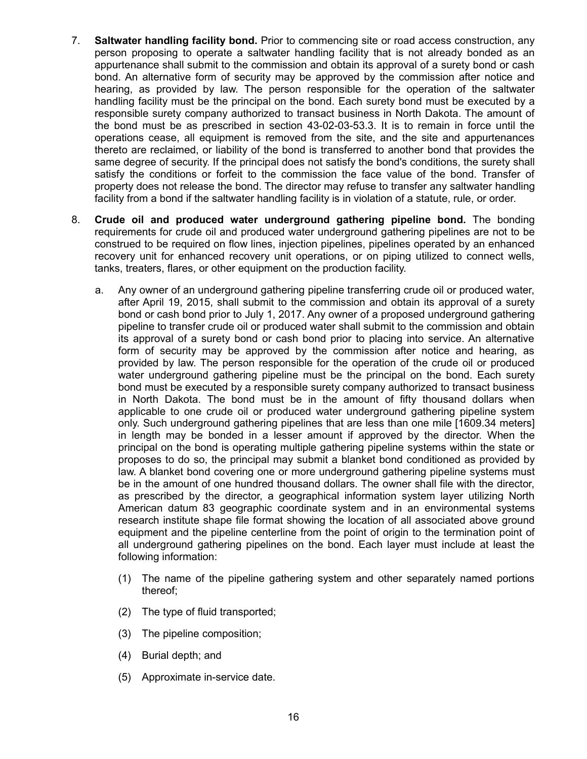- 7. **Saltwater handling facility bond.** Prior to commencing site or road access construction, any person proposing to operate a saltwater handling facility that is not already bonded as an appurtenance shall submit to the commission and obtain its approval of a surety bond or cash bond. An alternative form of security may be approved by the commission after notice and hearing, as provided by law. The person responsible for the operation of the saltwater handling facility must be the principal on the bond. Each surety bond must be executed by a responsible surety company authorized to transact business in North Dakota. The amount of the bond must be as prescribed in section 43-02-03-53.3. It is to remain in force until the operations cease, all equipment is removed from the site, and the site and appurtenances thereto are reclaimed, or liability of the bond is transferred to another bond that provides the same degree of security. If the principal does not satisfy the bond's conditions, the surety shall satisfy the conditions or forfeit to the commission the face value of the bond. Transfer of property does not release the bond. The director may refuse to transfer any saltwater handling facility from a bond if the saltwater handling facility is in violation of a statute, rule, or order.
- 8. **Crude oil and produced water underground gathering pipeline bond.** The bonding requirements for crude oil and produced water underground gathering pipelines are not to be construed to be required on flow lines, injection pipelines, pipelines operated by an enhanced recovery unit for enhanced recovery unit operations, or on piping utilized to connect wells, tanks, treaters, flares, or other equipment on the production facility.
	- a. Any owner of an underground gathering pipeline transferring crude oil or produced water, after April 19, 2015, shall submit to the commission and obtain its approval of a surety bond or cash bond prior to July 1, 2017. Any owner of a proposed underground gathering pipeline to transfer crude oil or produced water shall submit to the commission and obtain its approval of a surety bond or cash bond prior to placing into service. An alternative form of security may be approved by the commission after notice and hearing, as provided by law. The person responsible for the operation of the crude oil or produced water underground gathering pipeline must be the principal on the bond. Each surety bond must be executed by a responsible surety company authorized to transact business in North Dakota. The bond must be in the amount of fifty thousand dollars when applicable to one crude oil or produced water underground gathering pipeline system only. Such underground gathering pipelines that are less than one mile [1609.34 meters] in length may be bonded in a lesser amount if approved by the director. When the principal on the bond is operating multiple gathering pipeline systems within the state or proposes to do so, the principal may submit a blanket bond conditioned as provided by law. A blanket bond covering one or more underground gathering pipeline systems must be in the amount of one hundred thousand dollars. The owner shall file with the director, as prescribed by the director, a geographical information system layer utilizing North American datum 83 geographic coordinate system and in an environmental systems research institute shape file format showing the location of all associated above ground equipment and the pipeline centerline from the point of origin to the termination point of all underground gathering pipelines on the bond. Each layer must include at least the following information:
		- (1) The name of the pipeline gathering system and other separately named portions thereof;
		- (2) The type of fluid transported;
		- (3) The pipeline composition;
		- (4) Burial depth; and
		- (5) Approximate in-service date.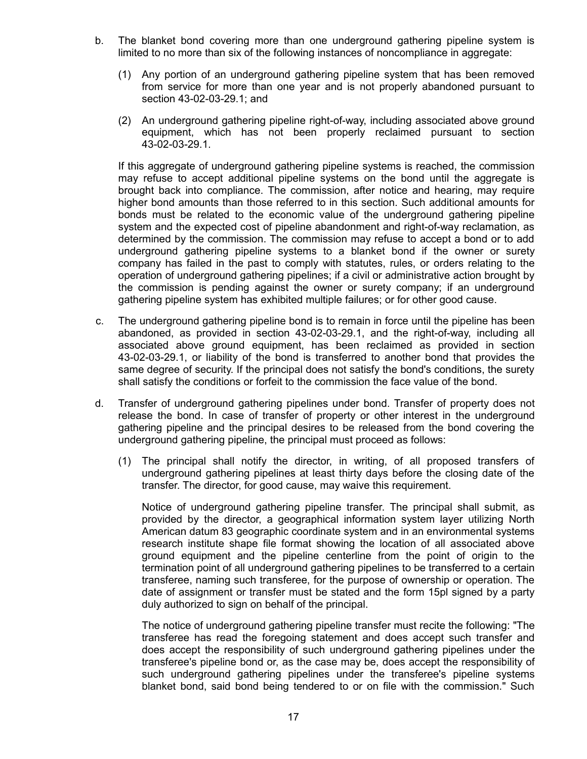- b. The blanket bond covering more than one underground gathering pipeline system is limited to no more than six of the following instances of noncompliance in aggregate:
	- (1) Any portion of an underground gathering pipeline system that has been removed from service for more than one year and is not properly abandoned pursuant to section 43-02-03-29.1; and
	- (2) An underground gathering pipeline right-of-way, including associated above ground equipment, which has not been properly reclaimed pursuant to section 43-02-03-29.1.

If this aggregate of underground gathering pipeline systems is reached, the commission may refuse to accept additional pipeline systems on the bond until the aggregate is brought back into compliance. The commission, after notice and hearing, may require higher bond amounts than those referred to in this section. Such additional amounts for bonds must be related to the economic value of the underground gathering pipeline system and the expected cost of pipeline abandonment and right-of-way reclamation, as determined by the commission. The commission may refuse to accept a bond or to add underground gathering pipeline systems to a blanket bond if the owner or surety company has failed in the past to comply with statutes, rules, or orders relating to the operation of underground gathering pipelines; if a civil or administrative action brought by the commission is pending against the owner or surety company; if an underground gathering pipeline system has exhibited multiple failures; or for other good cause.

- c. The underground gathering pipeline bond is to remain in force until the pipeline has been abandoned, as provided in section 43-02-03-29.1, and the right-of-way, including all associated above ground equipment, has been reclaimed as provided in section 43-02-03-29.1, or liability of the bond is transferred to another bond that provides the same degree of security. If the principal does not satisfy the bond's conditions, the surety shall satisfy the conditions or forfeit to the commission the face value of the bond.
- d. Transfer of underground gathering pipelines under bond. Transfer of property does not release the bond. In case of transfer of property or other interest in the underground gathering pipeline and the principal desires to be released from the bond covering the underground gathering pipeline, the principal must proceed as follows:
	- (1) The principal shall notify the director, in writing, of all proposed transfers of underground gathering pipelines at least thirty days before the closing date of the transfer. The director, for good cause, may waive this requirement.

Notice of underground gathering pipeline transfer. The principal shall submit, as provided by the director, a geographical information system layer utilizing North American datum 83 geographic coordinate system and in an environmental systems research institute shape file format showing the location of all associated above ground equipment and the pipeline centerline from the point of origin to the termination point of all underground gathering pipelines to be transferred to a certain transferee, naming such transferee, for the purpose of ownership or operation. The date of assignment or transfer must be stated and the form 15pl signed by a party duly authorized to sign on behalf of the principal.

The notice of underground gathering pipeline transfer must recite the following: "The transferee has read the foregoing statement and does accept such transfer and does accept the responsibility of such underground gathering pipelines under the transferee's pipeline bond or, as the case may be, does accept the responsibility of such underground gathering pipelines under the transferee's pipeline systems blanket bond, said bond being tendered to or on file with the commission." Such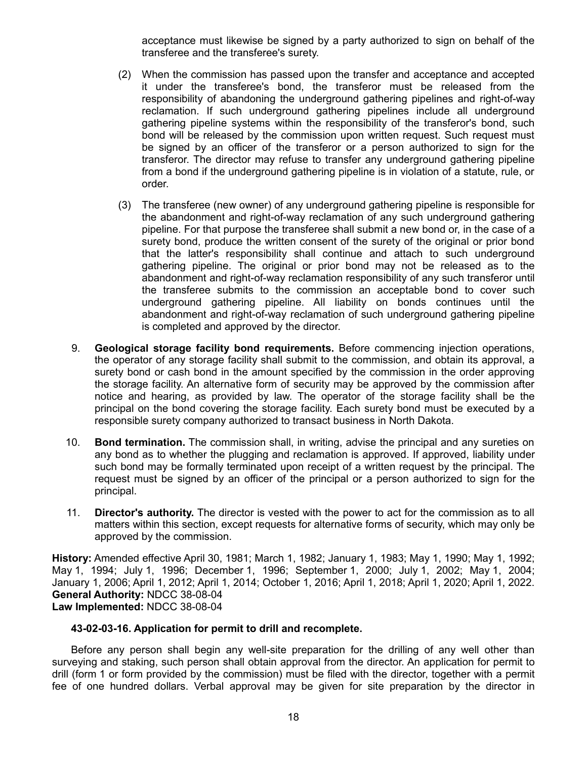acceptance must likewise be signed by a party authorized to sign on behalf of the transferee and the transferee's surety.

- (2) When the commission has passed upon the transfer and acceptance and accepted it under the transferee's bond, the transferor must be released from the responsibility of abandoning the underground gathering pipelines and right-of-way reclamation. If such underground gathering pipelines include all underground gathering pipeline systems within the responsibility of the transferor's bond, such bond will be released by the commission upon written request. Such request must be signed by an officer of the transferor or a person authorized to sign for the transferor. The director may refuse to transfer any underground gathering pipeline from a bond if the underground gathering pipeline is in violation of a statute, rule, or order.
- (3) The transferee (new owner) of any underground gathering pipeline is responsible for the abandonment and right-of-way reclamation of any such underground gathering pipeline. For that purpose the transferee shall submit a new bond or, in the case of a surety bond, produce the written consent of the surety of the original or prior bond that the latter's responsibility shall continue and attach to such underground gathering pipeline. The original or prior bond may not be released as to the abandonment and right-of-way reclamation responsibility of any such transferor until the transferee submits to the commission an acceptable bond to cover such underground gathering pipeline. All liability on bonds continues until the abandonment and right-of-way reclamation of such underground gathering pipeline is completed and approved by the director.
- 9. **Geological storage facility bond requirements.** Before commencing injection operations, the operator of any storage facility shall submit to the commission, and obtain its approval, a surety bond or cash bond in the amount specified by the commission in the order approving the storage facility. An alternative form of security may be approved by the commission after notice and hearing, as provided by law. The operator of the storage facility shall be the principal on the bond covering the storage facility. Each surety bond must be executed by a responsible surety company authorized to transact business in North Dakota.
- 10. **Bond termination.** The commission shall, in writing, advise the principal and any sureties on any bond as to whether the plugging and reclamation is approved. If approved, liability under such bond may be formally terminated upon receipt of a written request by the principal. The request must be signed by an officer of the principal or a person authorized to sign for the principal.
- 11. **Director's authority.** The director is vested with the power to act for the commission as to all matters within this section, except requests for alternative forms of security, which may only be approved by the commission.

**History:** Amended effective April 30, 1981; March 1, 1982; January 1, 1983; May 1, 1990; May 1, 1992; May 1, 1994; July 1, 1996; December 1, 1996; September 1, 2000; July 1, 2002; May 1, 2004; January 1, 2006; April 1, 2012; April 1, 2014; October 1, 2016; April 1, 2018; April 1, 2020; April 1, 2022. **General Authority:** NDCC 38-08-04 **Law Implemented:** NDCC 38-08-04

# **43-02-03-16. Application for permit to drill and recomplete.**

Before any person shall begin any well-site preparation for the drilling of any well other than surveying and staking, such person shall obtain approval from the director. An application for permit to drill (form 1 or form provided by the commission) must be filed with the director, together with a permit fee of one hundred dollars. Verbal approval may be given for site preparation by the director in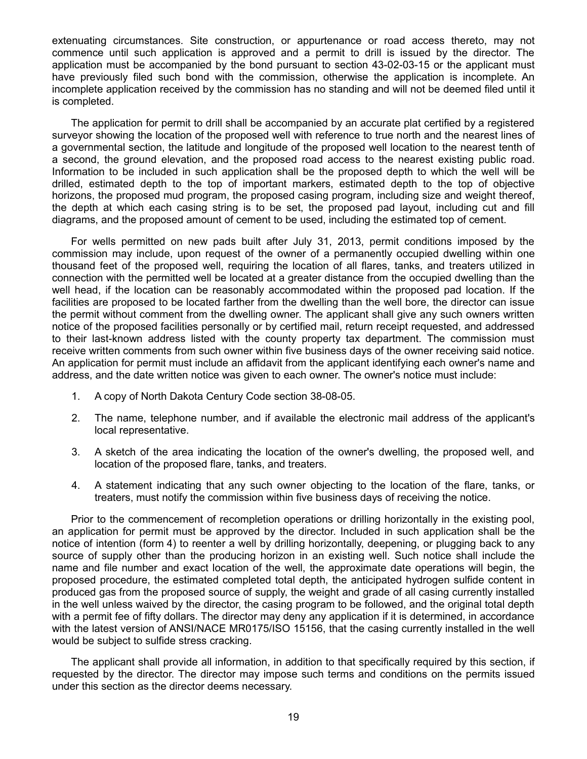extenuating circumstances. Site construction, or appurtenance or road access thereto, may not commence until such application is approved and a permit to drill is issued by the director. The application must be accompanied by the bond pursuant to section 43-02-03-15 or the applicant must have previously filed such bond with the commission, otherwise the application is incomplete. An incomplete application received by the commission has no standing and will not be deemed filed until it is completed.

The application for permit to drill shall be accompanied by an accurate plat certified by a registered surveyor showing the location of the proposed well with reference to true north and the nearest lines of a governmental section, the latitude and longitude of the proposed well location to the nearest tenth of a second, the ground elevation, and the proposed road access to the nearest existing public road. Information to be included in such application shall be the proposed depth to which the well will be drilled, estimated depth to the top of important markers, estimated depth to the top of objective horizons, the proposed mud program, the proposed casing program, including size and weight thereof, the depth at which each casing string is to be set, the proposed pad layout, including cut and fill diagrams, and the proposed amount of cement to be used, including the estimated top of cement.

For wells permitted on new pads built after July 31, 2013, permit conditions imposed by the commission may include, upon request of the owner of a permanently occupied dwelling within one thousand feet of the proposed well, requiring the location of all flares, tanks, and treaters utilized in connection with the permitted well be located at a greater distance from the occupied dwelling than the well head, if the location can be reasonably accommodated within the proposed pad location. If the facilities are proposed to be located farther from the dwelling than the well bore, the director can issue the permit without comment from the dwelling owner. The applicant shall give any such owners written notice of the proposed facilities personally or by certified mail, return receipt requested, and addressed to their last-known address listed with the county property tax department. The commission must receive written comments from such owner within five business days of the owner receiving said notice. An application for permit must include an affidavit from the applicant identifying each owner's name and address, and the date written notice was given to each owner. The owner's notice must include:

- 1. A copy of North Dakota Century Code section 38-08-05.
- 2. The name, telephone number, and if available the electronic mail address of the applicant's local representative.
- 3. A sketch of the area indicating the location of the owner's dwelling, the proposed well, and location of the proposed flare, tanks, and treaters.
- 4. A statement indicating that any such owner objecting to the location of the flare, tanks, or treaters, must notify the commission within five business days of receiving the notice.

Prior to the commencement of recompletion operations or drilling horizontally in the existing pool, an application for permit must be approved by the director. Included in such application shall be the notice of intention (form 4) to reenter a well by drilling horizontally, deepening, or plugging back to any source of supply other than the producing horizon in an existing well. Such notice shall include the name and file number and exact location of the well, the approximate date operations will begin, the proposed procedure, the estimated completed total depth, the anticipated hydrogen sulfide content in produced gas from the proposed source of supply, the weight and grade of all casing currently installed in the well unless waived by the director, the casing program to be followed, and the original total depth with a permit fee of fifty dollars. The director may deny any application if it is determined, in accordance with the latest version of ANSI/NACE MR0175/ISO 15156, that the casing currently installed in the well would be subject to sulfide stress cracking.

The applicant shall provide all information, in addition to that specifically required by this section, if requested by the director. The director may impose such terms and conditions on the permits issued under this section as the director deems necessary.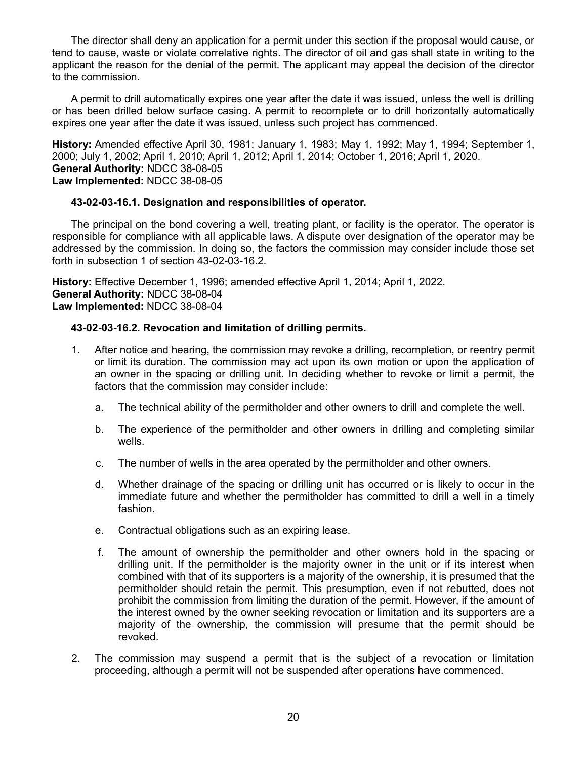The director shall deny an application for a permit under this section if the proposal would cause, or tend to cause, waste or violate correlative rights. The director of oil and gas shall state in writing to the applicant the reason for the denial of the permit. The applicant may appeal the decision of the director to the commission.

A permit to drill automatically expires one year after the date it was issued, unless the well is drilling or has been drilled below surface casing. A permit to recomplete or to drill horizontally automatically expires one year after the date it was issued, unless such project has commenced.

**History:** Amended effective April 30, 1981; January 1, 1983; May 1, 1992; May 1, 1994; September 1, 2000; July 1, 2002; April 1, 2010; April 1, 2012; April 1, 2014; October 1, 2016; April 1, 2020. **General Authority:** NDCC 38-08-05 **Law Implemented:** NDCC 38-08-05

# **43-02-03-16.1. Designation and responsibilities of operator.**

The principal on the bond covering a well, treating plant, or facility is the operator. The operator is responsible for compliance with all applicable laws. A dispute over designation of the operator may be addressed by the commission. In doing so, the factors the commission may consider include those set forth in subsection 1 of section 43-02-03-16.2.

**History:** Effective December 1, 1996; amended effective April 1, 2014; April 1, 2022. **General Authority:** NDCC 38-08-04 **Law Implemented:** NDCC 38-08-04

### **43-02-03-16.2. Revocation and limitation of drilling permits.**

- 1. After notice and hearing, the commission may revoke a drilling, recompletion, or reentry permit or limit its duration. The commission may act upon its own motion or upon the application of an owner in the spacing or drilling unit. In deciding whether to revoke or limit a permit, the factors that the commission may consider include:
	- a. The technical ability of the permitholder and other owners to drill and complete the well.
	- b. The experience of the permitholder and other owners in drilling and completing similar wells.
	- c. The number of wells in the area operated by the permitholder and other owners.
	- d. Whether drainage of the spacing or drilling unit has occurred or is likely to occur in the immediate future and whether the permitholder has committed to drill a well in a timely fashion.
	- e. Contractual obligations such as an expiring lease.
	- f. The amount of ownership the permitholder and other owners hold in the spacing or drilling unit. If the permitholder is the majority owner in the unit or if its interest when combined with that of its supporters is a majority of the ownership, it is presumed that the permitholder should retain the permit. This presumption, even if not rebutted, does not prohibit the commission from limiting the duration of the permit. However, if the amount of the interest owned by the owner seeking revocation or limitation and its supporters are a majority of the ownership, the commission will presume that the permit should be revoked.
- 2. The commission may suspend a permit that is the subject of a revocation or limitation proceeding, although a permit will not be suspended after operations have commenced.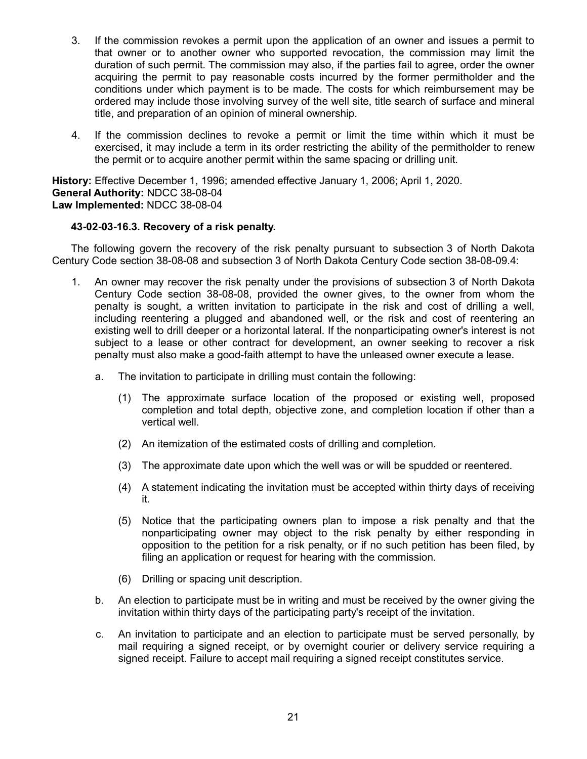- 3. If the commission revokes a permit upon the application of an owner and issues a permit to that owner or to another owner who supported revocation, the commission may limit the duration of such permit. The commission may also, if the parties fail to agree, order the owner acquiring the permit to pay reasonable costs incurred by the former permitholder and the conditions under which payment is to be made. The costs for which reimbursement may be ordered may include those involving survey of the well site, title search of surface and mineral title, and preparation of an opinion of mineral ownership.
- 4. If the commission declines to revoke a permit or limit the time within which it must be exercised, it may include a term in its order restricting the ability of the permitholder to renew the permit or to acquire another permit within the same spacing or drilling unit.

**History:** Effective December 1, 1996; amended effective January 1, 2006; April 1, 2020. **General Authority:** NDCC 38-08-04 **Law Implemented:** NDCC 38-08-04

# **43-02-03-16.3. Recovery of a risk penalty.**

The following govern the recovery of the risk penalty pursuant to subsection 3 of North Dakota Century Code section 38-08-08 and subsection 3 of North Dakota Century Code section 38-08-09.4:

- 1. An owner may recover the risk penalty under the provisions of subsection 3 of North Dakota Century Code section 38-08-08, provided the owner gives, to the owner from whom the penalty is sought, a written invitation to participate in the risk and cost of drilling a well, including reentering a plugged and abandoned well, or the risk and cost of reentering an existing well to drill deeper or a horizontal lateral. If the nonparticipating owner's interest is not subject to a lease or other contract for development, an owner seeking to recover a risk penalty must also make a good-faith attempt to have the unleased owner execute a lease.
	- a. The invitation to participate in drilling must contain the following:
		- (1) The approximate surface location of the proposed or existing well, proposed completion and total depth, objective zone, and completion location if other than a vertical well.
		- (2) An itemization of the estimated costs of drilling and completion.
		- (3) The approximate date upon which the well was or will be spudded or reentered.
		- (4) A statement indicating the invitation must be accepted within thirty days of receiving it.
		- (5) Notice that the participating owners plan to impose a risk penalty and that the nonparticipating owner may object to the risk penalty by either responding in opposition to the petition for a risk penalty, or if no such petition has been filed, by filing an application or request for hearing with the commission.
		- (6) Drilling or spacing unit description.
	- b. An election to participate must be in writing and must be received by the owner giving the invitation within thirty days of the participating party's receipt of the invitation.
	- c. An invitation to participate and an election to participate must be served personally, by mail requiring a signed receipt, or by overnight courier or delivery service requiring a signed receipt. Failure to accept mail requiring a signed receipt constitutes service.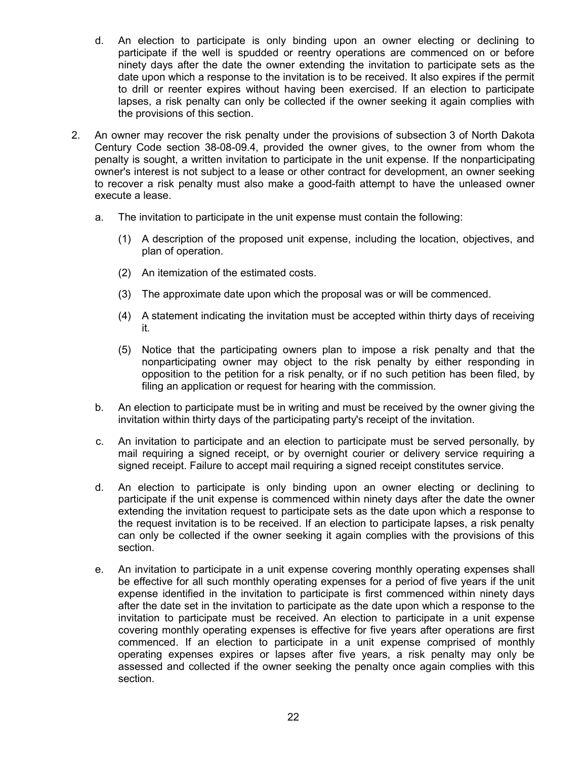- d. An election to participate is only binding upon an owner electing or declining to participate if the well is spudded or reentry operations are commenced on or before ninety days after the date the owner extending the invitation to participate sets as the date upon which a response to the invitation is to be received. It also expires if the permit to drill or reenter expires without having been exercised. If an election to participate lapses, a risk penalty can only be collected if the owner seeking it again complies with the provisions of this section.
- 2. An owner may recover the risk penalty under the provisions of subsection 3 of North Dakota Century Code section 38-08-09.4, provided the owner gives, to the owner from whom the penalty is sought, a written invitation to participate in the unit expense. If the nonparticipating owner's interest is not subject to a lease or other contract for development, an owner seeking to recover a risk penalty must also make a good-faith attempt to have the unleased owner execute a lease.
	- a. The invitation to participate in the unit expense must contain the following:
		- (1) A description of the proposed unit expense, including the location, objectives, and plan of operation.
		- (2) An itemization of the estimated costs.
		- (3) The approximate date upon which the proposal was or will be commenced.
		- (4) A statement indicating the invitation must be accepted within thirty days of receiving it.
		- (5) Notice that the participating owners plan to impose a risk penalty and that the nonparticipating owner may object to the risk penalty by either responding in opposition to the petition for a risk penalty, or if no such petition has been filed, by filing an application or request for hearing with the commission.
	- b. An election to participate must be in writing and must be received by the owner giving the invitation within thirty days of the participating party's receipt of the invitation.
	- c. An invitation to participate and an election to participate must be served personally, by mail requiring a signed receipt, or by overnight courier or delivery service requiring a signed receipt. Failure to accept mail requiring a signed receipt constitutes service.
	- d. An election to participate is only binding upon an owner electing or declining to participate if the unit expense is commenced within ninety days after the date the owner extending the invitation request to participate sets as the date upon which a response to the request invitation is to be received. If an election to participate lapses, a risk penalty can only be collected if the owner seeking it again complies with the provisions of this section.
	- e. An invitation to participate in a unit expense covering monthly operating expenses shall be effective for all such monthly operating expenses for a period of five years if the unit expense identified in the invitation to participate is first commenced within ninety days after the date set in the invitation to participate as the date upon which a response to the invitation to participate must be received. An election to participate in a unit expense covering monthly operating expenses is effective for five years after operations are first commenced. If an election to participate in a unit expense comprised of monthly operating expenses expires or lapses after five years, a risk penalty may only be assessed and collected if the owner seeking the penalty once again complies with this section.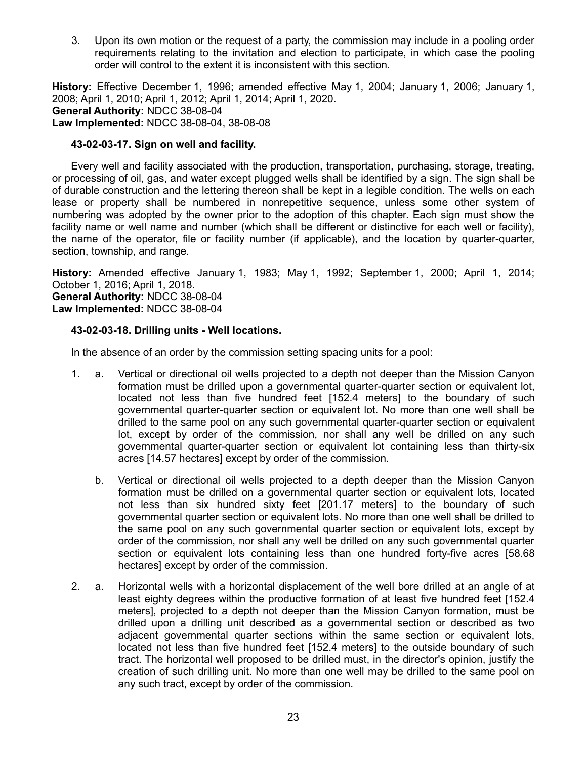3. Upon its own motion or the request of a party, the commission may include in a pooling order requirements relating to the invitation and election to participate, in which case the pooling order will control to the extent it is inconsistent with this section.

**History:** Effective December 1, 1996; amended effective May 1, 2004; January 1, 2006; January 1, 2008; April 1, 2010; April 1, 2012; April 1, 2014; April 1, 2020. **General Authority:** NDCC 38-08-04 **Law Implemented:** NDCC 38-08-04, 38-08-08

### **43-02-03-17. Sign on well and facility.**

Every well and facility associated with the production, transportation, purchasing, storage, treating, or processing of oil, gas, and water except plugged wells shall be identified by a sign. The sign shall be of durable construction and the lettering thereon shall be kept in a legible condition. The wells on each lease or property shall be numbered in nonrepetitive sequence, unless some other system of numbering was adopted by the owner prior to the adoption of this chapter. Each sign must show the facility name or well name and number (which shall be different or distinctive for each well or facility), the name of the operator, file or facility number (if applicable), and the location by quarter-quarter, section, township, and range.

**History:** Amended effective January 1, 1983; May 1, 1992; September 1, 2000; April 1, 2014; October 1, 2016; April 1, 2018. **General Authority:** NDCC 38-08-04 **Law Implemented:** NDCC 38-08-04

# **43-02-03-18. Drilling units - Well locations.**

In the absence of an order by the commission setting spacing units for a pool:

- 1. a. Vertical or directional oil wells projected to a depth not deeper than the Mission Canyon formation must be drilled upon a governmental quarter-quarter section or equivalent lot, located not less than five hundred feet [152.4 meters] to the boundary of such governmental quarter-quarter section or equivalent lot. No more than one well shall be drilled to the same pool on any such governmental quarter-quarter section or equivalent lot, except by order of the commission, nor shall any well be drilled on any such governmental quarter-quarter section or equivalent lot containing less than thirty-six acres [14.57 hectares] except by order of the commission.
	- b. Vertical or directional oil wells projected to a depth deeper than the Mission Canyon formation must be drilled on a governmental quarter section or equivalent lots, located not less than six hundred sixty feet [201.17 meters] to the boundary of such governmental quarter section or equivalent lots. No more than one well shall be drilled to the same pool on any such governmental quarter section or equivalent lots, except by order of the commission, nor shall any well be drilled on any such governmental quarter section or equivalent lots containing less than one hundred forty-five acres [58.68 hectares] except by order of the commission.
- 2. a. Horizontal wells with a horizontal displacement of the well bore drilled at an angle of at least eighty degrees within the productive formation of at least five hundred feet [152.4 meters], projected to a depth not deeper than the Mission Canyon formation, must be drilled upon a drilling unit described as a governmental section or described as two adjacent governmental quarter sections within the same section or equivalent lots, located not less than five hundred feet [152.4 meters] to the outside boundary of such tract. The horizontal well proposed to be drilled must, in the director's opinion, justify the creation of such drilling unit. No more than one well may be drilled to the same pool on any such tract, except by order of the commission.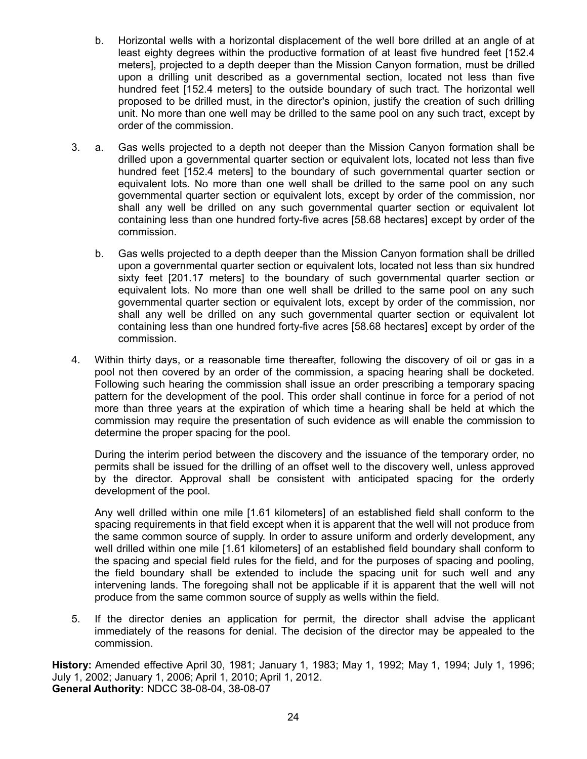- b. Horizontal wells with a horizontal displacement of the well bore drilled at an angle of at least eighty degrees within the productive formation of at least five hundred feet [152.4 meters], projected to a depth deeper than the Mission Canyon formation, must be drilled upon a drilling unit described as a governmental section, located not less than five hundred feet [152.4 meters] to the outside boundary of such tract. The horizontal well proposed to be drilled must, in the director's opinion, justify the creation of such drilling unit. No more than one well may be drilled to the same pool on any such tract, except by order of the commission.
- 3. a. Gas wells projected to a depth not deeper than the Mission Canyon formation shall be drilled upon a governmental quarter section or equivalent lots, located not less than five hundred feet [152.4 meters] to the boundary of such governmental quarter section or equivalent lots. No more than one well shall be drilled to the same pool on any such governmental quarter section or equivalent lots, except by order of the commission, nor shall any well be drilled on any such governmental quarter section or equivalent lot containing less than one hundred forty-five acres [58.68 hectares] except by order of the commission.
	- b. Gas wells projected to a depth deeper than the Mission Canyon formation shall be drilled upon a governmental quarter section or equivalent lots, located not less than six hundred sixty feet [201.17 meters] to the boundary of such governmental quarter section or equivalent lots. No more than one well shall be drilled to the same pool on any such governmental quarter section or equivalent lots, except by order of the commission, nor shall any well be drilled on any such governmental quarter section or equivalent lot containing less than one hundred forty-five acres [58.68 hectares] except by order of the commission.
- 4. Within thirty days, or a reasonable time thereafter, following the discovery of oil or gas in a pool not then covered by an order of the commission, a spacing hearing shall be docketed. Following such hearing the commission shall issue an order prescribing a temporary spacing pattern for the development of the pool. This order shall continue in force for a period of not more than three years at the expiration of which time a hearing shall be held at which the commission may require the presentation of such evidence as will enable the commission to determine the proper spacing for the pool.

During the interim period between the discovery and the issuance of the temporary order, no permits shall be issued for the drilling of an offset well to the discovery well, unless approved by the director. Approval shall be consistent with anticipated spacing for the orderly development of the pool.

Any well drilled within one mile [1.61 kilometers] of an established field shall conform to the spacing requirements in that field except when it is apparent that the well will not produce from the same common source of supply. In order to assure uniform and orderly development, any well drilled within one mile [1.61 kilometers] of an established field boundary shall conform to the spacing and special field rules for the field, and for the purposes of spacing and pooling, the field boundary shall be extended to include the spacing unit for such well and any intervening lands. The foregoing shall not be applicable if it is apparent that the well will not produce from the same common source of supply as wells within the field.

5. If the director denies an application for permit, the director shall advise the applicant immediately of the reasons for denial. The decision of the director may be appealed to the commission.

**History:** Amended effective April 30, 1981; January 1, 1983; May 1, 1992; May 1, 1994; July 1, 1996; July 1, 2002; January 1, 2006; April 1, 2010; April 1, 2012. **General Authority:** NDCC 38-08-04, 38-08-07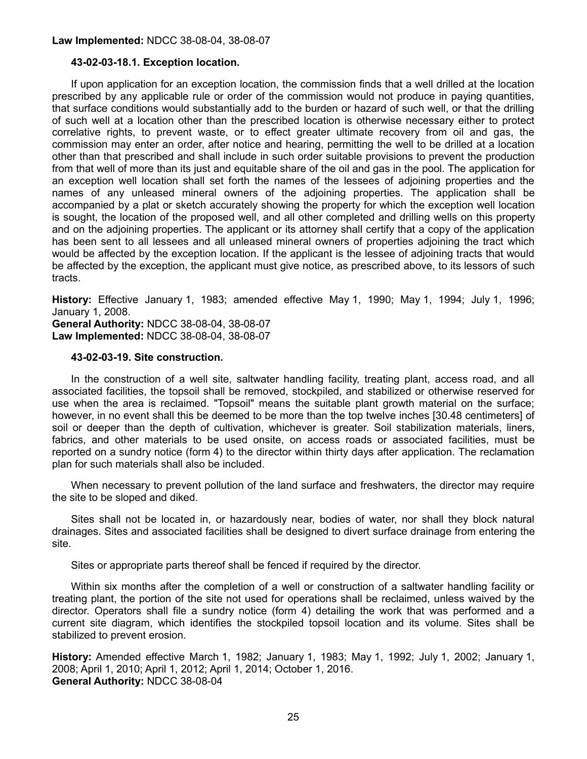# **43-02-03-18.1. Exception location.**

If upon application for an exception location, the commission finds that a well drilled at the location prescribed by any applicable rule or order of the commission would not produce in paying quantities, that surface conditions would substantially add to the burden or hazard of such well, or that the drilling of such well at a location other than the prescribed location is otherwise necessary either to protect correlative rights, to prevent waste, or to effect greater ultimate recovery from oil and gas, the commission may enter an order, after notice and hearing, permitting the well to be drilled at a location other than that prescribed and shall include in such order suitable provisions to prevent the production from that well of more than its just and equitable share of the oil and gas in the pool. The application for an exception well location shall set forth the names of the lessees of adjoining properties and the names of any unleased mineral owners of the adjoining properties. The application shall be accompanied by a plat or sketch accurately showing the property for which the exception well location is sought, the location of the proposed well, and all other completed and drilling wells on this property and on the adjoining properties. The applicant or its attorney shall certify that a copy of the application has been sent to all lessees and all unleased mineral owners of properties adjoining the tract which would be affected by the exception location. If the applicant is the lessee of adjoining tracts that would be affected by the exception, the applicant must give notice, as prescribed above, to its lessors of such tracts.

**History:** Effective January 1, 1983; amended effective May 1, 1990; May 1, 1994; July 1, 1996; January 1, 2008.

**General Authority:** NDCC 38-08-04, 38-08-07 **Law Implemented:** NDCC 38-08-04, 38-08-07

#### **43-02-03-19. Site construction.**

In the construction of a well site, saltwater handling facility, treating plant, access road, and all associated facilities, the topsoil shall be removed, stockpiled, and stabilized or otherwise reserved for use when the area is reclaimed. "Topsoil" means the suitable plant growth material on the surface; however, in no event shall this be deemed to be more than the top twelve inches [30.48 centimeters] of soil or deeper than the depth of cultivation, whichever is greater. Soil stabilization materials, liners, fabrics, and other materials to be used onsite, on access roads or associated facilities, must be reported on a sundry notice (form 4) to the director within thirty days after application. The reclamation plan for such materials shall also be included.

When necessary to prevent pollution of the land surface and freshwaters, the director may require the site to be sloped and diked.

Sites shall not be located in, or hazardously near, bodies of water, nor shall they block natural drainages. Sites and associated facilities shall be designed to divert surface drainage from entering the site.

Sites or appropriate parts thereof shall be fenced if required by the director.

Within six months after the completion of a well or construction of a saltwater handling facility or treating plant, the portion of the site not used for operations shall be reclaimed, unless waived by the director. Operators shall file a sundry notice (form 4) detailing the work that was performed and a current site diagram, which identifies the stockpiled topsoil location and its volume. Sites shall be stabilized to prevent erosion.

**History:** Amended effective March 1, 1982; January 1, 1983; May 1, 1992; July 1, 2002; January 1, 2008; April 1, 2010; April 1, 2012; April 1, 2014; October 1, 2016. **General Authority:** NDCC 38-08-04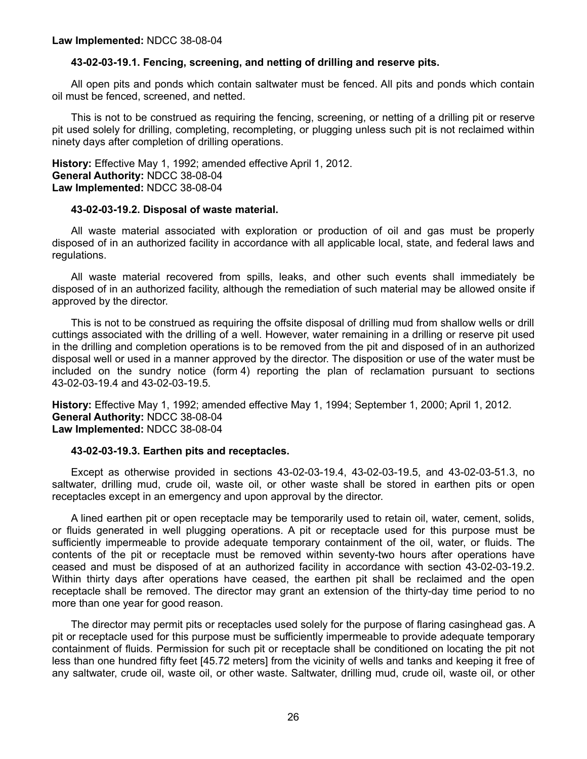### **43-02-03-19.1. Fencing, screening, and netting of drilling and reserve pits.**

All open pits and ponds which contain saltwater must be fenced. All pits and ponds which contain oil must be fenced, screened, and netted.

This is not to be construed as requiring the fencing, screening, or netting of a drilling pit or reserve pit used solely for drilling, completing, recompleting, or plugging unless such pit is not reclaimed within ninety days after completion of drilling operations.

**History:** Effective May 1, 1992; amended effective April 1, 2012. **General Authority:** NDCC 38-08-04 **Law Implemented:** NDCC 38-08-04

#### **43-02-03-19.2. Disposal of waste material.**

All waste material associated with exploration or production of oil and gas must be properly disposed of in an authorized facility in accordance with all applicable local, state, and federal laws and regulations.

All waste material recovered from spills, leaks, and other such events shall immediately be disposed of in an authorized facility, although the remediation of such material may be allowed onsite if approved by the director.

This is not to be construed as requiring the offsite disposal of drilling mud from shallow wells or drill cuttings associated with the drilling of a well. However, water remaining in a drilling or reserve pit used in the drilling and completion operations is to be removed from the pit and disposed of in an authorized disposal well or used in a manner approved by the director. The disposition or use of the water must be included on the sundry notice (form 4) reporting the plan of reclamation pursuant to sections 43-02-03-19.4 and 43-02-03-19.5.

**History:** Effective May 1, 1992; amended effective May 1, 1994; September 1, 2000; April 1, 2012. **General Authority:** NDCC 38-08-04 **Law Implemented:** NDCC 38-08-04

#### **43-02-03-19.3. Earthen pits and receptacles.**

Except as otherwise provided in sections 43-02-03-19.4, 43-02-03-19.5, and 43-02-03-51.3, no saltwater, drilling mud, crude oil, waste oil, or other waste shall be stored in earthen pits or open receptacles except in an emergency and upon approval by the director.

A lined earthen pit or open receptacle may be temporarily used to retain oil, water, cement, solids, or fluids generated in well plugging operations. A pit or receptacle used for this purpose must be sufficiently impermeable to provide adequate temporary containment of the oil, water, or fluids. The contents of the pit or receptacle must be removed within seventy-two hours after operations have ceased and must be disposed of at an authorized facility in accordance with section 43-02-03-19.2. Within thirty days after operations have ceased, the earthen pit shall be reclaimed and the open receptacle shall be removed. The director may grant an extension of the thirty-day time period to no more than one year for good reason.

The director may permit pits or receptacles used solely for the purpose of flaring casinghead gas. A pit or receptacle used for this purpose must be sufficiently impermeable to provide adequate temporary containment of fluids. Permission for such pit or receptacle shall be conditioned on locating the pit not less than one hundred fifty feet [45.72 meters] from the vicinity of wells and tanks and keeping it free of any saltwater, crude oil, waste oil, or other waste. Saltwater, drilling mud, crude oil, waste oil, or other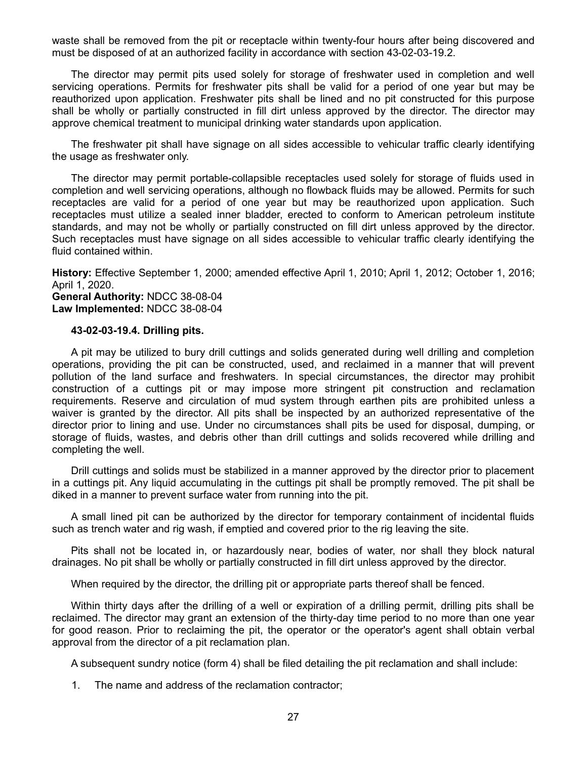waste shall be removed from the pit or receptacle within twenty-four hours after being discovered and must be disposed of at an authorized facility in accordance with section 43-02-03-19.2.

The director may permit pits used solely for storage of freshwater used in completion and well servicing operations. Permits for freshwater pits shall be valid for a period of one year but may be reauthorized upon application. Freshwater pits shall be lined and no pit constructed for this purpose shall be wholly or partially constructed in fill dirt unless approved by the director. The director may approve chemical treatment to municipal drinking water standards upon application.

The freshwater pit shall have signage on all sides accessible to vehicular traffic clearly identifying the usage as freshwater only.

The director may permit portable-collapsible receptacles used solely for storage of fluids used in completion and well servicing operations, although no flowback fluids may be allowed. Permits for such receptacles are valid for a period of one year but may be reauthorized upon application. Such receptacles must utilize a sealed inner bladder, erected to conform to American petroleum institute standards, and may not be wholly or partially constructed on fill dirt unless approved by the director. Such receptacles must have signage on all sides accessible to vehicular traffic clearly identifying the fluid contained within.

**History:** Effective September 1, 2000; amended effective April 1, 2010; April 1, 2012; October 1, 2016; April 1, 2020.

**General Authority:** NDCC 38-08-04 **Law Implemented:** NDCC 38-08-04

#### **43-02-03-19.4. Drilling pits.**

A pit may be utilized to bury drill cuttings and solids generated during well drilling and completion operations, providing the pit can be constructed, used, and reclaimed in a manner that will prevent pollution of the land surface and freshwaters. In special circumstances, the director may prohibit construction of a cuttings pit or may impose more stringent pit construction and reclamation requirements. Reserve and circulation of mud system through earthen pits are prohibited unless a waiver is granted by the director. All pits shall be inspected by an authorized representative of the director prior to lining and use. Under no circumstances shall pits be used for disposal, dumping, or storage of fluids, wastes, and debris other than drill cuttings and solids recovered while drilling and completing the well.

Drill cuttings and solids must be stabilized in a manner approved by the director prior to placement in a cuttings pit. Any liquid accumulating in the cuttings pit shall be promptly removed. The pit shall be diked in a manner to prevent surface water from running into the pit.

A small lined pit can be authorized by the director for temporary containment of incidental fluids such as trench water and rig wash, if emptied and covered prior to the rig leaving the site.

Pits shall not be located in, or hazardously near, bodies of water, nor shall they block natural drainages. No pit shall be wholly or partially constructed in fill dirt unless approved by the director.

When required by the director, the drilling pit or appropriate parts thereof shall be fenced.

Within thirty days after the drilling of a well or expiration of a drilling permit, drilling pits shall be reclaimed. The director may grant an extension of the thirty-day time period to no more than one year for good reason. Prior to reclaiming the pit, the operator or the operator's agent shall obtain verbal approval from the director of a pit reclamation plan.

A subsequent sundry notice (form 4) shall be filed detailing the pit reclamation and shall include:

1. The name and address of the reclamation contractor;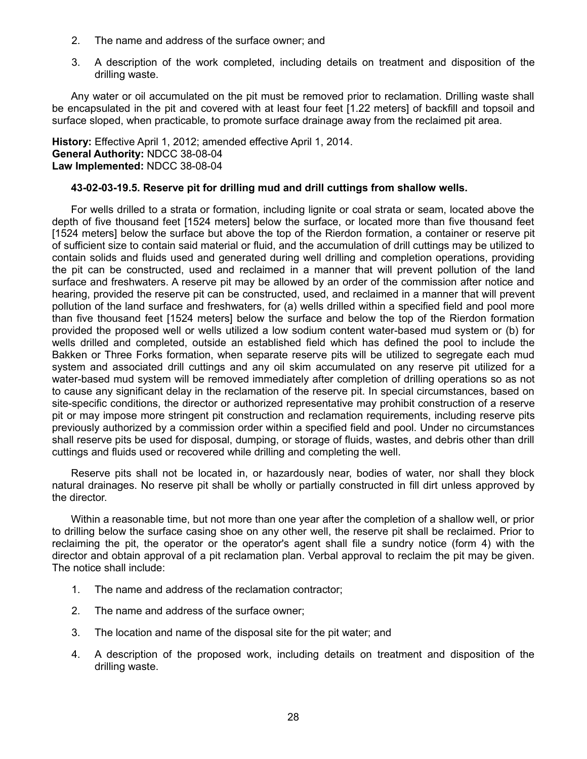- 2. The name and address of the surface owner; and
- 3. A description of the work completed, including details on treatment and disposition of the drilling waste.

Any water or oil accumulated on the pit must be removed prior to reclamation. Drilling waste shall be encapsulated in the pit and covered with at least four feet [1.22 meters] of backfill and topsoil and surface sloped, when practicable, to promote surface drainage away from the reclaimed pit area.

**History:** Effective April 1, 2012; amended effective April 1, 2014. **General Authority:** NDCC 38-08-04 **Law Implemented:** NDCC 38-08-04

### **43-02-03-19.5. Reserve pit for drilling mud and drill cuttings from shallow wells.**

For wells drilled to a strata or formation, including lignite or coal strata or seam, located above the depth of five thousand feet [1524 meters] below the surface, or located more than five thousand feet [1524 meters] below the surface but above the top of the Rierdon formation, a container or reserve pit of sufficient size to contain said material or fluid, and the accumulation of drill cuttings may be utilized to contain solids and fluids used and generated during well drilling and completion operations, providing the pit can be constructed, used and reclaimed in a manner that will prevent pollution of the land surface and freshwaters. A reserve pit may be allowed by an order of the commission after notice and hearing, provided the reserve pit can be constructed, used, and reclaimed in a manner that will prevent pollution of the land surface and freshwaters, for (a) wells drilled within a specified field and pool more than five thousand feet [1524 meters] below the surface and below the top of the Rierdon formation provided the proposed well or wells utilized a low sodium content water-based mud system or (b) for wells drilled and completed, outside an established field which has defined the pool to include the Bakken or Three Forks formation, when separate reserve pits will be utilized to segregate each mud system and associated drill cuttings and any oil skim accumulated on any reserve pit utilized for a water-based mud system will be removed immediately after completion of drilling operations so as not to cause any significant delay in the reclamation of the reserve pit. In special circumstances, based on site-specific conditions, the director or authorized representative may prohibit construction of a reserve pit or may impose more stringent pit construction and reclamation requirements, including reserve pits previously authorized by a commission order within a specified field and pool. Under no circumstances shall reserve pits be used for disposal, dumping, or storage of fluids, wastes, and debris other than drill cuttings and fluids used or recovered while drilling and completing the well.

Reserve pits shall not be located in, or hazardously near, bodies of water, nor shall they block natural drainages. No reserve pit shall be wholly or partially constructed in fill dirt unless approved by the director.

Within a reasonable time, but not more than one year after the completion of a shallow well, or prior to drilling below the surface casing shoe on any other well, the reserve pit shall be reclaimed. Prior to reclaiming the pit, the operator or the operator's agent shall file a sundry notice (form 4) with the director and obtain approval of a pit reclamation plan. Verbal approval to reclaim the pit may be given. The notice shall include:

- 1. The name and address of the reclamation contractor;
- 2. The name and address of the surface owner;
- 3. The location and name of the disposal site for the pit water; and
- 4. A description of the proposed work, including details on treatment and disposition of the drilling waste.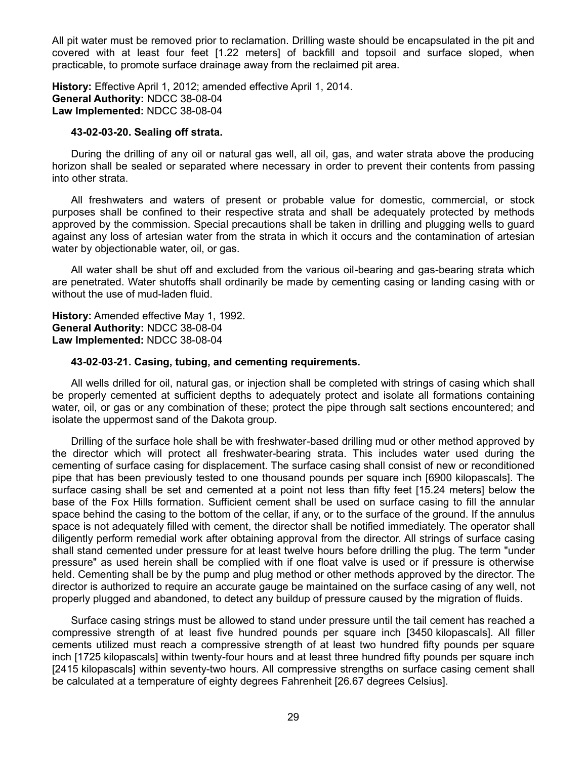All pit water must be removed prior to reclamation. Drilling waste should be encapsulated in the pit and covered with at least four feet [1.22 meters] of backfill and topsoil and surface sloped, when practicable, to promote surface drainage away from the reclaimed pit area.

**History:** Effective April 1, 2012; amended effective April 1, 2014. **General Authority:** NDCC 38-08-04 **Law Implemented:** NDCC 38-08-04

### **43-02-03-20. Sealing off strata.**

During the drilling of any oil or natural gas well, all oil, gas, and water strata above the producing horizon shall be sealed or separated where necessary in order to prevent their contents from passing into other strata.

All freshwaters and waters of present or probable value for domestic, commercial, or stock purposes shall be confined to their respective strata and shall be adequately protected by methods approved by the commission. Special precautions shall be taken in drilling and plugging wells to guard against any loss of artesian water from the strata in which it occurs and the contamination of artesian water by objectionable water, oil, or gas.

All water shall be shut off and excluded from the various oil-bearing and gas-bearing strata which are penetrated. Water shutoffs shall ordinarily be made by cementing casing or landing casing with or without the use of mud-laden fluid.

**History:** Amended effective May 1, 1992. **General Authority:** NDCC 38-08-04 **Law Implemented:** NDCC 38-08-04

### **43-02-03-21. Casing, tubing, and cementing requirements.**

All wells drilled for oil, natural gas, or injection shall be completed with strings of casing which shall be properly cemented at sufficient depths to adequately protect and isolate all formations containing water, oil, or gas or any combination of these; protect the pipe through salt sections encountered; and isolate the uppermost sand of the Dakota group.

Drilling of the surface hole shall be with freshwater-based drilling mud or other method approved by the director which will protect all freshwater-bearing strata. This includes water used during the cementing of surface casing for displacement. The surface casing shall consist of new or reconditioned pipe that has been previously tested to one thousand pounds per square inch [6900 kilopascals]. The surface casing shall be set and cemented at a point not less than fifty feet [15.24 meters] below the base of the Fox Hills formation. Sufficient cement shall be used on surface casing to fill the annular space behind the casing to the bottom of the cellar, if any, or to the surface of the ground. If the annulus space is not adequately filled with cement, the director shall be notified immediately. The operator shall diligently perform remedial work after obtaining approval from the director. All strings of surface casing shall stand cemented under pressure for at least twelve hours before drilling the plug. The term "under pressure" as used herein shall be complied with if one float valve is used or if pressure is otherwise held. Cementing shall be by the pump and plug method or other methods approved by the director. The director is authorized to require an accurate gauge be maintained on the surface casing of any well, not properly plugged and abandoned, to detect any buildup of pressure caused by the migration of fluids.

Surface casing strings must be allowed to stand under pressure until the tail cement has reached a compressive strength of at least five hundred pounds per square inch [3450 kilopascals]. All filler cements utilized must reach a compressive strength of at least two hundred fifty pounds per square inch [1725 kilopascals] within twenty-four hours and at least three hundred fifty pounds per square inch [2415 kilopascals] within seventy-two hours. All compressive strengths on surface casing cement shall be calculated at a temperature of eighty degrees Fahrenheit [26.67 degrees Celsius].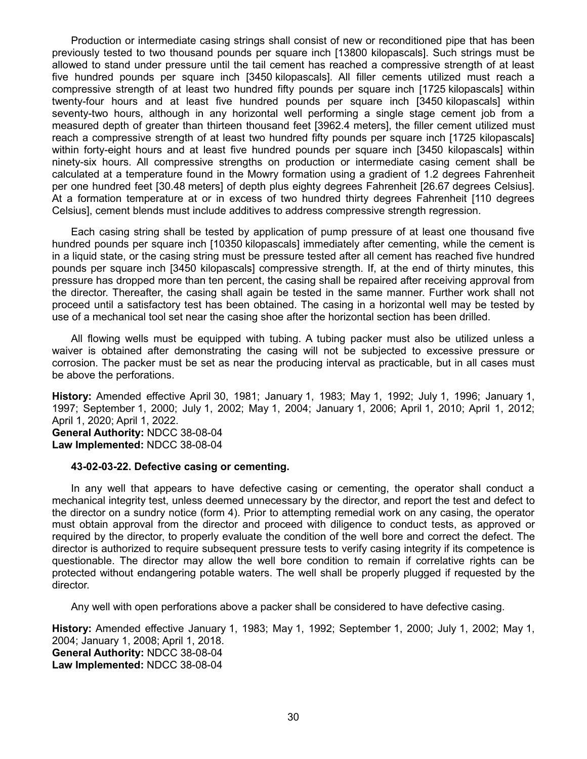Production or intermediate casing strings shall consist of new or reconditioned pipe that has been previously tested to two thousand pounds per square inch [13800 kilopascals]. Such strings must be allowed to stand under pressure until the tail cement has reached a compressive strength of at least five hundred pounds per square inch [3450 kilopascals]. All filler cements utilized must reach a compressive strength of at least two hundred fifty pounds per square inch [1725 kilopascals] within twenty-four hours and at least five hundred pounds per square inch [3450 kilopascals] within seventy-two hours, although in any horizontal well performing a single stage cement job from a measured depth of greater than thirteen thousand feet [3962.4 meters], the filler cement utilized must reach a compressive strength of at least two hundred fifty pounds per square inch [1725 kilopascals] within forty-eight hours and at least five hundred pounds per square inch [3450 kilopascals] within ninety-six hours. All compressive strengths on production or intermediate casing cement shall be calculated at a temperature found in the Mowry formation using a gradient of 1.2 degrees Fahrenheit per one hundred feet [30.48 meters] of depth plus eighty degrees Fahrenheit [26.67 degrees Celsius]. At a formation temperature at or in excess of two hundred thirty degrees Fahrenheit [110 degrees Celsius], cement blends must include additives to address compressive strength regression.

Each casing string shall be tested by application of pump pressure of at least one thousand five hundred pounds per square inch [10350 kilopascals] immediately after cementing, while the cement is in a liquid state, or the casing string must be pressure tested after all cement has reached five hundred pounds per square inch [3450 kilopascals] compressive strength. If, at the end of thirty minutes, this pressure has dropped more than ten percent, the casing shall be repaired after receiving approval from the director. Thereafter, the casing shall again be tested in the same manner. Further work shall not proceed until a satisfactory test has been obtained. The casing in a horizontal well may be tested by use of a mechanical tool set near the casing shoe after the horizontal section has been drilled.

All flowing wells must be equipped with tubing. A tubing packer must also be utilized unless a waiver is obtained after demonstrating the casing will not be subjected to excessive pressure or corrosion. The packer must be set as near the producing interval as practicable, but in all cases must be above the perforations.

**History:** Amended effective April 30, 1981; January 1, 1983; May 1, 1992; July 1, 1996; January 1, 1997; September 1, 2000; July 1, 2002; May 1, 2004; January 1, 2006; April 1, 2010; April 1, 2012; April 1, 2020; April 1, 2022. **General Authority:** NDCC 38-08-04 **Law Implemented:** NDCC 38-08-04

#### **43-02-03-22. Defective casing or cementing.**

In any well that appears to have defective casing or cementing, the operator shall conduct a mechanical integrity test, unless deemed unnecessary by the director, and report the test and defect to the director on a sundry notice (form 4). Prior to attempting remedial work on any casing, the operator must obtain approval from the director and proceed with diligence to conduct tests, as approved or required by the director, to properly evaluate the condition of the well bore and correct the defect. The director is authorized to require subsequent pressure tests to verify casing integrity if its competence is questionable. The director may allow the well bore condition to remain if correlative rights can be protected without endangering potable waters. The well shall be properly plugged if requested by the director.

Any well with open perforations above a packer shall be considered to have defective casing.

**History:** Amended effective January 1, 1983; May 1, 1992; September 1, 2000; July 1, 2002; May 1, 2004; January 1, 2008; April 1, 2018. **General Authority:** NDCC 38-08-04 **Law Implemented:** NDCC 38-08-04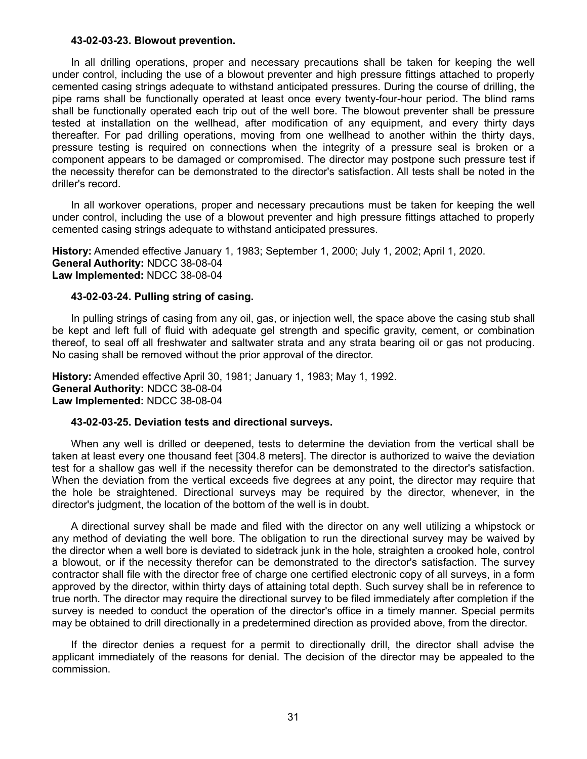#### **43-02-03-23. Blowout prevention.**

In all drilling operations, proper and necessary precautions shall be taken for keeping the well under control, including the use of a blowout preventer and high pressure fittings attached to properly cemented casing strings adequate to withstand anticipated pressures. During the course of drilling, the pipe rams shall be functionally operated at least once every twenty-four-hour period. The blind rams shall be functionally operated each trip out of the well bore. The blowout preventer shall be pressure tested at installation on the wellhead, after modification of any equipment, and every thirty days thereafter. For pad drilling operations, moving from one wellhead to another within the thirty days, pressure testing is required on connections when the integrity of a pressure seal is broken or a component appears to be damaged or compromised. The director may postpone such pressure test if the necessity therefor can be demonstrated to the director's satisfaction. All tests shall be noted in the driller's record.

In all workover operations, proper and necessary precautions must be taken for keeping the well under control, including the use of a blowout preventer and high pressure fittings attached to properly cemented casing strings adequate to withstand anticipated pressures.

**History:** Amended effective January 1, 1983; September 1, 2000; July 1, 2002; April 1, 2020. **General Authority:** NDCC 38-08-04 **Law Implemented:** NDCC 38-08-04

#### **43-02-03-24. Pulling string of casing.**

In pulling strings of casing from any oil, gas, or injection well, the space above the casing stub shall be kept and left full of fluid with adequate gel strength and specific gravity, cement, or combination thereof, to seal off all freshwater and saltwater strata and any strata bearing oil or gas not producing. No casing shall be removed without the prior approval of the director.

**History:** Amended effective April 30, 1981; January 1, 1983; May 1, 1992. **General Authority:** NDCC 38-08-04 **Law Implemented:** NDCC 38-08-04

#### **43-02-03-25. Deviation tests and directional surveys.**

When any well is drilled or deepened, tests to determine the deviation from the vertical shall be taken at least every one thousand feet [304.8 meters]. The director is authorized to waive the deviation test for a shallow gas well if the necessity therefor can be demonstrated to the director's satisfaction. When the deviation from the vertical exceeds five degrees at any point, the director may require that the hole be straightened. Directional surveys may be required by the director, whenever, in the director's judgment, the location of the bottom of the well is in doubt.

A directional survey shall be made and filed with the director on any well utilizing a whipstock or any method of deviating the well bore. The obligation to run the directional survey may be waived by the director when a well bore is deviated to sidetrack junk in the hole, straighten a crooked hole, control a blowout, or if the necessity therefor can be demonstrated to the director's satisfaction. The survey contractor shall file with the director free of charge one certified electronic copy of all surveys, in a form approved by the director, within thirty days of attaining total depth. Such survey shall be in reference to true north. The director may require the directional survey to be filed immediately after completion if the survey is needed to conduct the operation of the director's office in a timely manner. Special permits may be obtained to drill directionally in a predetermined direction as provided above, from the director.

If the director denies a request for a permit to directionally drill, the director shall advise the applicant immediately of the reasons for denial. The decision of the director may be appealed to the commission.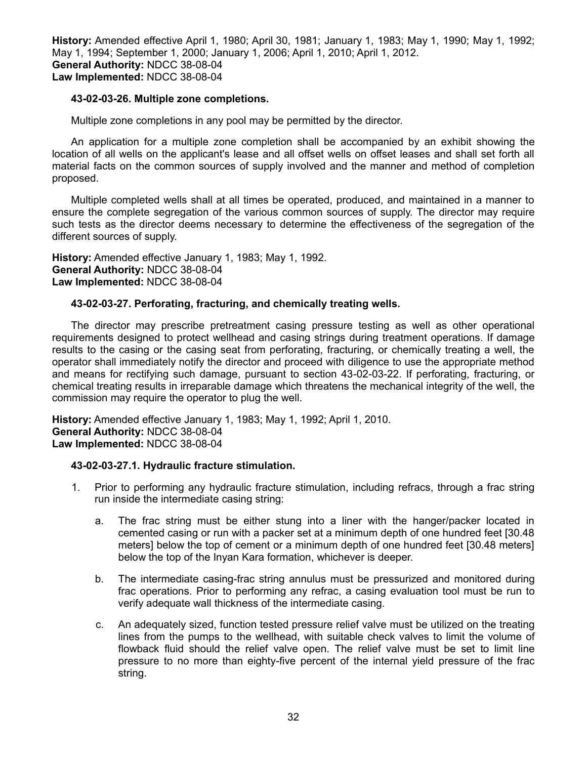**History:** Amended effective April 1, 1980; April 30, 1981; January 1, 1983; May 1, 1990; May 1, 1992; May 1, 1994; September 1, 2000; January 1, 2006; April 1, 2010; April 1, 2012. **General Authority:** NDCC 38-08-04 **Law Implemented:** NDCC 38-08-04

### **43-02-03-26. Multiple zone completions.**

Multiple zone completions in any pool may be permitted by the director.

An application for a multiple zone completion shall be accompanied by an exhibit showing the location of all wells on the applicant's lease and all offset wells on offset leases and shall set forth all material facts on the common sources of supply involved and the manner and method of completion proposed.

Multiple completed wells shall at all times be operated, produced, and maintained in a manner to ensure the complete segregation of the various common sources of supply. The director may require such tests as the director deems necessary to determine the effectiveness of the segregation of the different sources of supply.

**History:** Amended effective January 1, 1983; May 1, 1992. **General Authority:** NDCC 38-08-04 **Law Implemented:** NDCC 38-08-04

### **43-02-03-27. Perforating, fracturing, and chemically treating wells.**

The director may prescribe pretreatment casing pressure testing as well as other operational requirements designed to protect wellhead and casing strings during treatment operations. If damage results to the casing or the casing seat from perforating, fracturing, or chemically treating a well, the operator shall immediately notify the director and proceed with diligence to use the appropriate method and means for rectifying such damage, pursuant to section 43-02-03-22. If perforating, fracturing, or chemical treating results in irreparable damage which threatens the mechanical integrity of the well, the commission may require the operator to plug the well.

**History:** Amended effective January 1, 1983; May 1, 1992; April 1, 2010. **General Authority:** NDCC 38-08-04 **Law Implemented:** NDCC 38-08-04

#### **43-02-03-27.1. Hydraulic fracture stimulation.**

- 1. Prior to performing any hydraulic fracture stimulation, including refracs, through a frac string run inside the intermediate casing string:
	- a. The frac string must be either stung into a liner with the hanger/packer located in cemented casing or run with a packer set at a minimum depth of one hundred feet [30.48 meters] below the top of cement or a minimum depth of one hundred feet [30.48 meters] below the top of the Inyan Kara formation, whichever is deeper.
	- b. The intermediate casing-frac string annulus must be pressurized and monitored during frac operations. Prior to performing any refrac, a casing evaluation tool must be run to verify adequate wall thickness of the intermediate casing.
	- c. An adequately sized, function tested pressure relief valve must be utilized on the treating lines from the pumps to the wellhead, with suitable check valves to limit the volume of flowback fluid should the relief valve open. The relief valve must be set to limit line pressure to no more than eighty-five percent of the internal yield pressure of the frac string.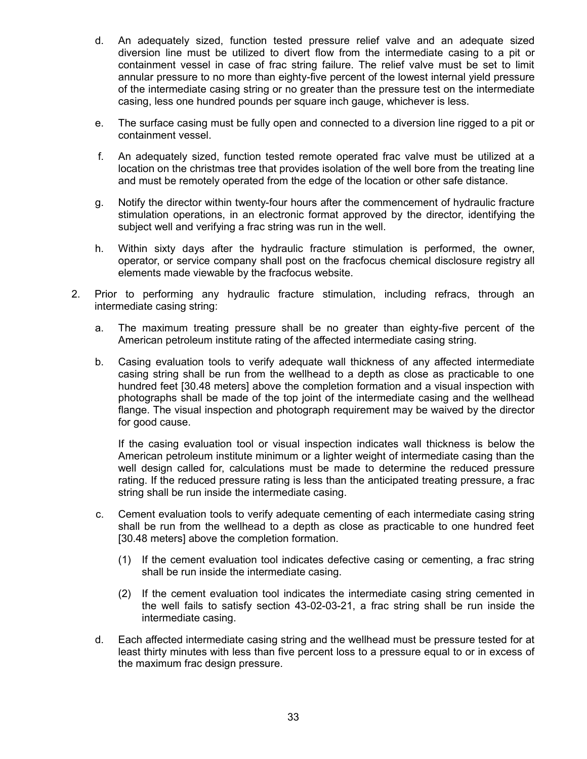- d. An adequately sized, function tested pressure relief valve and an adequate sized diversion line must be utilized to divert flow from the intermediate casing to a pit or containment vessel in case of frac string failure. The relief valve must be set to limit annular pressure to no more than eighty-five percent of the lowest internal yield pressure of the intermediate casing string or no greater than the pressure test on the intermediate casing, less one hundred pounds per square inch gauge, whichever is less.
- e. The surface casing must be fully open and connected to a diversion line rigged to a pit or containment vessel.
- f. An adequately sized, function tested remote operated frac valve must be utilized at a location on the christmas tree that provides isolation of the well bore from the treating line and must be remotely operated from the edge of the location or other safe distance.
- g. Notify the director within twenty-four hours after the commencement of hydraulic fracture stimulation operations, in an electronic format approved by the director, identifying the subject well and verifying a frac string was run in the well.
- h. Within sixty days after the hydraulic fracture stimulation is performed, the owner, operator, or service company shall post on the fracfocus chemical disclosure registry all elements made viewable by the fracfocus website.
- 2. Prior to performing any hydraulic fracture stimulation, including refracs, through an intermediate casing string:
	- a. The maximum treating pressure shall be no greater than eighty-five percent of the American petroleum institute rating of the affected intermediate casing string.
	- b. Casing evaluation tools to verify adequate wall thickness of any affected intermediate casing string shall be run from the wellhead to a depth as close as practicable to one hundred feet [30.48 meters] above the completion formation and a visual inspection with photographs shall be made of the top joint of the intermediate casing and the wellhead flange. The visual inspection and photograph requirement may be waived by the director for good cause.

If the casing evaluation tool or visual inspection indicates wall thickness is below the American petroleum institute minimum or a lighter weight of intermediate casing than the well design called for, calculations must be made to determine the reduced pressure rating. If the reduced pressure rating is less than the anticipated treating pressure, a frac string shall be run inside the intermediate casing.

- c. Cement evaluation tools to verify adequate cementing of each intermediate casing string shall be run from the wellhead to a depth as close as practicable to one hundred feet [30.48 meters] above the completion formation.
	- (1) If the cement evaluation tool indicates defective casing or cementing, a frac string shall be run inside the intermediate casing.
	- (2) If the cement evaluation tool indicates the intermediate casing string cemented in the well fails to satisfy section 43-02-03-21, a frac string shall be run inside the intermediate casing.
- d. Each affected intermediate casing string and the wellhead must be pressure tested for at least thirty minutes with less than five percent loss to a pressure equal to or in excess of the maximum frac design pressure.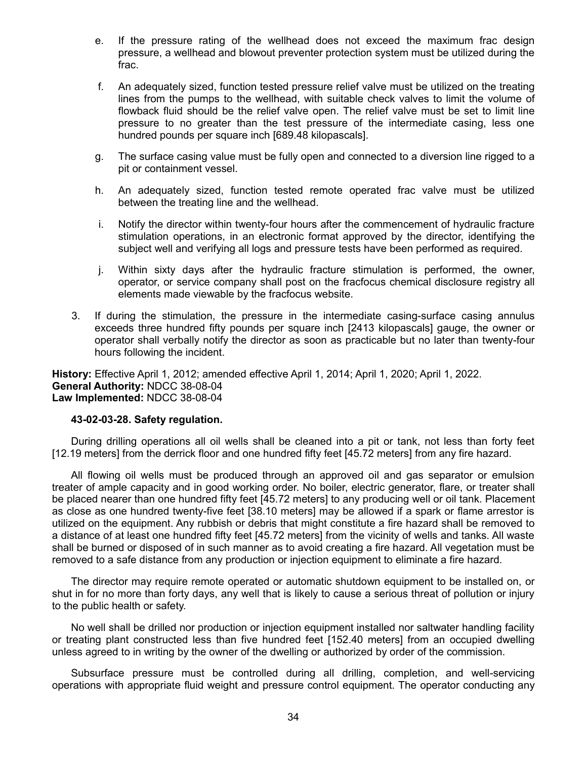- e. If the pressure rating of the wellhead does not exceed the maximum frac design pressure, a wellhead and blowout preventer protection system must be utilized during the frac.
- f. An adequately sized, function tested pressure relief valve must be utilized on the treating lines from the pumps to the wellhead, with suitable check valves to limit the volume of flowback fluid should be the relief valve open. The relief valve must be set to limit line pressure to no greater than the test pressure of the intermediate casing, less one hundred pounds per square inch [689.48 kilopascals].
- g. The surface casing value must be fully open and connected to a diversion line rigged to a pit or containment vessel.
- h. An adequately sized, function tested remote operated frac valve must be utilized between the treating line and the wellhead.
- i. Notify the director within twenty-four hours after the commencement of hydraulic fracture stimulation operations, in an electronic format approved by the director, identifying the subject well and verifying all logs and pressure tests have been performed as required.
- j. Within sixty days after the hydraulic fracture stimulation is performed, the owner, operator, or service company shall post on the fracfocus chemical disclosure registry all elements made viewable by the fracfocus website.
- 3. If during the stimulation, the pressure in the intermediate casing-surface casing annulus exceeds three hundred fifty pounds per square inch [2413 kilopascals] gauge, the owner or operator shall verbally notify the director as soon as practicable but no later than twenty-four hours following the incident.

**History:** Effective April 1, 2012; amended effective April 1, 2014; April 1, 2020; April 1, 2022. **General Authority:** NDCC 38-08-04 **Law Implemented:** NDCC 38-08-04

#### **43-02-03-28. Safety regulation.**

During drilling operations all oil wells shall be cleaned into a pit or tank, not less than forty feet [12.19 meters] from the derrick floor and one hundred fifty feet [45.72 meters] from any fire hazard.

All flowing oil wells must be produced through an approved oil and gas separator or emulsion treater of ample capacity and in good working order. No boiler, electric generator, flare, or treater shall be placed nearer than one hundred fifty feet [45.72 meters] to any producing well or oil tank. Placement as close as one hundred twenty-five feet [38.10 meters] may be allowed if a spark or flame arrestor is utilized on the equipment. Any rubbish or debris that might constitute a fire hazard shall be removed to a distance of at least one hundred fifty feet [45.72 meters] from the vicinity of wells and tanks. All waste shall be burned or disposed of in such manner as to avoid creating a fire hazard. All vegetation must be removed to a safe distance from any production or injection equipment to eliminate a fire hazard.

The director may require remote operated or automatic shutdown equipment to be installed on, or shut in for no more than forty days, any well that is likely to cause a serious threat of pollution or injury to the public health or safety.

No well shall be drilled nor production or injection equipment installed nor saltwater handling facility or treating plant constructed less than five hundred feet [152.40 meters] from an occupied dwelling unless agreed to in writing by the owner of the dwelling or authorized by order of the commission.

Subsurface pressure must be controlled during all drilling, completion, and well-servicing operations with appropriate fluid weight and pressure control equipment. The operator conducting any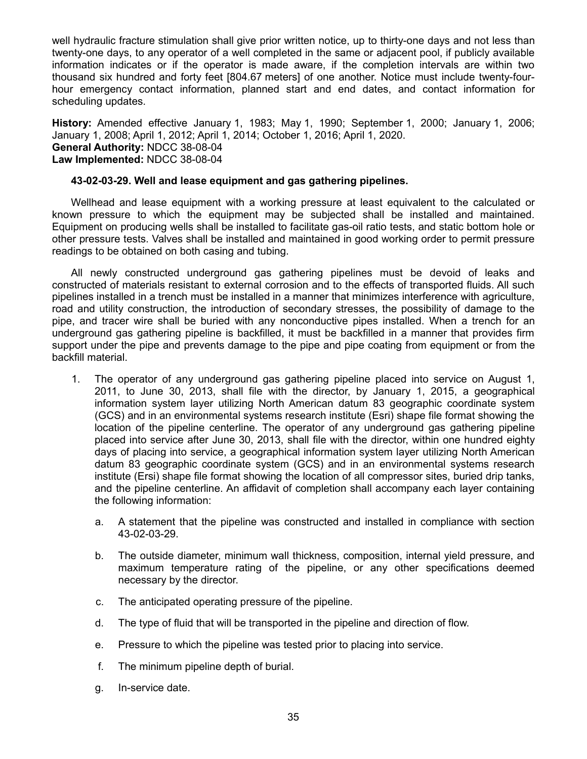well hydraulic fracture stimulation shall give prior written notice, up to thirty-one days and not less than twenty-one days, to any operator of a well completed in the same or adjacent pool, if publicly available information indicates or if the operator is made aware, if the completion intervals are within two thousand six hundred and forty feet [804.67 meters] of one another. Notice must include twenty-fourhour emergency contact information, planned start and end dates, and contact information for scheduling updates.

**History:** Amended effective January 1, 1983; May 1, 1990; September 1, 2000; January 1, 2006; January 1, 2008; April 1, 2012; April 1, 2014; October 1, 2016; April 1, 2020. **General Authority:** NDCC 38-08-04 **Law Implemented:** NDCC 38-08-04

### **43-02-03-29. Well and lease equipment and gas gathering pipelines.**

Wellhead and lease equipment with a working pressure at least equivalent to the calculated or known pressure to which the equipment may be subjected shall be installed and maintained. Equipment on producing wells shall be installed to facilitate gas-oil ratio tests, and static bottom hole or other pressure tests. Valves shall be installed and maintained in good working order to permit pressure readings to be obtained on both casing and tubing.

All newly constructed underground gas gathering pipelines must be devoid of leaks and constructed of materials resistant to external corrosion and to the effects of transported fluids. All such pipelines installed in a trench must be installed in a manner that minimizes interference with agriculture, road and utility construction, the introduction of secondary stresses, the possibility of damage to the pipe, and tracer wire shall be buried with any nonconductive pipes installed. When a trench for an underground gas gathering pipeline is backfilled, it must be backfilled in a manner that provides firm support under the pipe and prevents damage to the pipe and pipe coating from equipment or from the backfill material.

- 1. The operator of any underground gas gathering pipeline placed into service on August 1, 2011, to June 30, 2013, shall file with the director, by January 1, 2015, a geographical information system layer utilizing North American datum 83 geographic coordinate system (GCS) and in an environmental systems research institute (Esri) shape file format showing the location of the pipeline centerline. The operator of any underground gas gathering pipeline placed into service after June 30, 2013, shall file with the director, within one hundred eighty days of placing into service, a geographical information system layer utilizing North American datum 83 geographic coordinate system (GCS) and in an environmental systems research institute (Ersi) shape file format showing the location of all compressor sites, buried drip tanks, and the pipeline centerline. An affidavit of completion shall accompany each layer containing the following information:
	- a. A statement that the pipeline was constructed and installed in compliance with section 43-02-03-29.
	- b. The outside diameter, minimum wall thickness, composition, internal yield pressure, and maximum temperature rating of the pipeline, or any other specifications deemed necessary by the director.
	- c. The anticipated operating pressure of the pipeline.
	- d. The type of fluid that will be transported in the pipeline and direction of flow.
	- e. Pressure to which the pipeline was tested prior to placing into service.
	- f. The minimum pipeline depth of burial.
	- g. In-service date.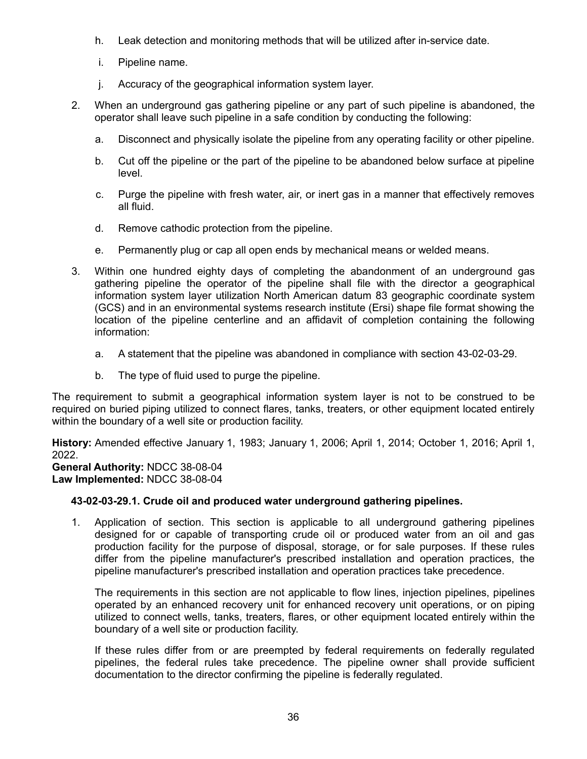- h. Leak detection and monitoring methods that will be utilized after in-service date.
- i. Pipeline name.
- j. Accuracy of the geographical information system layer.
- 2. When an underground gas gathering pipeline or any part of such pipeline is abandoned, the operator shall leave such pipeline in a safe condition by conducting the following:
	- a. Disconnect and physically isolate the pipeline from any operating facility or other pipeline.
	- b. Cut off the pipeline or the part of the pipeline to be abandoned below surface at pipeline level.
	- c. Purge the pipeline with fresh water, air, or inert gas in a manner that effectively removes all fluid.
	- d. Remove cathodic protection from the pipeline.
	- e. Permanently plug or cap all open ends by mechanical means or welded means.
- 3. Within one hundred eighty days of completing the abandonment of an underground gas gathering pipeline the operator of the pipeline shall file with the director a geographical information system layer utilization North American datum 83 geographic coordinate system (GCS) and in an environmental systems research institute (Ersi) shape file format showing the location of the pipeline centerline and an affidavit of completion containing the following information:
	- a. A statement that the pipeline was abandoned in compliance with section 43-02-03-29.
	- b. The type of fluid used to purge the pipeline.

The requirement to submit a geographical information system layer is not to be construed to be required on buried piping utilized to connect flares, tanks, treaters, or other equipment located entirely within the boundary of a well site or production facility.

**History:** Amended effective January 1, 1983; January 1, 2006; April 1, 2014; October 1, 2016; April 1, 2022.

**General Authority:** NDCC 38-08-04 **Law Implemented:** NDCC 38-08-04

# **43-02-03-29.1. Crude oil and produced water underground gathering pipelines.**

1. Application of section. This section is applicable to all underground gathering pipelines designed for or capable of transporting crude oil or produced water from an oil and gas production facility for the purpose of disposal, storage, or for sale purposes. If these rules differ from the pipeline manufacturer's prescribed installation and operation practices, the pipeline manufacturer's prescribed installation and operation practices take precedence.

The requirements in this section are not applicable to flow lines, injection pipelines, pipelines operated by an enhanced recovery unit for enhanced recovery unit operations, or on piping utilized to connect wells, tanks, treaters, flares, or other equipment located entirely within the boundary of a well site or production facility.

If these rules differ from or are preempted by federal requirements on federally regulated pipelines, the federal rules take precedence. The pipeline owner shall provide sufficient documentation to the director confirming the pipeline is federally regulated.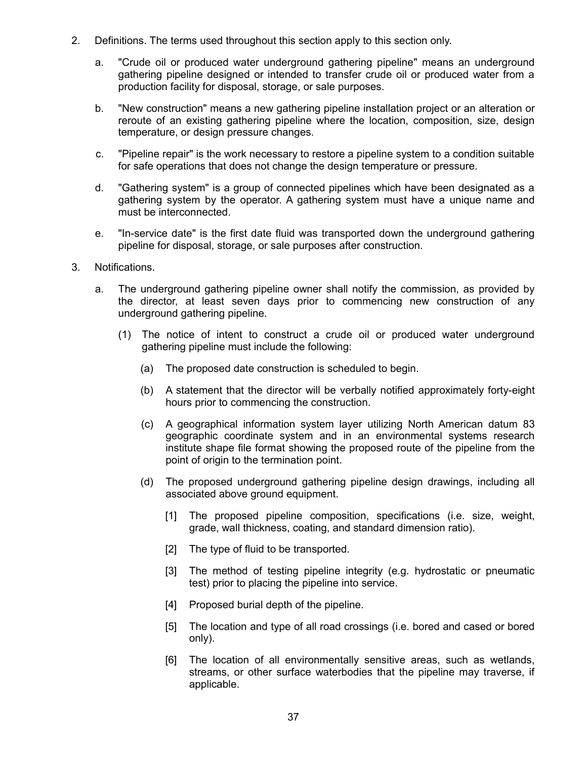- 2. Definitions. The terms used throughout this section apply to this section only.
	- a. "Crude oil or produced water underground gathering pipeline" means an underground gathering pipeline designed or intended to transfer crude oil or produced water from a production facility for disposal, storage, or sale purposes.
	- b. "New construction" means a new gathering pipeline installation project or an alteration or reroute of an existing gathering pipeline where the location, composition, size, design temperature, or design pressure changes.
	- c. "Pipeline repair" is the work necessary to restore a pipeline system to a condition suitable for safe operations that does not change the design temperature or pressure.
	- d. "Gathering system" is a group of connected pipelines which have been designated as a gathering system by the operator. A gathering system must have a unique name and must be interconnected.
	- e. "In-service date" is the first date fluid was transported down the underground gathering pipeline for disposal, storage, or sale purposes after construction.
- 3. Notifications.
	- a. The underground gathering pipeline owner shall notify the commission, as provided by the director, at least seven days prior to commencing new construction of any underground gathering pipeline.
		- (1) The notice of intent to construct a crude oil or produced water underground gathering pipeline must include the following:
			- (a) The proposed date construction is scheduled to begin.
			- (b) A statement that the director will be verbally notified approximately forty-eight hours prior to commencing the construction.
			- (c) A geographical information system layer utilizing North American datum 83 geographic coordinate system and in an environmental systems research institute shape file format showing the proposed route of the pipeline from the point of origin to the termination point.
			- (d) The proposed underground gathering pipeline design drawings, including all associated above ground equipment.
				- [1] The proposed pipeline composition, specifications (i.e. size, weight, grade, wall thickness, coating, and standard dimension ratio).
				- [2] The type of fluid to be transported.
				- [3] The method of testing pipeline integrity (e.g. hydrostatic or pneumatic test) prior to placing the pipeline into service.
				- [4] Proposed burial depth of the pipeline.
				- [5] The location and type of all road crossings (i.e. bored and cased or bored only).
				- [6] The location of all environmentally sensitive areas, such as wetlands, streams, or other surface waterbodies that the pipeline may traverse, if applicable.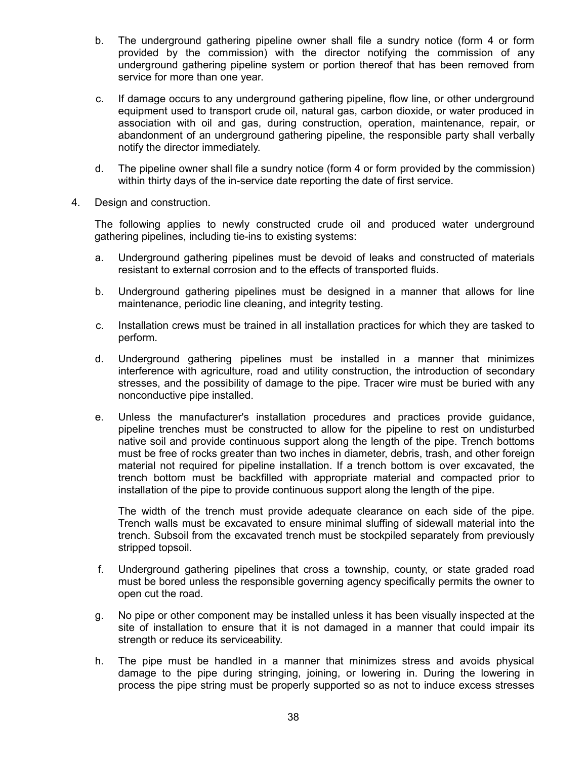- b. The underground gathering pipeline owner shall file a sundry notice (form 4 or form provided by the commission) with the director notifying the commission of any underground gathering pipeline system or portion thereof that has been removed from service for more than one year.
- c. If damage occurs to any underground gathering pipeline, flow line, or other underground equipment used to transport crude oil, natural gas, carbon dioxide, or water produced in association with oil and gas, during construction, operation, maintenance, repair, or abandonment of an underground gathering pipeline, the responsible party shall verbally notify the director immediately.
- d. The pipeline owner shall file a sundry notice (form 4 or form provided by the commission) within thirty days of the in-service date reporting the date of first service.
- 4. Design and construction.

The following applies to newly constructed crude oil and produced water underground gathering pipelines, including tie-ins to existing systems:

- a. Underground gathering pipelines must be devoid of leaks and constructed of materials resistant to external corrosion and to the effects of transported fluids.
- b. Underground gathering pipelines must be designed in a manner that allows for line maintenance, periodic line cleaning, and integrity testing.
- c. Installation crews must be trained in all installation practices for which they are tasked to perform.
- d. Underground gathering pipelines must be installed in a manner that minimizes interference with agriculture, road and utility construction, the introduction of secondary stresses, and the possibility of damage to the pipe. Tracer wire must be buried with any nonconductive pipe installed.
- e. Unless the manufacturer's installation procedures and practices provide guidance, pipeline trenches must be constructed to allow for the pipeline to rest on undisturbed native soil and provide continuous support along the length of the pipe. Trench bottoms must be free of rocks greater than two inches in diameter, debris, trash, and other foreign material not required for pipeline installation. If a trench bottom is over excavated, the trench bottom must be backfilled with appropriate material and compacted prior to installation of the pipe to provide continuous support along the length of the pipe.

The width of the trench must provide adequate clearance on each side of the pipe. Trench walls must be excavated to ensure minimal sluffing of sidewall material into the trench. Subsoil from the excavated trench must be stockpiled separately from previously stripped topsoil.

- f. Underground gathering pipelines that cross a township, county, or state graded road must be bored unless the responsible governing agency specifically permits the owner to open cut the road.
- g. No pipe or other component may be installed unless it has been visually inspected at the site of installation to ensure that it is not damaged in a manner that could impair its strength or reduce its serviceability.
- h. The pipe must be handled in a manner that minimizes stress and avoids physical damage to the pipe during stringing, joining, or lowering in. During the lowering in process the pipe string must be properly supported so as not to induce excess stresses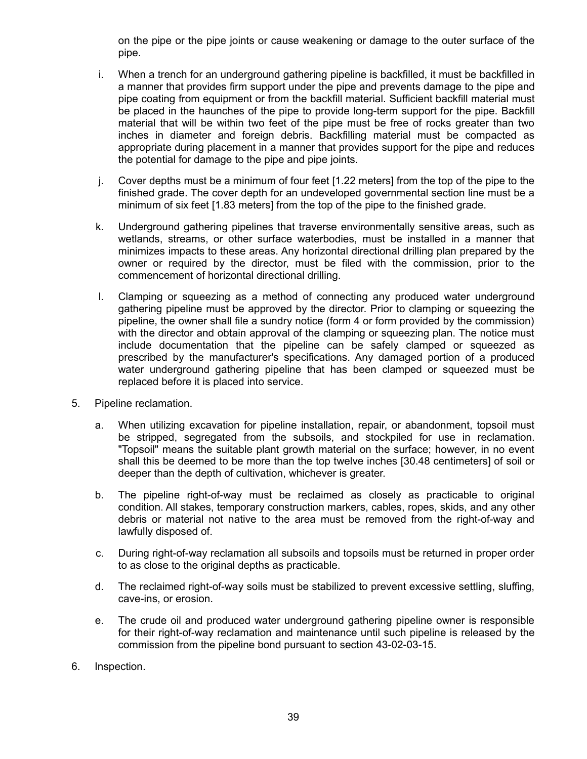on the pipe or the pipe joints or cause weakening or damage to the outer surface of the pipe.

- i. When a trench for an underground gathering pipeline is backfilled, it must be backfilled in a manner that provides firm support under the pipe and prevents damage to the pipe and pipe coating from equipment or from the backfill material. Sufficient backfill material must be placed in the haunches of the pipe to provide long-term support for the pipe. Backfill material that will be within two feet of the pipe must be free of rocks greater than two inches in diameter and foreign debris. Backfilling material must be compacted as appropriate during placement in a manner that provides support for the pipe and reduces the potential for damage to the pipe and pipe joints.
- j. Cover depths must be a minimum of four feet [1.22 meters] from the top of the pipe to the finished grade. The cover depth for an undeveloped governmental section line must be a minimum of six feet [1.83 meters] from the top of the pipe to the finished grade.
- k. Underground gathering pipelines that traverse environmentally sensitive areas, such as wetlands, streams, or other surface waterbodies, must be installed in a manner that minimizes impacts to these areas. Any horizontal directional drilling plan prepared by the owner or required by the director, must be filed with the commission, prior to the commencement of horizontal directional drilling.
- l. Clamping or squeezing as a method of connecting any produced water underground gathering pipeline must be approved by the director. Prior to clamping or squeezing the pipeline, the owner shall file a sundry notice (form 4 or form provided by the commission) with the director and obtain approval of the clamping or squeezing plan. The notice must include documentation that the pipeline can be safely clamped or squeezed as prescribed by the manufacturer's specifications. Any damaged portion of a produced water underground gathering pipeline that has been clamped or squeezed must be replaced before it is placed into service.
- 5. Pipeline reclamation.
	- a. When utilizing excavation for pipeline installation, repair, or abandonment, topsoil must be stripped, segregated from the subsoils, and stockpiled for use in reclamation. "Topsoil" means the suitable plant growth material on the surface; however, in no event shall this be deemed to be more than the top twelve inches [30.48 centimeters] of soil or deeper than the depth of cultivation, whichever is greater.
	- b. The pipeline right-of-way must be reclaimed as closely as practicable to original condition. All stakes, temporary construction markers, cables, ropes, skids, and any other debris or material not native to the area must be removed from the right-of-way and lawfully disposed of.
	- c. During right-of-way reclamation all subsoils and topsoils must be returned in proper order to as close to the original depths as practicable.
	- d. The reclaimed right-of-way soils must be stabilized to prevent excessive settling, sluffing, cave-ins, or erosion.
	- e. The crude oil and produced water underground gathering pipeline owner is responsible for their right-of-way reclamation and maintenance until such pipeline is released by the commission from the pipeline bond pursuant to section 43-02-03-15.
- 6. Inspection.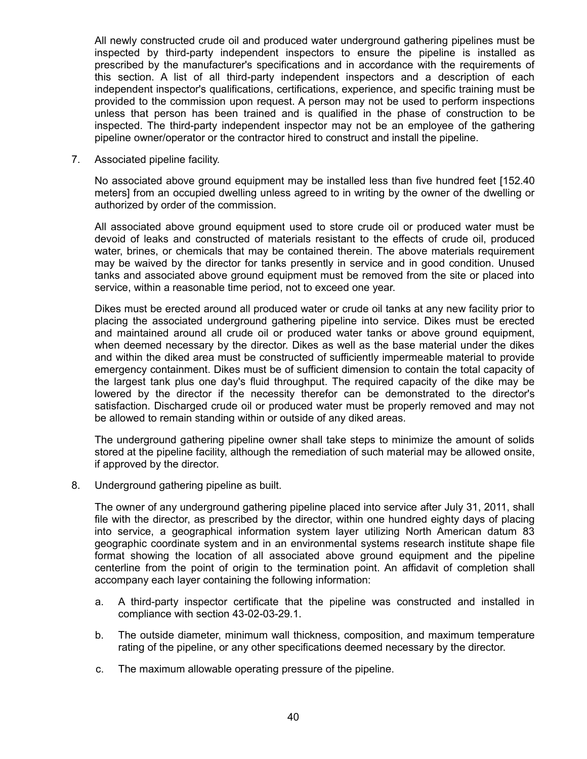All newly constructed crude oil and produced water underground gathering pipelines must be inspected by third-party independent inspectors to ensure the pipeline is installed as prescribed by the manufacturer's specifications and in accordance with the requirements of this section. A list of all third-party independent inspectors and a description of each independent inspector's qualifications, certifications, experience, and specific training must be provided to the commission upon request. A person may not be used to perform inspections unless that person has been trained and is qualified in the phase of construction to be inspected. The third-party independent inspector may not be an employee of the gathering pipeline owner/operator or the contractor hired to construct and install the pipeline.

7. Associated pipeline facility.

No associated above ground equipment may be installed less than five hundred feet [152.40 meters] from an occupied dwelling unless agreed to in writing by the owner of the dwelling or authorized by order of the commission.

All associated above ground equipment used to store crude oil or produced water must be devoid of leaks and constructed of materials resistant to the effects of crude oil, produced water, brines, or chemicals that may be contained therein. The above materials requirement may be waived by the director for tanks presently in service and in good condition. Unused tanks and associated above ground equipment must be removed from the site or placed into service, within a reasonable time period, not to exceed one year.

Dikes must be erected around all produced water or crude oil tanks at any new facility prior to placing the associated underground gathering pipeline into service. Dikes must be erected and maintained around all crude oil or produced water tanks or above ground equipment, when deemed necessary by the director. Dikes as well as the base material under the dikes and within the diked area must be constructed of sufficiently impermeable material to provide emergency containment. Dikes must be of sufficient dimension to contain the total capacity of the largest tank plus one day's fluid throughput. The required capacity of the dike may be lowered by the director if the necessity therefor can be demonstrated to the director's satisfaction. Discharged crude oil or produced water must be properly removed and may not be allowed to remain standing within or outside of any diked areas.

The underground gathering pipeline owner shall take steps to minimize the amount of solids stored at the pipeline facility, although the remediation of such material may be allowed onsite, if approved by the director.

8. Underground gathering pipeline as built.

The owner of any underground gathering pipeline placed into service after July 31, 2011, shall file with the director, as prescribed by the director, within one hundred eighty days of placing into service, a geographical information system layer utilizing North American datum 83 geographic coordinate system and in an environmental systems research institute shape file format showing the location of all associated above ground equipment and the pipeline centerline from the point of origin to the termination point. An affidavit of completion shall accompany each layer containing the following information:

- a. A third-party inspector certificate that the pipeline was constructed and installed in compliance with section 43-02-03-29.1.
- b. The outside diameter, minimum wall thickness, composition, and maximum temperature rating of the pipeline, or any other specifications deemed necessary by the director.
- c. The maximum allowable operating pressure of the pipeline.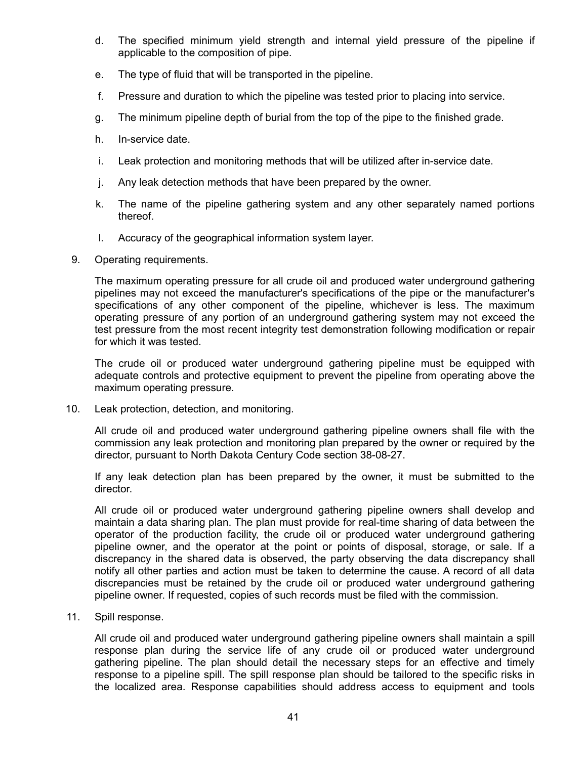- d. The specified minimum yield strength and internal yield pressure of the pipeline if applicable to the composition of pipe.
- e. The type of fluid that will be transported in the pipeline.
- f. Pressure and duration to which the pipeline was tested prior to placing into service.
- g. The minimum pipeline depth of burial from the top of the pipe to the finished grade.
- h. In-service date.
- i. Leak protection and monitoring methods that will be utilized after in-service date.
- j. Any leak detection methods that have been prepared by the owner.
- k. The name of the pipeline gathering system and any other separately named portions thereof.
- l. Accuracy of the geographical information system layer.
- 9. Operating requirements.

The maximum operating pressure for all crude oil and produced water underground gathering pipelines may not exceed the manufacturer's specifications of the pipe or the manufacturer's specifications of any other component of the pipeline, whichever is less. The maximum operating pressure of any portion of an underground gathering system may not exceed the test pressure from the most recent integrity test demonstration following modification or repair for which it was tested.

The crude oil or produced water underground gathering pipeline must be equipped with adequate controls and protective equipment to prevent the pipeline from operating above the maximum operating pressure.

10. Leak protection, detection, and monitoring.

All crude oil and produced water underground gathering pipeline owners shall file with the commission any leak protection and monitoring plan prepared by the owner or required by the director, pursuant to North Dakota Century Code section 38-08-27.

If any leak detection plan has been prepared by the owner, it must be submitted to the director.

All crude oil or produced water underground gathering pipeline owners shall develop and maintain a data sharing plan. The plan must provide for real-time sharing of data between the operator of the production facility, the crude oil or produced water underground gathering pipeline owner, and the operator at the point or points of disposal, storage, or sale. If a discrepancy in the shared data is observed, the party observing the data discrepancy shall notify all other parties and action must be taken to determine the cause. A record of all data discrepancies must be retained by the crude oil or produced water underground gathering pipeline owner. If requested, copies of such records must be filed with the commission.

11. Spill response.

All crude oil and produced water underground gathering pipeline owners shall maintain a spill response plan during the service life of any crude oil or produced water underground gathering pipeline. The plan should detail the necessary steps for an effective and timely response to a pipeline spill. The spill response plan should be tailored to the specific risks in the localized area. Response capabilities should address access to equipment and tools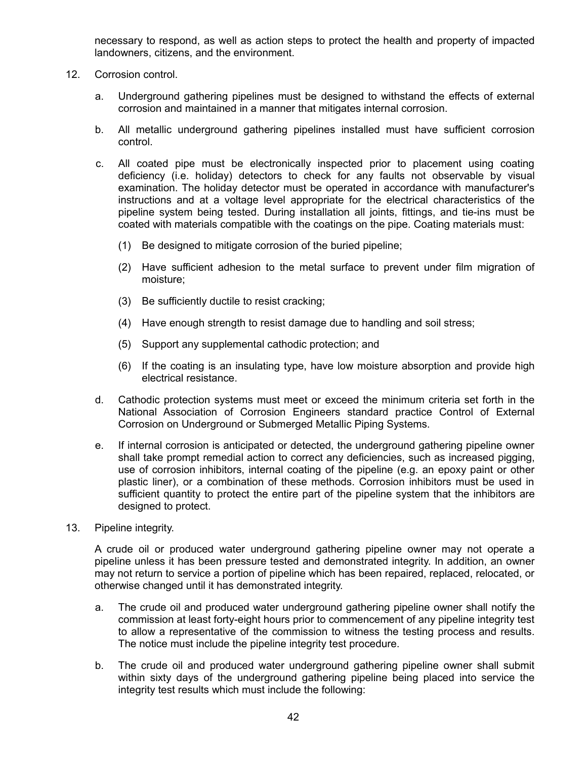necessary to respond, as well as action steps to protect the health and property of impacted landowners, citizens, and the environment.

- 12. Corrosion control.
	- a. Underground gathering pipelines must be designed to withstand the effects of external corrosion and maintained in a manner that mitigates internal corrosion.
	- b. All metallic underground gathering pipelines installed must have sufficient corrosion control.
	- c. All coated pipe must be electronically inspected prior to placement using coating deficiency (i.e. holiday) detectors to check for any faults not observable by visual examination. The holiday detector must be operated in accordance with manufacturer's instructions and at a voltage level appropriate for the electrical characteristics of the pipeline system being tested. During installation all joints, fittings, and tie-ins must be coated with materials compatible with the coatings on the pipe. Coating materials must:
		- (1) Be designed to mitigate corrosion of the buried pipeline;
		- (2) Have sufficient adhesion to the metal surface to prevent under film migration of moisture;
		- (3) Be sufficiently ductile to resist cracking;
		- (4) Have enough strength to resist damage due to handling and soil stress;
		- (5) Support any supplemental cathodic protection; and
		- (6) If the coating is an insulating type, have low moisture absorption and provide high electrical resistance.
	- d. Cathodic protection systems must meet or exceed the minimum criteria set forth in the National Association of Corrosion Engineers standard practice Control of External Corrosion on Underground or Submerged Metallic Piping Systems.
	- e. If internal corrosion is anticipated or detected, the underground gathering pipeline owner shall take prompt remedial action to correct any deficiencies, such as increased pigging, use of corrosion inhibitors, internal coating of the pipeline (e.g. an epoxy paint or other plastic liner), or a combination of these methods. Corrosion inhibitors must be used in sufficient quantity to protect the entire part of the pipeline system that the inhibitors are designed to protect.
- 13. Pipeline integrity.

A crude oil or produced water underground gathering pipeline owner may not operate a pipeline unless it has been pressure tested and demonstrated integrity. In addition, an owner may not return to service a portion of pipeline which has been repaired, replaced, relocated, or otherwise changed until it has demonstrated integrity.

- a. The crude oil and produced water underground gathering pipeline owner shall notify the commission at least forty-eight hours prior to commencement of any pipeline integrity test to allow a representative of the commission to witness the testing process and results. The notice must include the pipeline integrity test procedure.
- b. The crude oil and produced water underground gathering pipeline owner shall submit within sixty days of the underground gathering pipeline being placed into service the integrity test results which must include the following: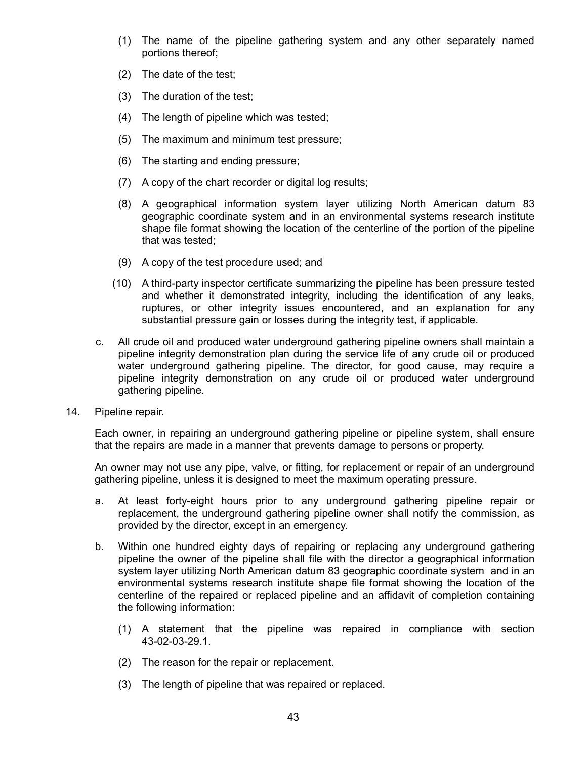- (1) The name of the pipeline gathering system and any other separately named portions thereof;
- (2) The date of the test;
- (3) The duration of the test;
- (4) The length of pipeline which was tested;
- (5) The maximum and minimum test pressure;
- (6) The starting and ending pressure;
- (7) A copy of the chart recorder or digital log results;
- (8) A geographical information system layer utilizing North American datum 83 geographic coordinate system and in an environmental systems research institute shape file format showing the location of the centerline of the portion of the pipeline that was tested;
- (9) A copy of the test procedure used; and
- (10) A third-party inspector certificate summarizing the pipeline has been pressure tested and whether it demonstrated integrity, including the identification of any leaks, ruptures, or other integrity issues encountered, and an explanation for any substantial pressure gain or losses during the integrity test, if applicable.
- c. All crude oil and produced water underground gathering pipeline owners shall maintain a pipeline integrity demonstration plan during the service life of any crude oil or produced water underground gathering pipeline. The director, for good cause, may require a pipeline integrity demonstration on any crude oil or produced water underground gathering pipeline.
- 14. Pipeline repair.

Each owner, in repairing an underground gathering pipeline or pipeline system, shall ensure that the repairs are made in a manner that prevents damage to persons or property.

An owner may not use any pipe, valve, or fitting, for replacement or repair of an underground gathering pipeline, unless it is designed to meet the maximum operating pressure.

- a. At least forty-eight hours prior to any underground gathering pipeline repair or replacement, the underground gathering pipeline owner shall notify the commission, as provided by the director, except in an emergency.
- b. Within one hundred eighty days of repairing or replacing any underground gathering pipeline the owner of the pipeline shall file with the director a geographical information system layer utilizing North American datum 83 geographic coordinate system and in an environmental systems research institute shape file format showing the location of the centerline of the repaired or replaced pipeline and an affidavit of completion containing the following information:
	- (1) A statement that the pipeline was repaired in compliance with section 43-02-03-29.1.
	- (2) The reason for the repair or replacement.
	- (3) The length of pipeline that was repaired or replaced.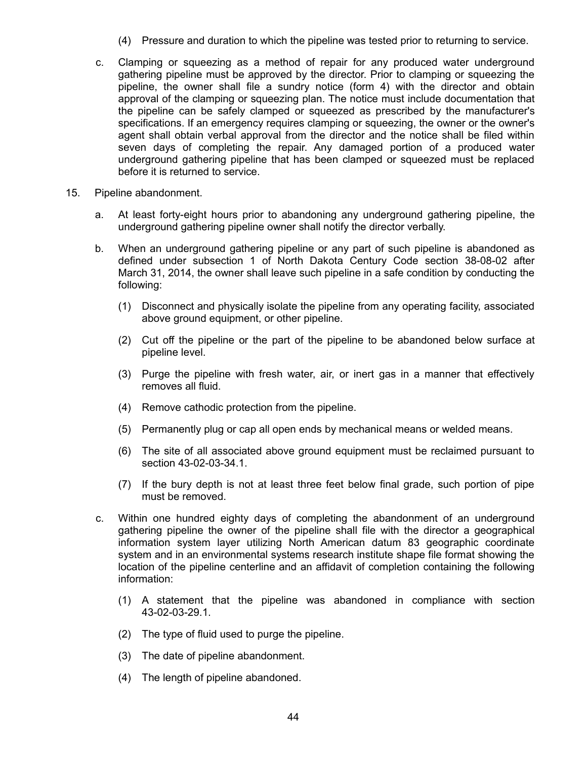- (4) Pressure and duration to which the pipeline was tested prior to returning to service.
- c. Clamping or squeezing as a method of repair for any produced water underground gathering pipeline must be approved by the director. Prior to clamping or squeezing the pipeline, the owner shall file a sundry notice (form 4) with the director and obtain approval of the clamping or squeezing plan. The notice must include documentation that the pipeline can be safely clamped or squeezed as prescribed by the manufacturer's specifications. If an emergency requires clamping or squeezing, the owner or the owner's agent shall obtain verbal approval from the director and the notice shall be filed within seven days of completing the repair. Any damaged portion of a produced water underground gathering pipeline that has been clamped or squeezed must be replaced before it is returned to service.
- 15. Pipeline abandonment.
	- a. At least forty-eight hours prior to abandoning any underground gathering pipeline, the underground gathering pipeline owner shall notify the director verbally.
	- b. When an underground gathering pipeline or any part of such pipeline is abandoned as defined under subsection 1 of North Dakota Century Code section 38-08-02 after March 31, 2014, the owner shall leave such pipeline in a safe condition by conducting the following:
		- (1) Disconnect and physically isolate the pipeline from any operating facility, associated above ground equipment, or other pipeline.
		- (2) Cut off the pipeline or the part of the pipeline to be abandoned below surface at pipeline level.
		- (3) Purge the pipeline with fresh water, air, or inert gas in a manner that effectively removes all fluid.
		- (4) Remove cathodic protection from the pipeline.
		- (5) Permanently plug or cap all open ends by mechanical means or welded means.
		- (6) The site of all associated above ground equipment must be reclaimed pursuant to section 43-02-03-34.1.
		- (7) If the bury depth is not at least three feet below final grade, such portion of pipe must be removed.
	- c. Within one hundred eighty days of completing the abandonment of an underground gathering pipeline the owner of the pipeline shall file with the director a geographical information system layer utilizing North American datum 83 geographic coordinate system and in an environmental systems research institute shape file format showing the location of the pipeline centerline and an affidavit of completion containing the following information:
		- (1) A statement that the pipeline was abandoned in compliance with section 43-02-03-29.1.
		- (2) The type of fluid used to purge the pipeline.
		- (3) The date of pipeline abandonment.
		- (4) The length of pipeline abandoned.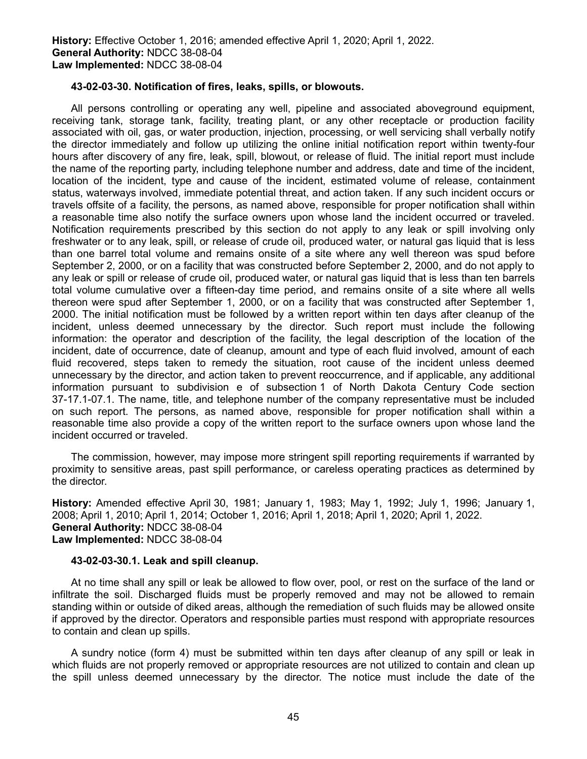#### **43-02-03-30. Notification of fires, leaks, spills, or blowouts.**

All persons controlling or operating any well, pipeline and associated aboveground equipment, receiving tank, storage tank, facility, treating plant, or any other receptacle or production facility associated with oil, gas, or water production, injection, processing, or well servicing shall verbally notify the director immediately and follow up utilizing the online initial notification report within twenty-four hours after discovery of any fire, leak, spill, blowout, or release of fluid. The initial report must include the name of the reporting party, including telephone number and address, date and time of the incident, location of the incident, type and cause of the incident, estimated volume of release, containment status, waterways involved, immediate potential threat, and action taken. If any such incident occurs or travels offsite of a facility, the persons, as named above, responsible for proper notification shall within a reasonable time also notify the surface owners upon whose land the incident occurred or traveled. Notification requirements prescribed by this section do not apply to any leak or spill involving only freshwater or to any leak, spill, or release of crude oil, produced water, or natural gas liquid that is less than one barrel total volume and remains onsite of a site where any well thereon was spud before September 2, 2000, or on a facility that was constructed before September 2, 2000, and do not apply to any leak or spill or release of crude oil, produced water, or natural gas liquid that is less than ten barrels total volume cumulative over a fifteen-day time period, and remains onsite of a site where all wells thereon were spud after September 1, 2000, or on a facility that was constructed after September 1, 2000. The initial notification must be followed by a written report within ten days after cleanup of the incident, unless deemed unnecessary by the director. Such report must include the following information: the operator and description of the facility, the legal description of the location of the incident, date of occurrence, date of cleanup, amount and type of each fluid involved, amount of each fluid recovered, steps taken to remedy the situation, root cause of the incident unless deemed unnecessary by the director, and action taken to prevent reoccurrence, and if applicable, any additional information pursuant to subdivision e of subsection 1 of North Dakota Century Code section 37-17.1-07.1. The name, title, and telephone number of the company representative must be included on such report. The persons, as named above, responsible for proper notification shall within a reasonable time also provide a copy of the written report to the surface owners upon whose land the incident occurred or traveled.

The commission, however, may impose more stringent spill reporting requirements if warranted by proximity to sensitive areas, past spill performance, or careless operating practices as determined by the director.

**History:** Amended effective April 30, 1981; January 1, 1983; May 1, 1992; July 1, 1996; January 1, 2008; April 1, 2010; April 1, 2014; October 1, 2016; April 1, 2018; April 1, 2020; April 1, 2022. **General Authority:** NDCC 38-08-04 **Law Implemented:** NDCC 38-08-04

#### **43-02-03-30.1. Leak and spill cleanup.**

At no time shall any spill or leak be allowed to flow over, pool, or rest on the surface of the land or infiltrate the soil. Discharged fluids must be properly removed and may not be allowed to remain standing within or outside of diked areas, although the remediation of such fluids may be allowed onsite if approved by the director. Operators and responsible parties must respond with appropriate resources to contain and clean up spills.

A sundry notice (form 4) must be submitted within ten days after cleanup of any spill or leak in which fluids are not properly removed or appropriate resources are not utilized to contain and clean up the spill unless deemed unnecessary by the director. The notice must include the date of the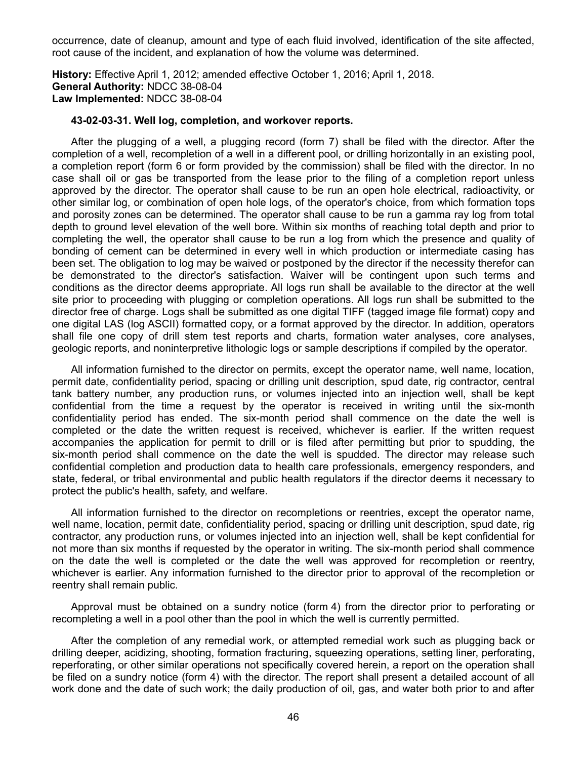occurrence, date of cleanup, amount and type of each fluid involved, identification of the site affected, root cause of the incident, and explanation of how the volume was determined.

**History:** Effective April 1, 2012; amended effective October 1, 2016; April 1, 2018. **General Authority:** NDCC 38-08-04 **Law Implemented:** NDCC 38-08-04

#### **43-02-03-31. Well log, completion, and workover reports.**

After the plugging of a well, a plugging record (form 7) shall be filed with the director. After the completion of a well, recompletion of a well in a different pool, or drilling horizontally in an existing pool, a completion report (form 6 or form provided by the commission) shall be filed with the director. In no case shall oil or gas be transported from the lease prior to the filing of a completion report unless approved by the director. The operator shall cause to be run an open hole electrical, radioactivity, or other similar log, or combination of open hole logs, of the operator's choice, from which formation tops and porosity zones can be determined. The operator shall cause to be run a gamma ray log from total depth to ground level elevation of the well bore. Within six months of reaching total depth and prior to completing the well, the operator shall cause to be run a log from which the presence and quality of bonding of cement can be determined in every well in which production or intermediate casing has been set. The obligation to log may be waived or postponed by the director if the necessity therefor can be demonstrated to the director's satisfaction. Waiver will be contingent upon such terms and conditions as the director deems appropriate. All logs run shall be available to the director at the well site prior to proceeding with plugging or completion operations. All logs run shall be submitted to the director free of charge. Logs shall be submitted as one digital TIFF (tagged image file format) copy and one digital LAS (log ASCII) formatted copy, or a format approved by the director. In addition, operators shall file one copy of drill stem test reports and charts, formation water analyses, core analyses, geologic reports, and noninterpretive lithologic logs or sample descriptions if compiled by the operator.

All information furnished to the director on permits, except the operator name, well name, location, permit date, confidentiality period, spacing or drilling unit description, spud date, rig contractor, central tank battery number, any production runs, or volumes injected into an injection well, shall be kept confidential from the time a request by the operator is received in writing until the six-month confidentiality period has ended. The six-month period shall commence on the date the well is completed or the date the written request is received, whichever is earlier. If the written request accompanies the application for permit to drill or is filed after permitting but prior to spudding, the six-month period shall commence on the date the well is spudded. The director may release such confidential completion and production data to health care professionals, emergency responders, and state, federal, or tribal environmental and public health regulators if the director deems it necessary to protect the public's health, safety, and welfare.

All information furnished to the director on recompletions or reentries, except the operator name, well name, location, permit date, confidentiality period, spacing or drilling unit description, spud date, rig contractor, any production runs, or volumes injected into an injection well, shall be kept confidential for not more than six months if requested by the operator in writing. The six-month period shall commence on the date the well is completed or the date the well was approved for recompletion or reentry, whichever is earlier. Any information furnished to the director prior to approval of the recompletion or reentry shall remain public.

Approval must be obtained on a sundry notice (form 4) from the director prior to perforating or recompleting a well in a pool other than the pool in which the well is currently permitted.

After the completion of any remedial work, or attempted remedial work such as plugging back or drilling deeper, acidizing, shooting, formation fracturing, squeezing operations, setting liner, perforating, reperforating, or other similar operations not specifically covered herein, a report on the operation shall be filed on a sundry notice (form 4) with the director. The report shall present a detailed account of all work done and the date of such work; the daily production of oil, gas, and water both prior to and after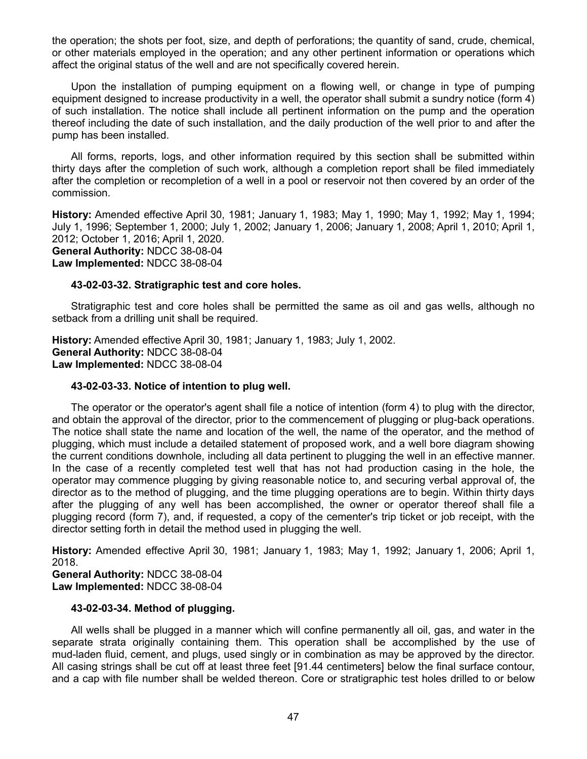the operation; the shots per foot, size, and depth of perforations; the quantity of sand, crude, chemical, or other materials employed in the operation; and any other pertinent information or operations which affect the original status of the well and are not specifically covered herein.

Upon the installation of pumping equipment on a flowing well, or change in type of pumping equipment designed to increase productivity in a well, the operator shall submit a sundry notice (form 4) of such installation. The notice shall include all pertinent information on the pump and the operation thereof including the date of such installation, and the daily production of the well prior to and after the pump has been installed.

All forms, reports, logs, and other information required by this section shall be submitted within thirty days after the completion of such work, although a completion report shall be filed immediately after the completion or recompletion of a well in a pool or reservoir not then covered by an order of the commission.

**History:** Amended effective April 30, 1981; January 1, 1983; May 1, 1990; May 1, 1992; May 1, 1994; July 1, 1996; September 1, 2000; July 1, 2002; January 1, 2006; January 1, 2008; April 1, 2010; April 1, 2012; October 1, 2016; April 1, 2020. **General Authority:** NDCC 38-08-04 **Law Implemented:** NDCC 38-08-04

### **43-02-03-32. Stratigraphic test and core holes.**

Stratigraphic test and core holes shall be permitted the same as oil and gas wells, although no setback from a drilling unit shall be required.

**History:** Amended effective April 30, 1981; January 1, 1983; July 1, 2002. **General Authority:** NDCC 38-08-04 **Law Implemented:** NDCC 38-08-04

### **43-02-03-33. Notice of intention to plug well.**

The operator or the operator's agent shall file a notice of intention (form 4) to plug with the director, and obtain the approval of the director, prior to the commencement of plugging or plug-back operations. The notice shall state the name and location of the well, the name of the operator, and the method of plugging, which must include a detailed statement of proposed work, and a well bore diagram showing the current conditions downhole, including all data pertinent to plugging the well in an effective manner. In the case of a recently completed test well that has not had production casing in the hole, the operator may commence plugging by giving reasonable notice to, and securing verbal approval of, the director as to the method of plugging, and the time plugging operations are to begin. Within thirty days after the plugging of any well has been accomplished, the owner or operator thereof shall file a plugging record (form 7), and, if requested, a copy of the cementer's trip ticket or job receipt, with the director setting forth in detail the method used in plugging the well.

**History:** Amended effective April 30, 1981; January 1, 1983; May 1, 1992; January 1, 2006; April 1, 2018.

**General Authority:** NDCC 38-08-04 **Law Implemented:** NDCC 38-08-04

## **43-02-03-34. Method of plugging.**

All wells shall be plugged in a manner which will confine permanently all oil, gas, and water in the separate strata originally containing them. This operation shall be accomplished by the use of mud-laden fluid, cement, and plugs, used singly or in combination as may be approved by the director. All casing strings shall be cut off at least three feet [91.44 centimeters] below the final surface contour, and a cap with file number shall be welded thereon. Core or stratigraphic test holes drilled to or below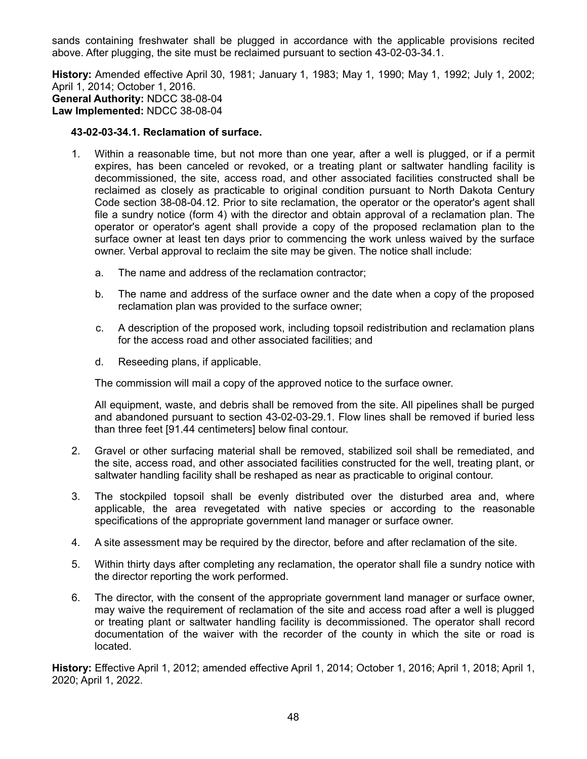sands containing freshwater shall be plugged in accordance with the applicable provisions recited above. After plugging, the site must be reclaimed pursuant to section 43-02-03-34.1.

**History:** Amended effective April 30, 1981; January 1, 1983; May 1, 1990; May 1, 1992; July 1, 2002; April 1, 2014; October 1, 2016. **General Authority:** NDCC 38-08-04 **Law Implemented:** NDCC 38-08-04

## **43-02-03-34.1. Reclamation of surface.**

- 1. Within a reasonable time, but not more than one year, after a well is plugged, or if a permit expires, has been canceled or revoked, or a treating plant or saltwater handling facility is decommissioned, the site, access road, and other associated facilities constructed shall be reclaimed as closely as practicable to original condition pursuant to North Dakota Century Code section 38-08-04.12. Prior to site reclamation, the operator or the operator's agent shall file a sundry notice (form 4) with the director and obtain approval of a reclamation plan. The operator or operator's agent shall provide a copy of the proposed reclamation plan to the surface owner at least ten days prior to commencing the work unless waived by the surface owner. Verbal approval to reclaim the site may be given. The notice shall include:
	- a. The name and address of the reclamation contractor;
	- b. The name and address of the surface owner and the date when a copy of the proposed reclamation plan was provided to the surface owner;
	- c. A description of the proposed work, including topsoil redistribution and reclamation plans for the access road and other associated facilities; and
	- d. Reseeding plans, if applicable.

The commission will mail a copy of the approved notice to the surface owner.

All equipment, waste, and debris shall be removed from the site. All pipelines shall be purged and abandoned pursuant to section 43-02-03-29.1. Flow lines shall be removed if buried less than three feet [91.44 centimeters] below final contour.

- 2. Gravel or other surfacing material shall be removed, stabilized soil shall be remediated, and the site, access road, and other associated facilities constructed for the well, treating plant, or saltwater handling facility shall be reshaped as near as practicable to original contour.
- 3. The stockpiled topsoil shall be evenly distributed over the disturbed area and, where applicable, the area revegetated with native species or according to the reasonable specifications of the appropriate government land manager or surface owner.
- 4. A site assessment may be required by the director, before and after reclamation of the site.
- 5. Within thirty days after completing any reclamation, the operator shall file a sundry notice with the director reporting the work performed.
- 6. The director, with the consent of the appropriate government land manager or surface owner, may waive the requirement of reclamation of the site and access road after a well is plugged or treating plant or saltwater handling facility is decommissioned. The operator shall record documentation of the waiver with the recorder of the county in which the site or road is located.

**History:** Effective April 1, 2012; amended effective April 1, 2014; October 1, 2016; April 1, 2018; April 1, 2020; April 1, 2022.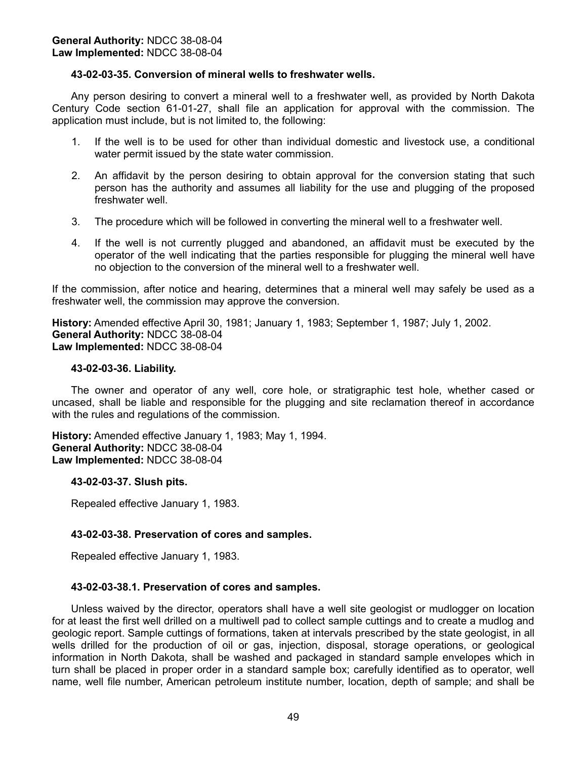## **43-02-03-35. Conversion of mineral wells to freshwater wells.**

Any person desiring to convert a mineral well to a freshwater well, as provided by North Dakota Century Code section 61-01-27, shall file an application for approval with the commission. The application must include, but is not limited to, the following:

- 1. If the well is to be used for other than individual domestic and livestock use, a conditional water permit issued by the state water commission.
- 2. An affidavit by the person desiring to obtain approval for the conversion stating that such person has the authority and assumes all liability for the use and plugging of the proposed freshwater well.
- 3. The procedure which will be followed in converting the mineral well to a freshwater well.
- 4. If the well is not currently plugged and abandoned, an affidavit must be executed by the operator of the well indicating that the parties responsible for plugging the mineral well have no objection to the conversion of the mineral well to a freshwater well.

If the commission, after notice and hearing, determines that a mineral well may safely be used as a freshwater well, the commission may approve the conversion.

**History:** Amended effective April 30, 1981; January 1, 1983; September 1, 1987; July 1, 2002. **General Authority:** NDCC 38-08-04 **Law Implemented:** NDCC 38-08-04

## **43-02-03-36. Liability.**

The owner and operator of any well, core hole, or stratigraphic test hole, whether cased or uncased, shall be liable and responsible for the plugging and site reclamation thereof in accordance with the rules and regulations of the commission.

**History:** Amended effective January 1, 1983; May 1, 1994. **General Authority:** NDCC 38-08-04 **Law Implemented:** NDCC 38-08-04

### **43-02-03-37. Slush pits.**

Repealed effective January 1, 1983.

# **43-02-03-38. Preservation of cores and samples.**

Repealed effective January 1, 1983.

# **43-02-03-38.1. Preservation of cores and samples.**

Unless waived by the director, operators shall have a well site geologist or mudlogger on location for at least the first well drilled on a multiwell pad to collect sample cuttings and to create a mudlog and geologic report. Sample cuttings of formations, taken at intervals prescribed by the state geologist, in all wells drilled for the production of oil or gas, injection, disposal, storage operations, or geological information in North Dakota, shall be washed and packaged in standard sample envelopes which in turn shall be placed in proper order in a standard sample box; carefully identified as to operator, well name, well file number, American petroleum institute number, location, depth of sample; and shall be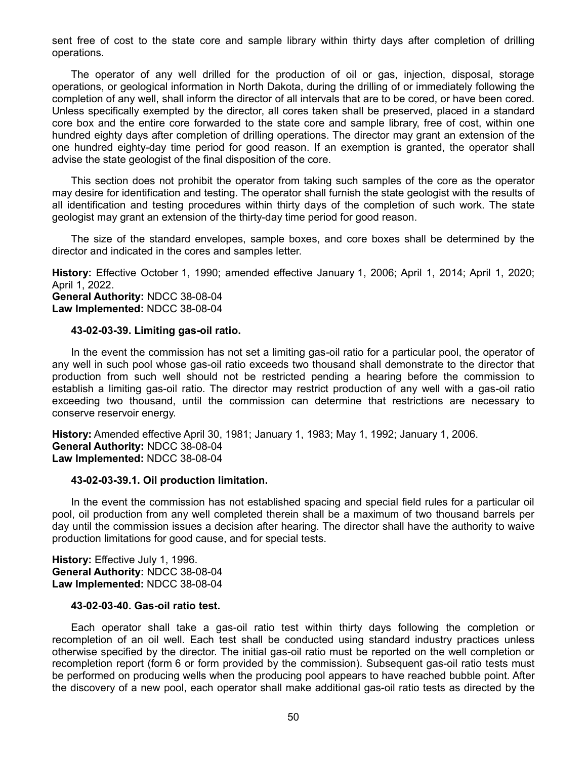sent free of cost to the state core and sample library within thirty days after completion of drilling operations.

The operator of any well drilled for the production of oil or gas, injection, disposal, storage operations, or geological information in North Dakota, during the drilling of or immediately following the completion of any well, shall inform the director of all intervals that are to be cored, or have been cored. Unless specifically exempted by the director, all cores taken shall be preserved, placed in a standard core box and the entire core forwarded to the state core and sample library, free of cost, within one hundred eighty days after completion of drilling operations. The director may grant an extension of the one hundred eighty-day time period for good reason. If an exemption is granted, the operator shall advise the state geologist of the final disposition of the core.

This section does not prohibit the operator from taking such samples of the core as the operator may desire for identification and testing. The operator shall furnish the state geologist with the results of all identification and testing procedures within thirty days of the completion of such work. The state geologist may grant an extension of the thirty-day time period for good reason.

The size of the standard envelopes, sample boxes, and core boxes shall be determined by the director and indicated in the cores and samples letter.

**History:** Effective October 1, 1990; amended effective January 1, 2006; April 1, 2014; April 1, 2020; April 1, 2022.

**General Authority:** NDCC 38-08-04 **Law Implemented:** NDCC 38-08-04

#### **43-02-03-39. Limiting gas-oil ratio.**

In the event the commission has not set a limiting gas-oil ratio for a particular pool, the operator of any well in such pool whose gas-oil ratio exceeds two thousand shall demonstrate to the director that production from such well should not be restricted pending a hearing before the commission to establish a limiting gas-oil ratio. The director may restrict production of any well with a gas-oil ratio exceeding two thousand, until the commission can determine that restrictions are necessary to conserve reservoir energy.

**History:** Amended effective April 30, 1981; January 1, 1983; May 1, 1992; January 1, 2006. **General Authority:** NDCC 38-08-04 **Law Implemented:** NDCC 38-08-04

#### **43-02-03-39.1. Oil production limitation.**

In the event the commission has not established spacing and special field rules for a particular oil pool, oil production from any well completed therein shall be a maximum of two thousand barrels per day until the commission issues a decision after hearing. The director shall have the authority to waive production limitations for good cause, and for special tests.

**History:** Effective July 1, 1996. **General Authority:** NDCC 38-08-04 **Law Implemented:** NDCC 38-08-04

#### **43-02-03-40. Gas-oil ratio test.**

Each operator shall take a gas-oil ratio test within thirty days following the completion or recompletion of an oil well. Each test shall be conducted using standard industry practices unless otherwise specified by the director. The initial gas-oil ratio must be reported on the well completion or recompletion report (form 6 or form provided by the commission). Subsequent gas-oil ratio tests must be performed on producing wells when the producing pool appears to have reached bubble point. After the discovery of a new pool, each operator shall make additional gas-oil ratio tests as directed by the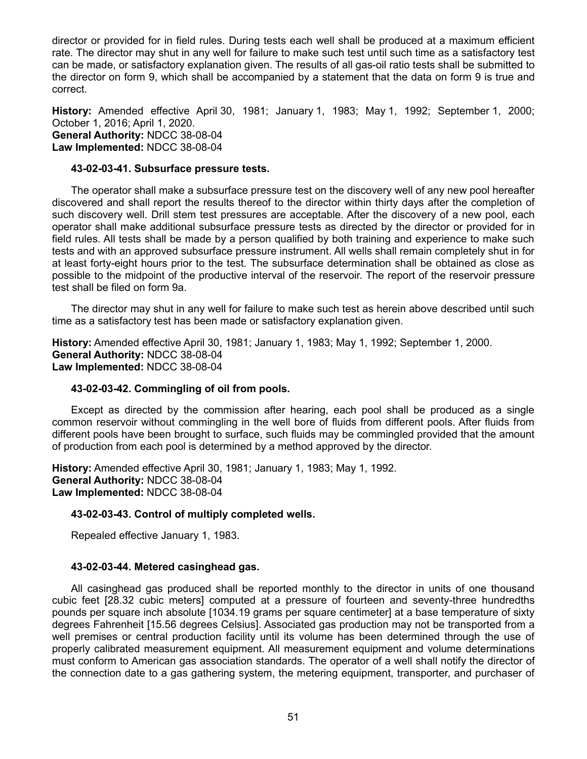director or provided for in field rules. During tests each well shall be produced at a maximum efficient rate. The director may shut in any well for failure to make such test until such time as a satisfactory test can be made, or satisfactory explanation given. The results of all gas-oil ratio tests shall be submitted to the director on form 9, which shall be accompanied by a statement that the data on form 9 is true and correct.

**History:** Amended effective April 30, 1981; January 1, 1983; May 1, 1992; September 1, 2000; October 1, 2016; April 1, 2020. **General Authority:** NDCC 38-08-04 **Law Implemented:** NDCC 38-08-04

## **43-02-03-41. Subsurface pressure tests.**

The operator shall make a subsurface pressure test on the discovery well of any new pool hereafter discovered and shall report the results thereof to the director within thirty days after the completion of such discovery well. Drill stem test pressures are acceptable. After the discovery of a new pool, each operator shall make additional subsurface pressure tests as directed by the director or provided for in field rules. All tests shall be made by a person qualified by both training and experience to make such tests and with an approved subsurface pressure instrument. All wells shall remain completely shut in for at least forty-eight hours prior to the test. The subsurface determination shall be obtained as close as possible to the midpoint of the productive interval of the reservoir. The report of the reservoir pressure test shall be filed on form 9a.

The director may shut in any well for failure to make such test as herein above described until such time as a satisfactory test has been made or satisfactory explanation given.

**History:** Amended effective April 30, 1981; January 1, 1983; May 1, 1992; September 1, 2000. **General Authority:** NDCC 38-08-04 **Law Implemented:** NDCC 38-08-04

# **43-02-03-42. Commingling of oil from pools.**

Except as directed by the commission after hearing, each pool shall be produced as a single common reservoir without commingling in the well bore of fluids from different pools. After fluids from different pools have been brought to surface, such fluids may be commingled provided that the amount of production from each pool is determined by a method approved by the director.

**History:** Amended effective April 30, 1981; January 1, 1983; May 1, 1992. **General Authority:** NDCC 38-08-04 **Law Implemented:** NDCC 38-08-04

# **43-02-03-43. Control of multiply completed wells.**

Repealed effective January 1, 1983.

# **43-02-03-44. Metered casinghead gas.**

All casinghead gas produced shall be reported monthly to the director in units of one thousand cubic feet [28.32 cubic meters] computed at a pressure of fourteen and seventy-three hundredths pounds per square inch absolute [1034.19 grams per square centimeter] at a base temperature of sixty degrees Fahrenheit [15.56 degrees Celsius]. Associated gas production may not be transported from a well premises or central production facility until its volume has been determined through the use of properly calibrated measurement equipment. All measurement equipment and volume determinations must conform to American gas association standards. The operator of a well shall notify the director of the connection date to a gas gathering system, the metering equipment, transporter, and purchaser of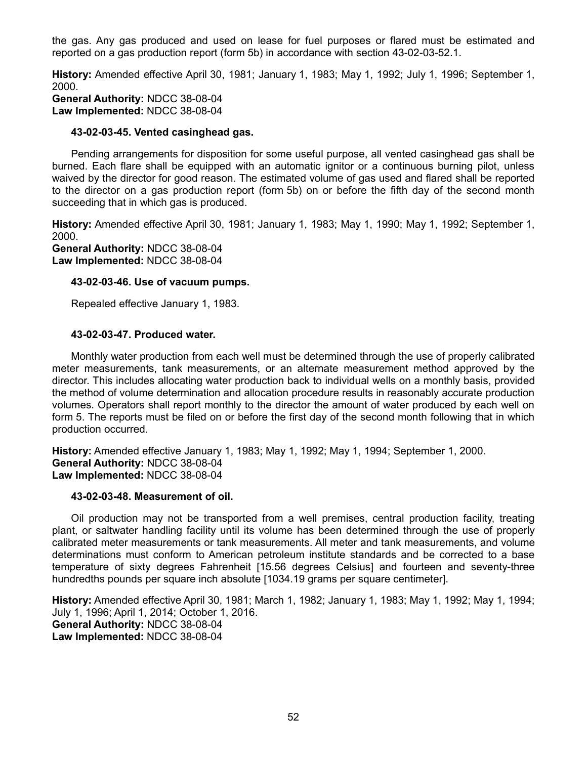the gas. Any gas produced and used on lease for fuel purposes or flared must be estimated and reported on a gas production report (form 5b) in accordance with section 43-02-03-52.1.

**History:** Amended effective April 30, 1981; January 1, 1983; May 1, 1992; July 1, 1996; September 1, 2000.

**General Authority:** NDCC 38-08-04 **Law Implemented:** NDCC 38-08-04

## **43-02-03-45. Vented casinghead gas.**

Pending arrangements for disposition for some useful purpose, all vented casinghead gas shall be burned. Each flare shall be equipped with an automatic ignitor or a continuous burning pilot, unless waived by the director for good reason. The estimated volume of gas used and flared shall be reported to the director on a gas production report (form 5b) on or before the fifth day of the second month succeeding that in which gas is produced.

**History:** Amended effective April 30, 1981; January 1, 1983; May 1, 1990; May 1, 1992; September 1, 2000.

**General Authority:** NDCC 38-08-04 **Law Implemented:** NDCC 38-08-04

## **43-02-03-46. Use of vacuum pumps.**

Repealed effective January 1, 1983.

## **43-02-03-47. Produced water.**

Monthly water production from each well must be determined through the use of properly calibrated meter measurements, tank measurements, or an alternate measurement method approved by the director. This includes allocating water production back to individual wells on a monthly basis, provided the method of volume determination and allocation procedure results in reasonably accurate production volumes. Operators shall report monthly to the director the amount of water produced by each well on form 5. The reports must be filed on or before the first day of the second month following that in which production occurred.

**History:** Amended effective January 1, 1983; May 1, 1992; May 1, 1994; September 1, 2000. **General Authority:** NDCC 38-08-04 **Law Implemented:** NDCC 38-08-04

### **43-02-03-48. Measurement of oil.**

Oil production may not be transported from a well premises, central production facility, treating plant, or saltwater handling facility until its volume has been determined through the use of properly calibrated meter measurements or tank measurements. All meter and tank measurements, and volume determinations must conform to American petroleum institute standards and be corrected to a base temperature of sixty degrees Fahrenheit [15.56 degrees Celsius] and fourteen and seventy-three hundredths pounds per square inch absolute [1034.19 grams per square centimeter].

**History:** Amended effective April 30, 1981; March 1, 1982; January 1, 1983; May 1, 1992; May 1, 1994; July 1, 1996; April 1, 2014; October 1, 2016. **General Authority:** NDCC 38-08-04 **Law Implemented:** NDCC 38-08-04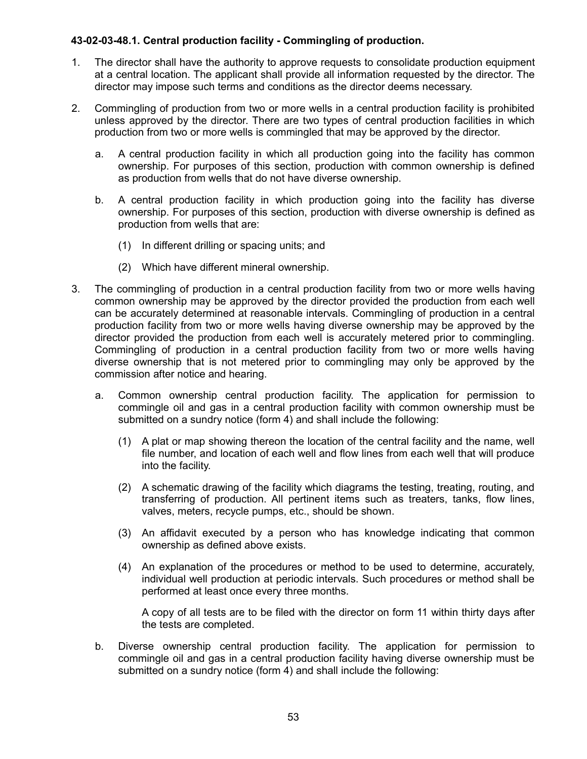# **43-02-03-48.1. Central production facility - Commingling of production.**

- 1. The director shall have the authority to approve requests to consolidate production equipment at a central location. The applicant shall provide all information requested by the director. The director may impose such terms and conditions as the director deems necessary.
- 2. Commingling of production from two or more wells in a central production facility is prohibited unless approved by the director. There are two types of central production facilities in which production from two or more wells is commingled that may be approved by the director.
	- a. A central production facility in which all production going into the facility has common ownership. For purposes of this section, production with common ownership is defined as production from wells that do not have diverse ownership.
	- b. A central production facility in which production going into the facility has diverse ownership. For purposes of this section, production with diverse ownership is defined as production from wells that are:
		- (1) In different drilling or spacing units; and
		- (2) Which have different mineral ownership.
- 3. The commingling of production in a central production facility from two or more wells having common ownership may be approved by the director provided the production from each well can be accurately determined at reasonable intervals. Commingling of production in a central production facility from two or more wells having diverse ownership may be approved by the director provided the production from each well is accurately metered prior to commingling. Commingling of production in a central production facility from two or more wells having diverse ownership that is not metered prior to commingling may only be approved by the commission after notice and hearing.
	- a. Common ownership central production facility. The application for permission to commingle oil and gas in a central production facility with common ownership must be submitted on a sundry notice (form 4) and shall include the following:
		- (1) A plat or map showing thereon the location of the central facility and the name, well file number, and location of each well and flow lines from each well that will produce into the facility.
		- (2) A schematic drawing of the facility which diagrams the testing, treating, routing, and transferring of production. All pertinent items such as treaters, tanks, flow lines, valves, meters, recycle pumps, etc., should be shown.
		- (3) An affidavit executed by a person who has knowledge indicating that common ownership as defined above exists.
		- (4) An explanation of the procedures or method to be used to determine, accurately, individual well production at periodic intervals. Such procedures or method shall be performed at least once every three months.

A copy of all tests are to be filed with the director on form 11 within thirty days after the tests are completed.

b. Diverse ownership central production facility. The application for permission to commingle oil and gas in a central production facility having diverse ownership must be submitted on a sundry notice (form 4) and shall include the following: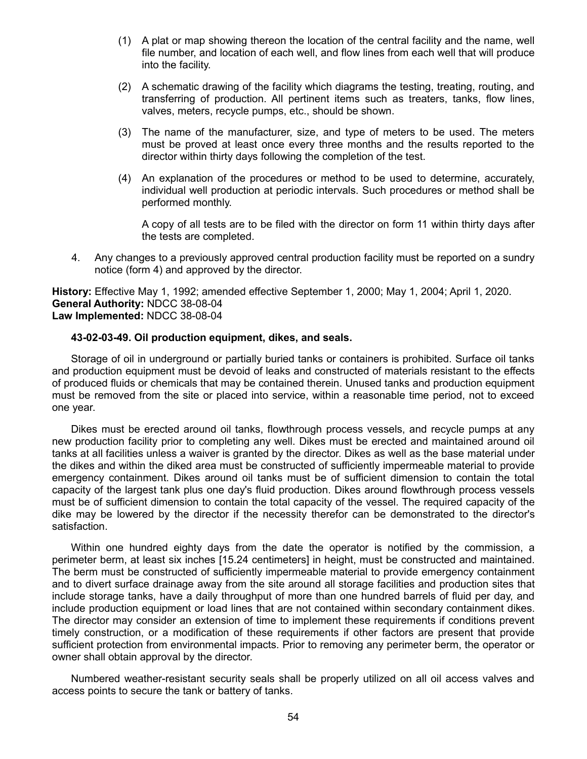- (1) A plat or map showing thereon the location of the central facility and the name, well file number, and location of each well, and flow lines from each well that will produce into the facility.
- (2) A schematic drawing of the facility which diagrams the testing, treating, routing, and transferring of production. All pertinent items such as treaters, tanks, flow lines, valves, meters, recycle pumps, etc., should be shown.
- (3) The name of the manufacturer, size, and type of meters to be used. The meters must be proved at least once every three months and the results reported to the director within thirty days following the completion of the test.
- (4) An explanation of the procedures or method to be used to determine, accurately, individual well production at periodic intervals. Such procedures or method shall be performed monthly.

A copy of all tests are to be filed with the director on form 11 within thirty days after the tests are completed.

4. Any changes to a previously approved central production facility must be reported on a sundry notice (form 4) and approved by the director.

**History:** Effective May 1, 1992; amended effective September 1, 2000; May 1, 2004; April 1, 2020. **General Authority:** NDCC 38-08-04 **Law Implemented:** NDCC 38-08-04

## **43-02-03-49. Oil production equipment, dikes, and seals.**

Storage of oil in underground or partially buried tanks or containers is prohibited. Surface oil tanks and production equipment must be devoid of leaks and constructed of materials resistant to the effects of produced fluids or chemicals that may be contained therein. Unused tanks and production equipment must be removed from the site or placed into service, within a reasonable time period, not to exceed one year.

Dikes must be erected around oil tanks, flowthrough process vessels, and recycle pumps at any new production facility prior to completing any well. Dikes must be erected and maintained around oil tanks at all facilities unless a waiver is granted by the director. Dikes as well as the base material under the dikes and within the diked area must be constructed of sufficiently impermeable material to provide emergency containment. Dikes around oil tanks must be of sufficient dimension to contain the total capacity of the largest tank plus one day's fluid production. Dikes around flowthrough process vessels must be of sufficient dimension to contain the total capacity of the vessel. The required capacity of the dike may be lowered by the director if the necessity therefor can be demonstrated to the director's satisfaction.

Within one hundred eighty days from the date the operator is notified by the commission, a perimeter berm, at least six inches [15.24 centimeters] in height, must be constructed and maintained. The berm must be constructed of sufficiently impermeable material to provide emergency containment and to divert surface drainage away from the site around all storage facilities and production sites that include storage tanks, have a daily throughput of more than one hundred barrels of fluid per day, and include production equipment or load lines that are not contained within secondary containment dikes. The director may consider an extension of time to implement these requirements if conditions prevent timely construction, or a modification of these requirements if other factors are present that provide sufficient protection from environmental impacts. Prior to removing any perimeter berm, the operator or owner shall obtain approval by the director.

Numbered weather-resistant security seals shall be properly utilized on all oil access valves and access points to secure the tank or battery of tanks.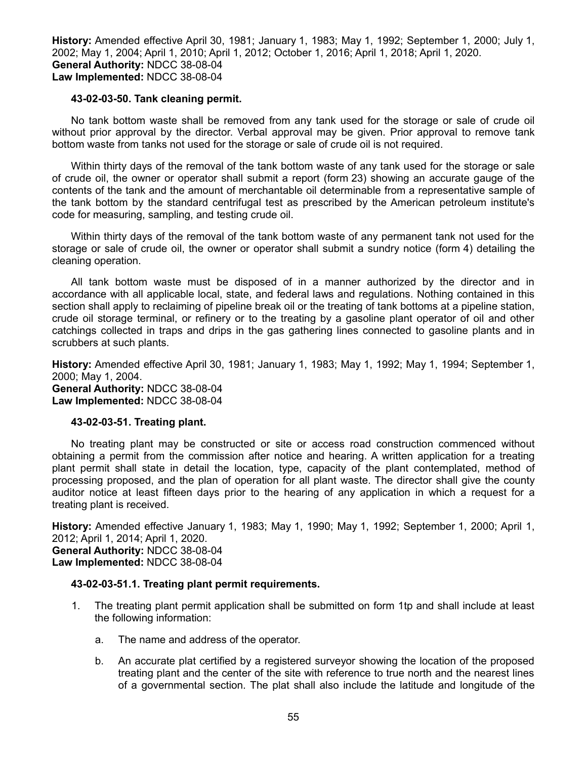**History:** Amended effective April 30, 1981; January 1, 1983; May 1, 1992; September 1, 2000; July 1, 2002; May 1, 2004; April 1, 2010; April 1, 2012; October 1, 2016; April 1, 2018; April 1, 2020. **General Authority:** NDCC 38-08-04 **Law Implemented:** NDCC 38-08-04

### **43-02-03-50. Tank cleaning permit.**

No tank bottom waste shall be removed from any tank used for the storage or sale of crude oil without prior approval by the director. Verbal approval may be given. Prior approval to remove tank bottom waste from tanks not used for the storage or sale of crude oil is not required.

Within thirty days of the removal of the tank bottom waste of any tank used for the storage or sale of crude oil, the owner or operator shall submit a report (form 23) showing an accurate gauge of the contents of the tank and the amount of merchantable oil determinable from a representative sample of the tank bottom by the standard centrifugal test as prescribed by the American petroleum institute's code for measuring, sampling, and testing crude oil.

Within thirty days of the removal of the tank bottom waste of any permanent tank not used for the storage or sale of crude oil, the owner or operator shall submit a sundry notice (form 4) detailing the cleaning operation.

All tank bottom waste must be disposed of in a manner authorized by the director and in accordance with all applicable local, state, and federal laws and regulations. Nothing contained in this section shall apply to reclaiming of pipeline break oil or the treating of tank bottoms at a pipeline station, crude oil storage terminal, or refinery or to the treating by a gasoline plant operator of oil and other catchings collected in traps and drips in the gas gathering lines connected to gasoline plants and in scrubbers at such plants.

**History:** Amended effective April 30, 1981; January 1, 1983; May 1, 1992; May 1, 1994; September 1, 2000; May 1, 2004. **General Authority:** NDCC 38-08-04 **Law Implemented:** NDCC 38-08-04

### **43-02-03-51. Treating plant.**

No treating plant may be constructed or site or access road construction commenced without obtaining a permit from the commission after notice and hearing. A written application for a treating plant permit shall state in detail the location, type, capacity of the plant contemplated, method of processing proposed, and the plan of operation for all plant waste. The director shall give the county auditor notice at least fifteen days prior to the hearing of any application in which a request for a treating plant is received.

**History:** Amended effective January 1, 1983; May 1, 1990; May 1, 1992; September 1, 2000; April 1, 2012; April 1, 2014; April 1, 2020. **General Authority:** NDCC 38-08-04 **Law Implemented:** NDCC 38-08-04

# **43-02-03-51.1. Treating plant permit requirements.**

- 1. The treating plant permit application shall be submitted on form 1tp and shall include at least the following information:
	- a. The name and address of the operator.
	- b. An accurate plat certified by a registered surveyor showing the location of the proposed treating plant and the center of the site with reference to true north and the nearest lines of a governmental section. The plat shall also include the latitude and longitude of the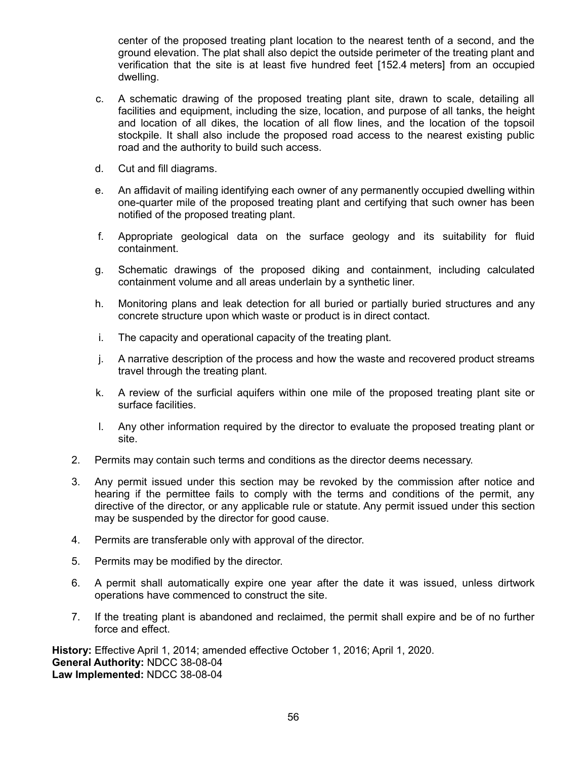center of the proposed treating plant location to the nearest tenth of a second, and the ground elevation. The plat shall also depict the outside perimeter of the treating plant and verification that the site is at least five hundred feet [152.4 meters] from an occupied dwelling.

- c. A schematic drawing of the proposed treating plant site, drawn to scale, detailing all facilities and equipment, including the size, location, and purpose of all tanks, the height and location of all dikes, the location of all flow lines, and the location of the topsoil stockpile. It shall also include the proposed road access to the nearest existing public road and the authority to build such access.
- d. Cut and fill diagrams.
- e. An affidavit of mailing identifying each owner of any permanently occupied dwelling within one-quarter mile of the proposed treating plant and certifying that such owner has been notified of the proposed treating plant.
- f. Appropriate geological data on the surface geology and its suitability for fluid containment.
- g. Schematic drawings of the proposed diking and containment, including calculated containment volume and all areas underlain by a synthetic liner.
- h. Monitoring plans and leak detection for all buried or partially buried structures and any concrete structure upon which waste or product is in direct contact.
- i. The capacity and operational capacity of the treating plant.
- j. A narrative description of the process and how the waste and recovered product streams travel through the treating plant.
- k. A review of the surficial aquifers within one mile of the proposed treating plant site or surface facilities.
- l. Any other information required by the director to evaluate the proposed treating plant or site.
- 2. Permits may contain such terms and conditions as the director deems necessary.
- 3. Any permit issued under this section may be revoked by the commission after notice and hearing if the permittee fails to comply with the terms and conditions of the permit, any directive of the director, or any applicable rule or statute. Any permit issued under this section may be suspended by the director for good cause.
- 4. Permits are transferable only with approval of the director.
- 5. Permits may be modified by the director.
- 6. A permit shall automatically expire one year after the date it was issued, unless dirtwork operations have commenced to construct the site.
- 7. If the treating plant is abandoned and reclaimed, the permit shall expire and be of no further force and effect.

**History:** Effective April 1, 2014; amended effective October 1, 2016; April 1, 2020. **General Authority:** NDCC 38-08-04 **Law Implemented:** NDCC 38-08-04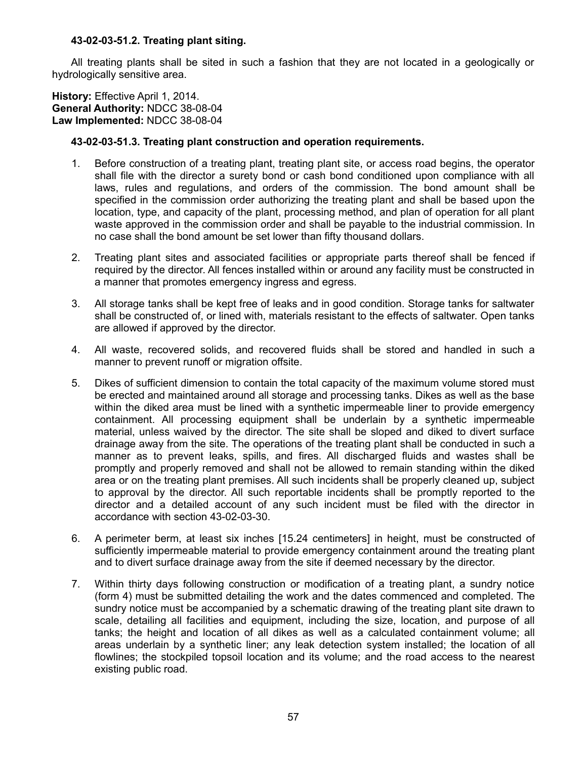## **43-02-03-51.2. Treating plant siting.**

All treating plants shall be sited in such a fashion that they are not located in a geologically or hydrologically sensitive area.

**History:** Effective April 1, 2014. **General Authority:** NDCC 38-08-04 **Law Implemented:** NDCC 38-08-04

## **43-02-03-51.3. Treating plant construction and operation requirements.**

- 1. Before construction of a treating plant, treating plant site, or access road begins, the operator shall file with the director a surety bond or cash bond conditioned upon compliance with all laws, rules and regulations, and orders of the commission. The bond amount shall be specified in the commission order authorizing the treating plant and shall be based upon the location, type, and capacity of the plant, processing method, and plan of operation for all plant waste approved in the commission order and shall be payable to the industrial commission. In no case shall the bond amount be set lower than fifty thousand dollars.
- 2. Treating plant sites and associated facilities or appropriate parts thereof shall be fenced if required by the director. All fences installed within or around any facility must be constructed in a manner that promotes emergency ingress and egress.
- 3. All storage tanks shall be kept free of leaks and in good condition. Storage tanks for saltwater shall be constructed of, or lined with, materials resistant to the effects of saltwater. Open tanks are allowed if approved by the director.
- 4. All waste, recovered solids, and recovered fluids shall be stored and handled in such a manner to prevent runoff or migration offsite.
- 5. Dikes of sufficient dimension to contain the total capacity of the maximum volume stored must be erected and maintained around all storage and processing tanks. Dikes as well as the base within the diked area must be lined with a synthetic impermeable liner to provide emergency containment. All processing equipment shall be underlain by a synthetic impermeable material, unless waived by the director. The site shall be sloped and diked to divert surface drainage away from the site. The operations of the treating plant shall be conducted in such a manner as to prevent leaks, spills, and fires. All discharged fluids and wastes shall be promptly and properly removed and shall not be allowed to remain standing within the diked area or on the treating plant premises. All such incidents shall be properly cleaned up, subject to approval by the director. All such reportable incidents shall be promptly reported to the director and a detailed account of any such incident must be filed with the director in accordance with section 43-02-03-30.
- 6. A perimeter berm, at least six inches [15.24 centimeters] in height, must be constructed of sufficiently impermeable material to provide emergency containment around the treating plant and to divert surface drainage away from the site if deemed necessary by the director.
- 7. Within thirty days following construction or modification of a treating plant, a sundry notice (form 4) must be submitted detailing the work and the dates commenced and completed. The sundry notice must be accompanied by a schematic drawing of the treating plant site drawn to scale, detailing all facilities and equipment, including the size, location, and purpose of all tanks; the height and location of all dikes as well as a calculated containment volume; all areas underlain by a synthetic liner; any leak detection system installed; the location of all flowlines; the stockpiled topsoil location and its volume; and the road access to the nearest existing public road.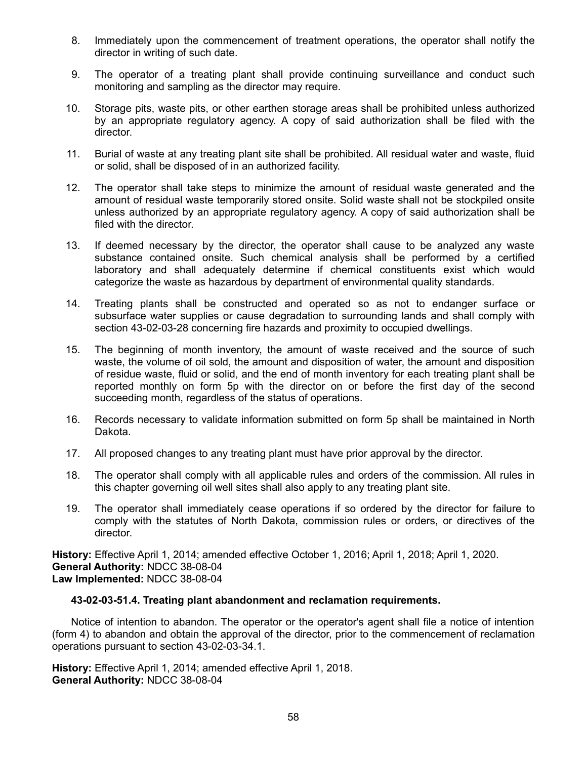- 8. Immediately upon the commencement of treatment operations, the operator shall notify the director in writing of such date.
- 9. The operator of a treating plant shall provide continuing surveillance and conduct such monitoring and sampling as the director may require.
- 10. Storage pits, waste pits, or other earthen storage areas shall be prohibited unless authorized by an appropriate regulatory agency. A copy of said authorization shall be filed with the director.
- 11. Burial of waste at any treating plant site shall be prohibited. All residual water and waste, fluid or solid, shall be disposed of in an authorized facility.
- 12. The operator shall take steps to minimize the amount of residual waste generated and the amount of residual waste temporarily stored onsite. Solid waste shall not be stockpiled onsite unless authorized by an appropriate regulatory agency. A copy of said authorization shall be filed with the director.
- 13. If deemed necessary by the director, the operator shall cause to be analyzed any waste substance contained onsite. Such chemical analysis shall be performed by a certified laboratory and shall adequately determine if chemical constituents exist which would categorize the waste as hazardous by department of environmental quality standards.
- 14. Treating plants shall be constructed and operated so as not to endanger surface or subsurface water supplies or cause degradation to surrounding lands and shall comply with section 43-02-03-28 concerning fire hazards and proximity to occupied dwellings.
- 15. The beginning of month inventory, the amount of waste received and the source of such waste, the volume of oil sold, the amount and disposition of water, the amount and disposition of residue waste, fluid or solid, and the end of month inventory for each treating plant shall be reported monthly on form 5p with the director on or before the first day of the second succeeding month, regardless of the status of operations.
- 16. Records necessary to validate information submitted on form 5p shall be maintained in North Dakota.
- 17. All proposed changes to any treating plant must have prior approval by the director.
- 18. The operator shall comply with all applicable rules and orders of the commission. All rules in this chapter governing oil well sites shall also apply to any treating plant site.
- 19. The operator shall immediately cease operations if so ordered by the director for failure to comply with the statutes of North Dakota, commission rules or orders, or directives of the director.

**History:** Effective April 1, 2014; amended effective October 1, 2016; April 1, 2018; April 1, 2020. **General Authority:** NDCC 38-08-04 **Law Implemented:** NDCC 38-08-04

# **43-02-03-51.4. Treating plant abandonment and reclamation requirements.**

Notice of intention to abandon. The operator or the operator's agent shall file a notice of intention (form 4) to abandon and obtain the approval of the director, prior to the commencement of reclamation operations pursuant to section 43-02-03-34.1.

**History:** Effective April 1, 2014; amended effective April 1, 2018. **General Authority:** NDCC 38-08-04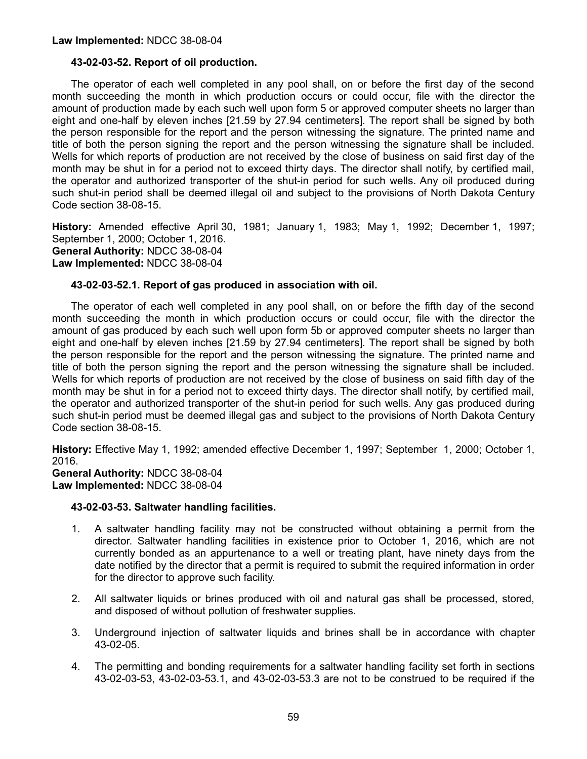# **43-02-03-52. Report of oil production.**

The operator of each well completed in any pool shall, on or before the first day of the second month succeeding the month in which production occurs or could occur, file with the director the amount of production made by each such well upon form 5 or approved computer sheets no larger than eight and one-half by eleven inches [21.59 by 27.94 centimeters]. The report shall be signed by both the person responsible for the report and the person witnessing the signature. The printed name and title of both the person signing the report and the person witnessing the signature shall be included. Wells for which reports of production are not received by the close of business on said first day of the month may be shut in for a period not to exceed thirty days. The director shall notify, by certified mail, the operator and authorized transporter of the shut-in period for such wells. Any oil produced during such shut-in period shall be deemed illegal oil and subject to the provisions of North Dakota Century Code section 38-08-15.

**History:** Amended effective April 30, 1981; January 1, 1983; May 1, 1992; December 1, 1997; September 1, 2000; October 1, 2016. **General Authority:** NDCC 38-08-04 **Law Implemented:** NDCC 38-08-04

## **43-02-03-52.1. Report of gas produced in association with oil.**

The operator of each well completed in any pool shall, on or before the fifth day of the second month succeeding the month in which production occurs or could occur, file with the director the amount of gas produced by each such well upon form 5b or approved computer sheets no larger than eight and one-half by eleven inches [21.59 by 27.94 centimeters]. The report shall be signed by both the person responsible for the report and the person witnessing the signature. The printed name and title of both the person signing the report and the person witnessing the signature shall be included. Wells for which reports of production are not received by the close of business on said fifth day of the month may be shut in for a period not to exceed thirty days. The director shall notify, by certified mail, the operator and authorized transporter of the shut-in period for such wells. Any gas produced during such shut-in period must be deemed illegal gas and subject to the provisions of North Dakota Century Code section 38-08-15.

**History:** Effective May 1, 1992; amended effective December 1, 1997; September 1, 2000; October 1, 2016.

**General Authority:** NDCC 38-08-04 **Law Implemented:** NDCC 38-08-04

### **43-02-03-53. Saltwater handling facilities.**

- 1. A saltwater handling facility may not be constructed without obtaining a permit from the director. Saltwater handling facilities in existence prior to October 1, 2016, which are not currently bonded as an appurtenance to a well or treating plant, have ninety days from the date notified by the director that a permit is required to submit the required information in order for the director to approve such facility.
- 2. All saltwater liquids or brines produced with oil and natural gas shall be processed, stored, and disposed of without pollution of freshwater supplies.
- 3. Underground injection of saltwater liquids and brines shall be in accordance with chapter 43-02-05.
- 4. The permitting and bonding requirements for a saltwater handling facility set forth in sections 43-02-03-53, 43-02-03-53.1, and 43-02-03-53.3 are not to be construed to be required if the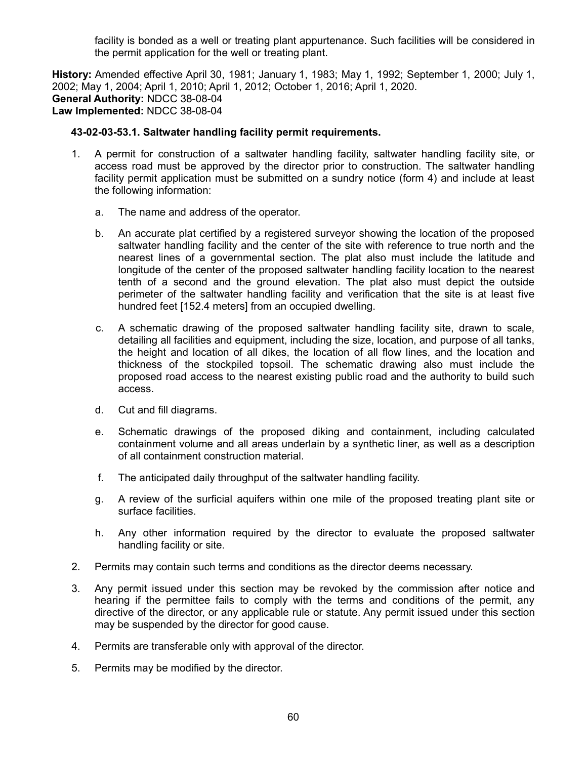facility is bonded as a well or treating plant appurtenance. Such facilities will be considered in the permit application for the well or treating plant.

**History:** Amended effective April 30, 1981; January 1, 1983; May 1, 1992; September 1, 2000; July 1, 2002; May 1, 2004; April 1, 2010; April 1, 2012; October 1, 2016; April 1, 2020. **General Authority:** NDCC 38-08-04 **Law Implemented:** NDCC 38-08-04

# **43-02-03-53.1. Saltwater handling facility permit requirements.**

- 1. A permit for construction of a saltwater handling facility, saltwater handling facility site, or access road must be approved by the director prior to construction. The saltwater handling facility permit application must be submitted on a sundry notice (form 4) and include at least the following information:
	- a. The name and address of the operator.
	- b. An accurate plat certified by a registered surveyor showing the location of the proposed saltwater handling facility and the center of the site with reference to true north and the nearest lines of a governmental section. The plat also must include the latitude and longitude of the center of the proposed saltwater handling facility location to the nearest tenth of a second and the ground elevation. The plat also must depict the outside perimeter of the saltwater handling facility and verification that the site is at least five hundred feet [152.4 meters] from an occupied dwelling.
	- c. A schematic drawing of the proposed saltwater handling facility site, drawn to scale, detailing all facilities and equipment, including the size, location, and purpose of all tanks, the height and location of all dikes, the location of all flow lines, and the location and thickness of the stockpiled topsoil. The schematic drawing also must include the proposed road access to the nearest existing public road and the authority to build such access.
	- d. Cut and fill diagrams.
	- e. Schematic drawings of the proposed diking and containment, including calculated containment volume and all areas underlain by a synthetic liner, as well as a description of all containment construction material.
	- f. The anticipated daily throughput of the saltwater handling facility.
	- g. A review of the surficial aquifers within one mile of the proposed treating plant site or surface facilities.
	- h. Any other information required by the director to evaluate the proposed saltwater handling facility or site.
- 2. Permits may contain such terms and conditions as the director deems necessary.
- 3. Any permit issued under this section may be revoked by the commission after notice and hearing if the permittee fails to comply with the terms and conditions of the permit, any directive of the director, or any applicable rule or statute. Any permit issued under this section may be suspended by the director for good cause.
- 4. Permits are transferable only with approval of the director.
- 5. Permits may be modified by the director.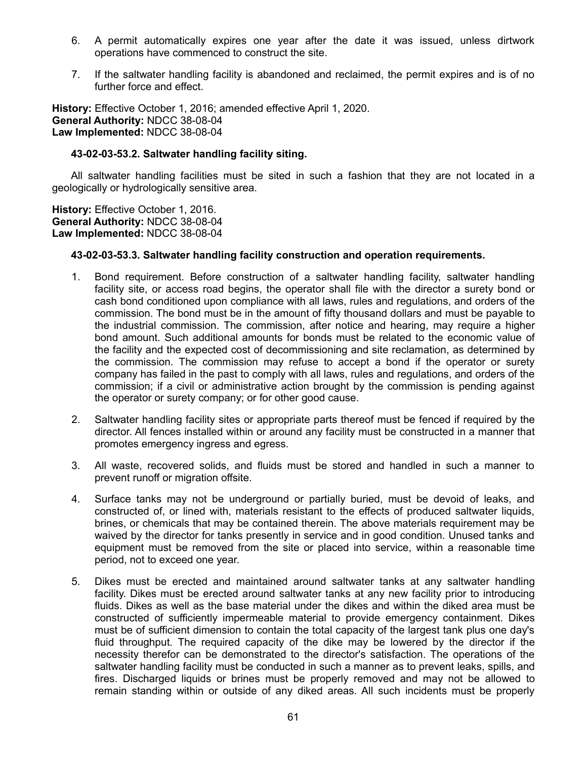- 6. A permit automatically expires one year after the date it was issued, unless dirtwork operations have commenced to construct the site.
- 7. If the saltwater handling facility is abandoned and reclaimed, the permit expires and is of no further force and effect.

**History:** Effective October 1, 2016; amended effective April 1, 2020. **General Authority:** NDCC 38-08-04 **Law Implemented:** NDCC 38-08-04

## **43-02-03-53.2. Saltwater handling facility siting.**

All saltwater handling facilities must be sited in such a fashion that they are not located in a geologically or hydrologically sensitive area.

**History:** Effective October 1, 2016. **General Authority:** NDCC 38-08-04 **Law Implemented:** NDCC 38-08-04

## **43-02-03-53.3. Saltwater handling facility construction and operation requirements.**

- 1. Bond requirement. Before construction of a saltwater handling facility, saltwater handling facility site, or access road begins, the operator shall file with the director a surety bond or cash bond conditioned upon compliance with all laws, rules and regulations, and orders of the commission. The bond must be in the amount of fifty thousand dollars and must be payable to the industrial commission. The commission, after notice and hearing, may require a higher bond amount. Such additional amounts for bonds must be related to the economic value of the facility and the expected cost of decommissioning and site reclamation, as determined by the commission. The commission may refuse to accept a bond if the operator or surety company has failed in the past to comply with all laws, rules and regulations, and orders of the commission; if a civil or administrative action brought by the commission is pending against the operator or surety company; or for other good cause.
- 2. Saltwater handling facility sites or appropriate parts thereof must be fenced if required by the director. All fences installed within or around any facility must be constructed in a manner that promotes emergency ingress and egress.
- 3. All waste, recovered solids, and fluids must be stored and handled in such a manner to prevent runoff or migration offsite.
- 4. Surface tanks may not be underground or partially buried, must be devoid of leaks, and constructed of, or lined with, materials resistant to the effects of produced saltwater liquids, brines, or chemicals that may be contained therein. The above materials requirement may be waived by the director for tanks presently in service and in good condition. Unused tanks and equipment must be removed from the site or placed into service, within a reasonable time period, not to exceed one year.
- 5. Dikes must be erected and maintained around saltwater tanks at any saltwater handling facility. Dikes must be erected around saltwater tanks at any new facility prior to introducing fluids. Dikes as well as the base material under the dikes and within the diked area must be constructed of sufficiently impermeable material to provide emergency containment. Dikes must be of sufficient dimension to contain the total capacity of the largest tank plus one day's fluid throughput. The required capacity of the dike may be lowered by the director if the necessity therefor can be demonstrated to the director's satisfaction. The operations of the saltwater handling facility must be conducted in such a manner as to prevent leaks, spills, and fires. Discharged liquids or brines must be properly removed and may not be allowed to remain standing within or outside of any diked areas. All such incidents must be properly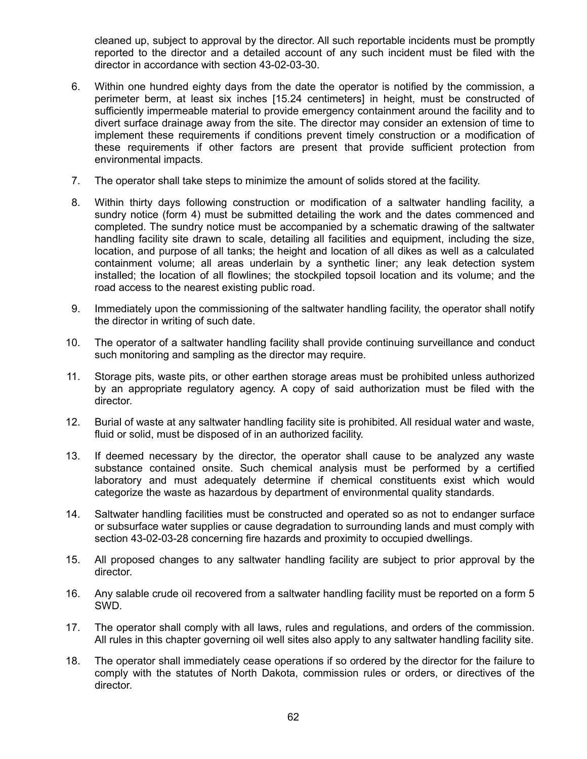cleaned up, subject to approval by the director. All such reportable incidents must be promptly reported to the director and a detailed account of any such incident must be filed with the director in accordance with section 43-02-03-30.

- 6. Within one hundred eighty days from the date the operator is notified by the commission, a perimeter berm, at least six inches [15.24 centimeters] in height, must be constructed of sufficiently impermeable material to provide emergency containment around the facility and to divert surface drainage away from the site. The director may consider an extension of time to implement these requirements if conditions prevent timely construction or a modification of these requirements if other factors are present that provide sufficient protection from environmental impacts.
- 7. The operator shall take steps to minimize the amount of solids stored at the facility.
- 8. Within thirty days following construction or modification of a saltwater handling facility, a sundry notice (form 4) must be submitted detailing the work and the dates commenced and completed. The sundry notice must be accompanied by a schematic drawing of the saltwater handling facility site drawn to scale, detailing all facilities and equipment, including the size, location, and purpose of all tanks; the height and location of all dikes as well as a calculated containment volume; all areas underlain by a synthetic liner; any leak detection system installed; the location of all flowlines; the stockpiled topsoil location and its volume; and the road access to the nearest existing public road.
- 9. Immediately upon the commissioning of the saltwater handling facility, the operator shall notify the director in writing of such date.
- 10. The operator of a saltwater handling facility shall provide continuing surveillance and conduct such monitoring and sampling as the director may require.
- 11. Storage pits, waste pits, or other earthen storage areas must be prohibited unless authorized by an appropriate regulatory agency. A copy of said authorization must be filed with the director.
- 12. Burial of waste at any saltwater handling facility site is prohibited. All residual water and waste, fluid or solid, must be disposed of in an authorized facility.
- 13. If deemed necessary by the director, the operator shall cause to be analyzed any waste substance contained onsite. Such chemical analysis must be performed by a certified laboratory and must adequately determine if chemical constituents exist which would categorize the waste as hazardous by department of environmental quality standards.
- 14. Saltwater handling facilities must be constructed and operated so as not to endanger surface or subsurface water supplies or cause degradation to surrounding lands and must comply with section 43-02-03-28 concerning fire hazards and proximity to occupied dwellings.
- 15. All proposed changes to any saltwater handling facility are subject to prior approval by the director.
- 16. Any salable crude oil recovered from a saltwater handling facility must be reported on a form 5 SWD.
- 17. The operator shall comply with all laws, rules and regulations, and orders of the commission. All rules in this chapter governing oil well sites also apply to any saltwater handling facility site.
- 18. The operator shall immediately cease operations if so ordered by the director for the failure to comply with the statutes of North Dakota, commission rules or orders, or directives of the director.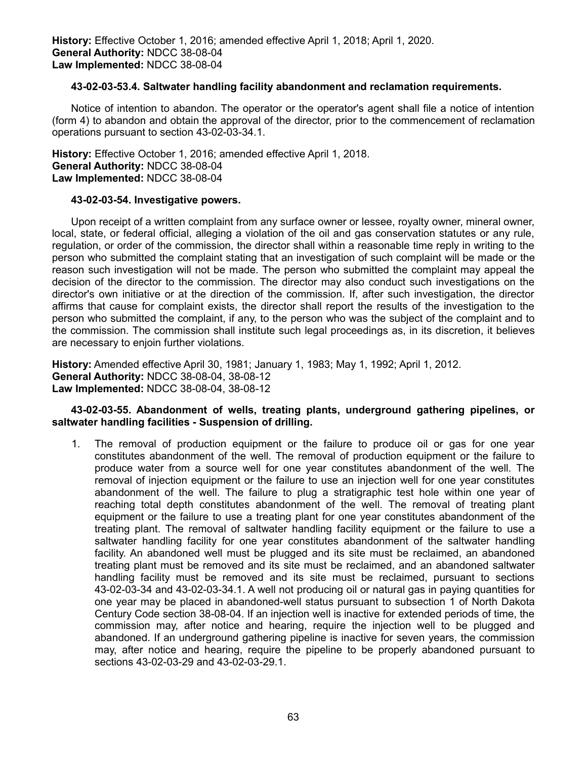## **43-02-03-53.4. Saltwater handling facility abandonment and reclamation requirements.**

Notice of intention to abandon. The operator or the operator's agent shall file a notice of intention (form 4) to abandon and obtain the approval of the director, prior to the commencement of reclamation operations pursuant to section 43-02-03-34.1.

**History:** Effective October 1, 2016; amended effective April 1, 2018. **General Authority:** NDCC 38-08-04 **Law Implemented:** NDCC 38-08-04

## **43-02-03-54. Investigative powers.**

Upon receipt of a written complaint from any surface owner or lessee, royalty owner, mineral owner, local, state, or federal official, alleging a violation of the oil and gas conservation statutes or any rule, regulation, or order of the commission, the director shall within a reasonable time reply in writing to the person who submitted the complaint stating that an investigation of such complaint will be made or the reason such investigation will not be made. The person who submitted the complaint may appeal the decision of the director to the commission. The director may also conduct such investigations on the director's own initiative or at the direction of the commission. If, after such investigation, the director affirms that cause for complaint exists, the director shall report the results of the investigation to the person who submitted the complaint, if any, to the person who was the subject of the complaint and to the commission. The commission shall institute such legal proceedings as, in its discretion, it believes are necessary to enjoin further violations.

**History:** Amended effective April 30, 1981; January 1, 1983; May 1, 1992; April 1, 2012. **General Authority:** NDCC 38-08-04, 38-08-12 **Law Implemented:** NDCC 38-08-04, 38-08-12

## **43-02-03-55. Abandonment of wells, treating plants, underground gathering pipelines, or saltwater handling facilities - Suspension of drilling.**

1. The removal of production equipment or the failure to produce oil or gas for one year constitutes abandonment of the well. The removal of production equipment or the failure to produce water from a source well for one year constitutes abandonment of the well. The removal of injection equipment or the failure to use an injection well for one year constitutes abandonment of the well. The failure to plug a stratigraphic test hole within one year of reaching total depth constitutes abandonment of the well. The removal of treating plant equipment or the failure to use a treating plant for one year constitutes abandonment of the treating plant. The removal of saltwater handling facility equipment or the failure to use a saltwater handling facility for one year constitutes abandonment of the saltwater handling facility. An abandoned well must be plugged and its site must be reclaimed, an abandoned treating plant must be removed and its site must be reclaimed, and an abandoned saltwater handling facility must be removed and its site must be reclaimed, pursuant to sections 43-02-03-34 and 43-02-03-34.1. A well not producing oil or natural gas in paying quantities for one year may be placed in abandoned-well status pursuant to subsection 1 of North Dakota Century Code section 38-08-04. If an injection well is inactive for extended periods of time, the commission may, after notice and hearing, require the injection well to be plugged and abandoned. If an underground gathering pipeline is inactive for seven years, the commission may, after notice and hearing, require the pipeline to be properly abandoned pursuant to sections 43-02-03-29 and 43-02-03-29.1.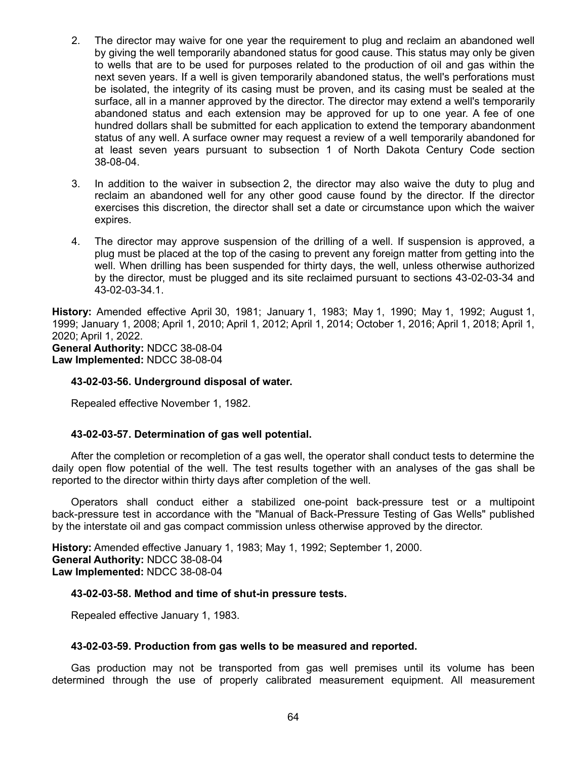- 2. The director may waive for one year the requirement to plug and reclaim an abandoned well by giving the well temporarily abandoned status for good cause. This status may only be given to wells that are to be used for purposes related to the production of oil and gas within the next seven years. If a well is given temporarily abandoned status, the well's perforations must be isolated, the integrity of its casing must be proven, and its casing must be sealed at the surface, all in a manner approved by the director. The director may extend a well's temporarily abandoned status and each extension may be approved for up to one year. A fee of one hundred dollars shall be submitted for each application to extend the temporary abandonment status of any well. A surface owner may request a review of a well temporarily abandoned for at least seven years pursuant to subsection 1 of North Dakota Century Code section 38-08-04.
- 3. In addition to the waiver in subsection 2, the director may also waive the duty to plug and reclaim an abandoned well for any other good cause found by the director. If the director exercises this discretion, the director shall set a date or circumstance upon which the waiver expires.
- 4. The director may approve suspension of the drilling of a well. If suspension is approved, a plug must be placed at the top of the casing to prevent any foreign matter from getting into the well. When drilling has been suspended for thirty days, the well, unless otherwise authorized by the director, must be plugged and its site reclaimed pursuant to sections 43-02-03-34 and 43-02-03-34.1.

**History:** Amended effective April 30, 1981; January 1, 1983; May 1, 1990; May 1, 1992; August 1, 1999; January 1, 2008; April 1, 2010; April 1, 2012; April 1, 2014; October 1, 2016; April 1, 2018; April 1, 2020; April 1, 2022. **General Authority:** NDCC 38-08-04 **Law Implemented:** NDCC 38-08-04

### **43-02-03-56. Underground disposal of water.**

Repealed effective November 1, 1982.

### **43-02-03-57. Determination of gas well potential.**

After the completion or recompletion of a gas well, the operator shall conduct tests to determine the daily open flow potential of the well. The test results together with an analyses of the gas shall be reported to the director within thirty days after completion of the well.

Operators shall conduct either a stabilized one-point back-pressure test or a multipoint back-pressure test in accordance with the "Manual of Back-Pressure Testing of Gas Wells" published by the interstate oil and gas compact commission unless otherwise approved by the director.

**History:** Amended effective January 1, 1983; May 1, 1992; September 1, 2000. **General Authority:** NDCC 38-08-04 **Law Implemented:** NDCC 38-08-04

#### **43-02-03-58. Method and time of shut-in pressure tests.**

Repealed effective January 1, 1983.

#### **43-02-03-59. Production from gas wells to be measured and reported.**

Gas production may not be transported from gas well premises until its volume has been determined through the use of properly calibrated measurement equipment. All measurement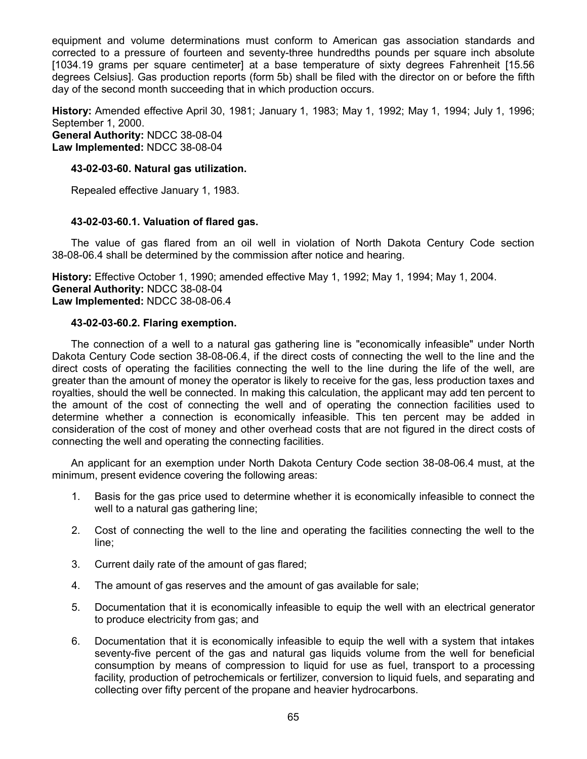equipment and volume determinations must conform to American gas association standards and corrected to a pressure of fourteen and seventy-three hundredths pounds per square inch absolute [1034.19 grams per square centimeter] at a base temperature of sixty degrees Fahrenheit [15.56 degrees Celsius]. Gas production reports (form 5b) shall be filed with the director on or before the fifth day of the second month succeeding that in which production occurs.

**History:** Amended effective April 30, 1981; January 1, 1983; May 1, 1992; May 1, 1994; July 1, 1996; September 1, 2000. **General Authority:** NDCC 38-08-04 **Law Implemented:** NDCC 38-08-04

## **43-02-03-60. Natural gas utilization.**

Repealed effective January 1, 1983.

# **43-02-03-60.1. Valuation of flared gas.**

The value of gas flared from an oil well in violation of North Dakota Century Code section 38-08-06.4 shall be determined by the commission after notice and hearing.

**History:** Effective October 1, 1990; amended effective May 1, 1992; May 1, 1994; May 1, 2004. **General Authority:** NDCC 38-08-04 **Law Implemented:** NDCC 38-08-06.4

## **43-02-03-60.2. Flaring exemption.**

The connection of a well to a natural gas gathering line is "economically infeasible" under North Dakota Century Code section 38-08-06.4, if the direct costs of connecting the well to the line and the direct costs of operating the facilities connecting the well to the line during the life of the well, are greater than the amount of money the operator is likely to receive for the gas, less production taxes and royalties, should the well be connected. In making this calculation, the applicant may add ten percent to the amount of the cost of connecting the well and of operating the connection facilities used to determine whether a connection is economically infeasible. This ten percent may be added in consideration of the cost of money and other overhead costs that are not figured in the direct costs of connecting the well and operating the connecting facilities.

An applicant for an exemption under North Dakota Century Code section 38-08-06.4 must, at the minimum, present evidence covering the following areas:

- 1. Basis for the gas price used to determine whether it is economically infeasible to connect the well to a natural gas gathering line;
- 2. Cost of connecting the well to the line and operating the facilities connecting the well to the line;
- 3. Current daily rate of the amount of gas flared;
- 4. The amount of gas reserves and the amount of gas available for sale;
- 5. Documentation that it is economically infeasible to equip the well with an electrical generator to produce electricity from gas; and
- 6. Documentation that it is economically infeasible to equip the well with a system that intakes seventy-five percent of the gas and natural gas liquids volume from the well for beneficial consumption by means of compression to liquid for use as fuel, transport to a processing facility, production of petrochemicals or fertilizer, conversion to liquid fuels, and separating and collecting over fifty percent of the propane and heavier hydrocarbons.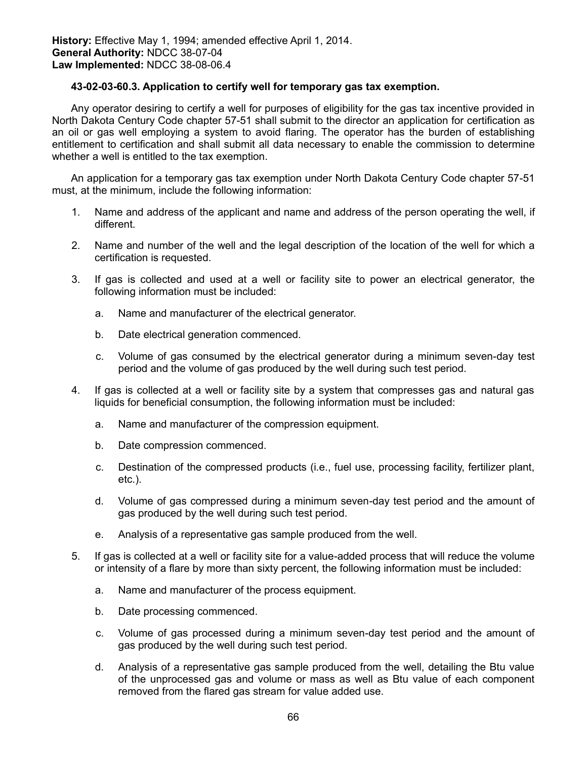# **43-02-03-60.3. Application to certify well for temporary gas tax exemption.**

Any operator desiring to certify a well for purposes of eligibility for the gas tax incentive provided in North Dakota Century Code chapter 57-51 shall submit to the director an application for certification as an oil or gas well employing a system to avoid flaring. The operator has the burden of establishing entitlement to certification and shall submit all data necessary to enable the commission to determine whether a well is entitled to the tax exemption.

An application for a temporary gas tax exemption under North Dakota Century Code chapter 57-51 must, at the minimum, include the following information:

- 1. Name and address of the applicant and name and address of the person operating the well, if different.
- 2. Name and number of the well and the legal description of the location of the well for which a certification is requested.
- 3. If gas is collected and used at a well or facility site to power an electrical generator, the following information must be included:
	- a. Name and manufacturer of the electrical generator.
	- b. Date electrical generation commenced.
	- c. Volume of gas consumed by the electrical generator during a minimum seven-day test period and the volume of gas produced by the well during such test period.
- 4. If gas is collected at a well or facility site by a system that compresses gas and natural gas liquids for beneficial consumption, the following information must be included:
	- a. Name and manufacturer of the compression equipment.
	- b. Date compression commenced.
	- c. Destination of the compressed products (i.e., fuel use, processing facility, fertilizer plant, etc.).
	- d. Volume of gas compressed during a minimum seven-day test period and the amount of gas produced by the well during such test period.
	- e. Analysis of a representative gas sample produced from the well.
- 5. If gas is collected at a well or facility site for a value-added process that will reduce the volume or intensity of a flare by more than sixty percent, the following information must be included:
	- a. Name and manufacturer of the process equipment.
	- b. Date processing commenced.
	- c. Volume of gas processed during a minimum seven-day test period and the amount of gas produced by the well during such test period.
	- d. Analysis of a representative gas sample produced from the well, detailing the Btu value of the unprocessed gas and volume or mass as well as Btu value of each component removed from the flared gas stream for value added use.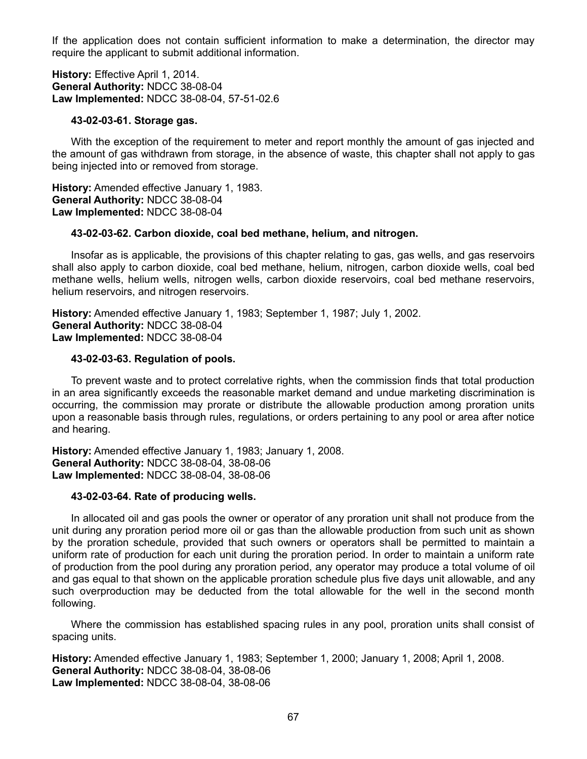If the application does not contain sufficient information to make a determination, the director may require the applicant to submit additional information.

**History:** Effective April 1, 2014. **General Authority:** NDCC 38-08-04 **Law Implemented:** NDCC 38-08-04, 57-51-02.6

### **43-02-03-61. Storage gas.**

With the exception of the requirement to meter and report monthly the amount of gas injected and the amount of gas withdrawn from storage, in the absence of waste, this chapter shall not apply to gas being injected into or removed from storage.

**History:** Amended effective January 1, 1983. **General Authority:** NDCC 38-08-04 **Law Implemented:** NDCC 38-08-04

#### **43-02-03-62. Carbon dioxide, coal bed methane, helium, and nitrogen.**

Insofar as is applicable, the provisions of this chapter relating to gas, gas wells, and gas reservoirs shall also apply to carbon dioxide, coal bed methane, helium, nitrogen, carbon dioxide wells, coal bed methane wells, helium wells, nitrogen wells, carbon dioxide reservoirs, coal bed methane reservoirs, helium reservoirs, and nitrogen reservoirs.

**History:** Amended effective January 1, 1983; September 1, 1987; July 1, 2002. **General Authority:** NDCC 38-08-04 **Law Implemented:** NDCC 38-08-04

#### **43-02-03-63. Regulation of pools.**

To prevent waste and to protect correlative rights, when the commission finds that total production in an area significantly exceeds the reasonable market demand and undue marketing discrimination is occurring, the commission may prorate or distribute the allowable production among proration units upon a reasonable basis through rules, regulations, or orders pertaining to any pool or area after notice and hearing.

**History:** Amended effective January 1, 1983; January 1, 2008. **General Authority:** NDCC 38-08-04, 38-08-06 **Law Implemented:** NDCC 38-08-04, 38-08-06

### **43-02-03-64. Rate of producing wells.**

In allocated oil and gas pools the owner or operator of any proration unit shall not produce from the unit during any proration period more oil or gas than the allowable production from such unit as shown by the proration schedule, provided that such owners or operators shall be permitted to maintain a uniform rate of production for each unit during the proration period. In order to maintain a uniform rate of production from the pool during any proration period, any operator may produce a total volume of oil and gas equal to that shown on the applicable proration schedule plus five days unit allowable, and any such overproduction may be deducted from the total allowable for the well in the second month following.

Where the commission has established spacing rules in any pool, proration units shall consist of spacing units.

**History:** Amended effective January 1, 1983; September 1, 2000; January 1, 2008; April 1, 2008. **General Authority:** NDCC 38-08-04, 38-08-06 **Law Implemented:** NDCC 38-08-04, 38-08-06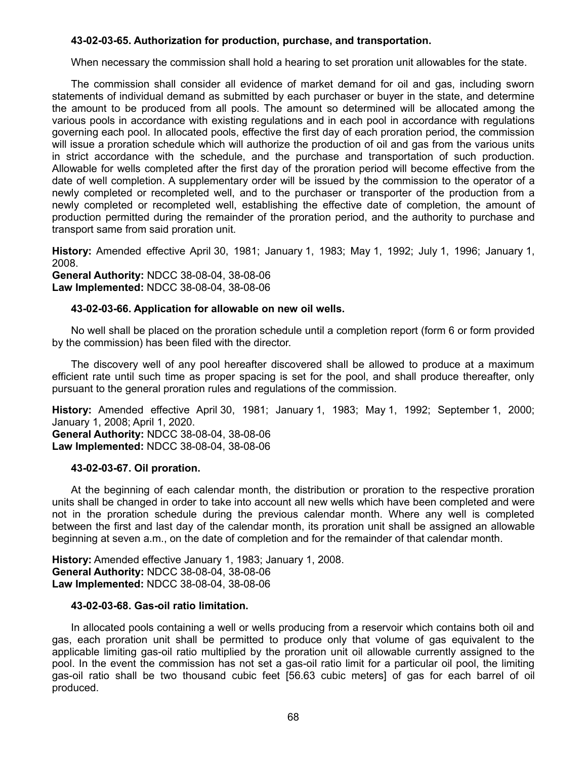# **43-02-03-65. Authorization for production, purchase, and transportation.**

When necessary the commission shall hold a hearing to set proration unit allowables for the state.

The commission shall consider all evidence of market demand for oil and gas, including sworn statements of individual demand as submitted by each purchaser or buyer in the state, and determine the amount to be produced from all pools. The amount so determined will be allocated among the various pools in accordance with existing regulations and in each pool in accordance with regulations governing each pool. In allocated pools, effective the first day of each proration period, the commission will issue a proration schedule which will authorize the production of oil and gas from the various units in strict accordance with the schedule, and the purchase and transportation of such production. Allowable for wells completed after the first day of the proration period will become effective from the date of well completion. A supplementary order will be issued by the commission to the operator of a newly completed or recompleted well, and to the purchaser or transporter of the production from a newly completed or recompleted well, establishing the effective date of completion, the amount of production permitted during the remainder of the proration period, and the authority to purchase and transport same from said proration unit.

**History:** Amended effective April 30, 1981; January 1, 1983; May 1, 1992; July 1, 1996; January 1, 2008.

**General Authority:** NDCC 38-08-04, 38-08-06 **Law Implemented:** NDCC 38-08-04, 38-08-06

## **43-02-03-66. Application for allowable on new oil wells.**

No well shall be placed on the proration schedule until a completion report (form 6 or form provided by the commission) has been filed with the director.

The discovery well of any pool hereafter discovered shall be allowed to produce at a maximum efficient rate until such time as proper spacing is set for the pool, and shall produce thereafter, only pursuant to the general proration rules and regulations of the commission.

**History:** Amended effective April 30, 1981; January 1, 1983; May 1, 1992; September 1, 2000; January 1, 2008; April 1, 2020. **General Authority:** NDCC 38-08-04, 38-08-06 **Law Implemented:** NDCC 38-08-04, 38-08-06

# **43-02-03-67. Oil proration.**

At the beginning of each calendar month, the distribution or proration to the respective proration units shall be changed in order to take into account all new wells which have been completed and were not in the proration schedule during the previous calendar month. Where any well is completed between the first and last day of the calendar month, its proration unit shall be assigned an allowable beginning at seven a.m., on the date of completion and for the remainder of that calendar month.

**History:** Amended effective January 1, 1983; January 1, 2008. **General Authority:** NDCC 38-08-04, 38-08-06 **Law Implemented:** NDCC 38-08-04, 38-08-06

### **43-02-03-68. Gas-oil ratio limitation.**

In allocated pools containing a well or wells producing from a reservoir which contains both oil and gas, each proration unit shall be permitted to produce only that volume of gas equivalent to the applicable limiting gas-oil ratio multiplied by the proration unit oil allowable currently assigned to the pool. In the event the commission has not set a gas-oil ratio limit for a particular oil pool, the limiting gas-oil ratio shall be two thousand cubic feet [56.63 cubic meters] of gas for each barrel of oil produced.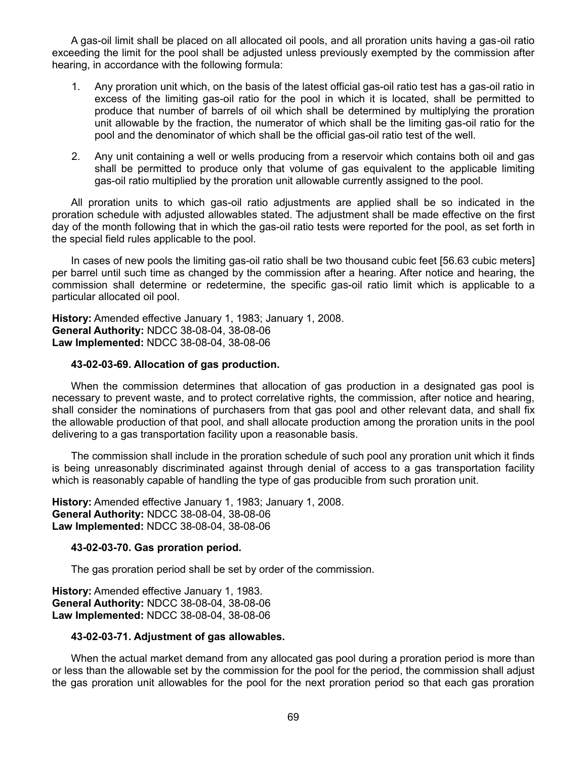A gas-oil limit shall be placed on all allocated oil pools, and all proration units having a gas-oil ratio exceeding the limit for the pool shall be adjusted unless previously exempted by the commission after hearing, in accordance with the following formula:

- 1. Any proration unit which, on the basis of the latest official gas-oil ratio test has a gas-oil ratio in excess of the limiting gas-oil ratio for the pool in which it is located, shall be permitted to produce that number of barrels of oil which shall be determined by multiplying the proration unit allowable by the fraction, the numerator of which shall be the limiting gas-oil ratio for the pool and the denominator of which shall be the official gas-oil ratio test of the well.
- 2. Any unit containing a well or wells producing from a reservoir which contains both oil and gas shall be permitted to produce only that volume of gas equivalent to the applicable limiting gas-oil ratio multiplied by the proration unit allowable currently assigned to the pool.

All proration units to which gas-oil ratio adjustments are applied shall be so indicated in the proration schedule with adjusted allowables stated. The adjustment shall be made effective on the first day of the month following that in which the gas-oil ratio tests were reported for the pool, as set forth in the special field rules applicable to the pool.

In cases of new pools the limiting gas-oil ratio shall be two thousand cubic feet [56.63 cubic meters] per barrel until such time as changed by the commission after a hearing. After notice and hearing, the commission shall determine or redetermine, the specific gas-oil ratio limit which is applicable to a particular allocated oil pool.

**History:** Amended effective January 1, 1983; January 1, 2008. **General Authority:** NDCC 38-08-04, 38-08-06 **Law Implemented:** NDCC 38-08-04, 38-08-06

### **43-02-03-69. Allocation of gas production.**

When the commission determines that allocation of gas production in a designated gas pool is necessary to prevent waste, and to protect correlative rights, the commission, after notice and hearing, shall consider the nominations of purchasers from that gas pool and other relevant data, and shall fix the allowable production of that pool, and shall allocate production among the proration units in the pool delivering to a gas transportation facility upon a reasonable basis.

The commission shall include in the proration schedule of such pool any proration unit which it finds is being unreasonably discriminated against through denial of access to a gas transportation facility which is reasonably capable of handling the type of gas producible from such proration unit.

**History:** Amended effective January 1, 1983; January 1, 2008. **General Authority:** NDCC 38-08-04, 38-08-06 **Law Implemented:** NDCC 38-08-04, 38-08-06

### **43-02-03-70. Gas proration period.**

The gas proration period shall be set by order of the commission.

**History:** Amended effective January 1, 1983. **General Authority:** NDCC 38-08-04, 38-08-06 **Law Implemented:** NDCC 38-08-04, 38-08-06

### **43-02-03-71. Adjustment of gas allowables.**

When the actual market demand from any allocated gas pool during a proration period is more than or less than the allowable set by the commission for the pool for the period, the commission shall adjust the gas proration unit allowables for the pool for the next proration period so that each gas proration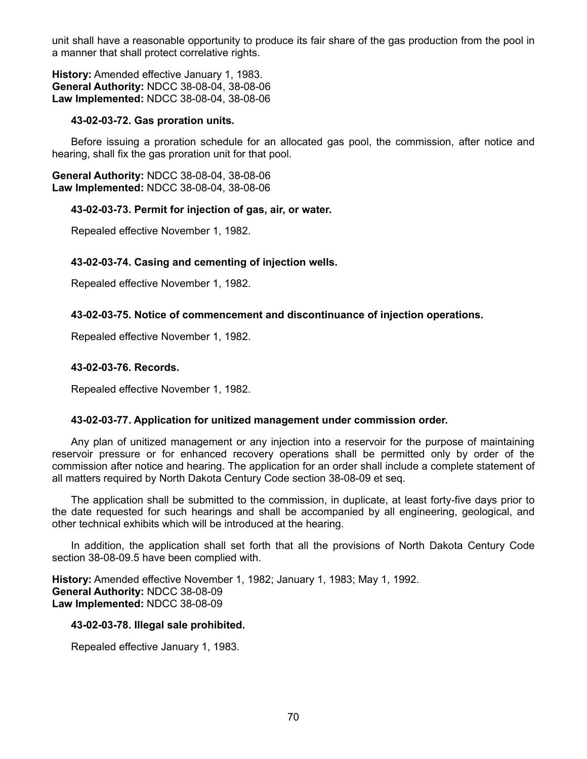unit shall have a reasonable opportunity to produce its fair share of the gas production from the pool in a manner that shall protect correlative rights.

**History:** Amended effective January 1, 1983. **General Authority:** NDCC 38-08-04, 38-08-06 **Law Implemented:** NDCC 38-08-04, 38-08-06

## **43-02-03-72. Gas proration units.**

Before issuing a proration schedule for an allocated gas pool, the commission, after notice and hearing, shall fix the gas proration unit for that pool.

**General Authority:** NDCC 38-08-04, 38-08-06 **Law Implemented:** NDCC 38-08-04, 38-08-06

**43-02-03-73. Permit for injection of gas, air, or water.**

Repealed effective November 1, 1982.

## **43-02-03-74. Casing and cementing of injection wells.**

Repealed effective November 1, 1982.

## **43-02-03-75. Notice of commencement and discontinuance of injection operations.**

Repealed effective November 1, 1982.

### **43-02-03-76. Records.**

Repealed effective November 1, 1982.

### **43-02-03-77. Application for unitized management under commission order.**

Any plan of unitized management or any injection into a reservoir for the purpose of maintaining reservoir pressure or for enhanced recovery operations shall be permitted only by order of the commission after notice and hearing. The application for an order shall include a complete statement of all matters required by North Dakota Century Code section 38-08-09 et seq.

The application shall be submitted to the commission, in duplicate, at least forty-five days prior to the date requested for such hearings and shall be accompanied by all engineering, geological, and other technical exhibits which will be introduced at the hearing.

In addition, the application shall set forth that all the provisions of North Dakota Century Code section 38-08-09.5 have been complied with.

**History:** Amended effective November 1, 1982; January 1, 1983; May 1, 1992. **General Authority:** NDCC 38-08-09 **Law Implemented:** NDCC 38-08-09

### **43-02-03-78. Illegal sale prohibited.**

Repealed effective January 1, 1983.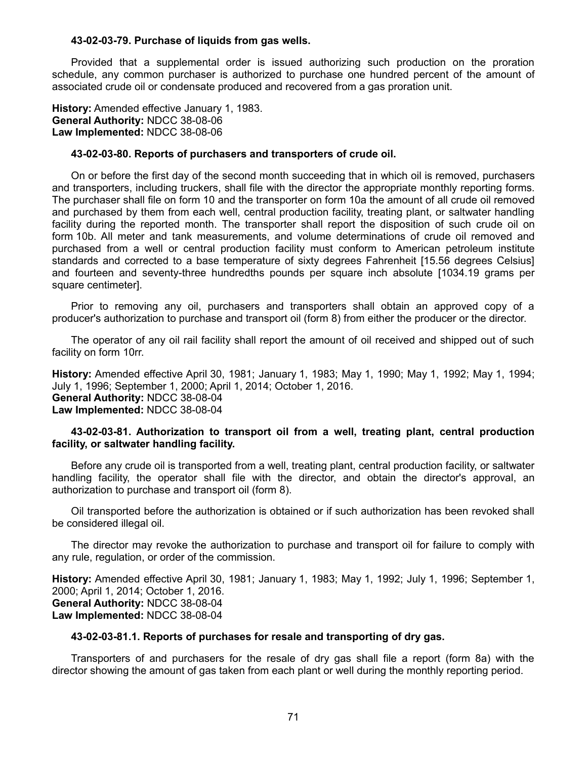### **43-02-03-79. Purchase of liquids from gas wells.**

Provided that a supplemental order is issued authorizing such production on the proration schedule, any common purchaser is authorized to purchase one hundred percent of the amount of associated crude oil or condensate produced and recovered from a gas proration unit.

**History:** Amended effective January 1, 1983. **General Authority:** NDCC 38-08-06 **Law Implemented:** NDCC 38-08-06

#### **43-02-03-80. Reports of purchasers and transporters of crude oil.**

On or before the first day of the second month succeeding that in which oil is removed, purchasers and transporters, including truckers, shall file with the director the appropriate monthly reporting forms. The purchaser shall file on form 10 and the transporter on form 10a the amount of all crude oil removed and purchased by them from each well, central production facility, treating plant, or saltwater handling facility during the reported month. The transporter shall report the disposition of such crude oil on form 10b. All meter and tank measurements, and volume determinations of crude oil removed and purchased from a well or central production facility must conform to American petroleum institute standards and corrected to a base temperature of sixty degrees Fahrenheit [15.56 degrees Celsius] and fourteen and seventy-three hundredths pounds per square inch absolute [1034.19 grams per square centimeter].

Prior to removing any oil, purchasers and transporters shall obtain an approved copy of a producer's authorization to purchase and transport oil (form 8) from either the producer or the director.

The operator of any oil rail facility shall report the amount of oil received and shipped out of such facility on form 10rr.

**History:** Amended effective April 30, 1981; January 1, 1983; May 1, 1990; May 1, 1992; May 1, 1994; July 1, 1996; September 1, 2000; April 1, 2014; October 1, 2016. **General Authority:** NDCC 38-08-04 **Law Implemented:** NDCC 38-08-04

### **43-02-03-81. Authorization to transport oil from a well, treating plant, central production facility, or saltwater handling facility.**

Before any crude oil is transported from a well, treating plant, central production facility, or saltwater handling facility, the operator shall file with the director, and obtain the director's approval, an authorization to purchase and transport oil (form 8).

Oil transported before the authorization is obtained or if such authorization has been revoked shall be considered illegal oil.

The director may revoke the authorization to purchase and transport oil for failure to comply with any rule, regulation, or order of the commission.

**History:** Amended effective April 30, 1981; January 1, 1983; May 1, 1992; July 1, 1996; September 1, 2000; April 1, 2014; October 1, 2016. **General Authority:** NDCC 38-08-04 **Law Implemented:** NDCC 38-08-04

#### **43-02-03-81.1. Reports of purchases for resale and transporting of dry gas.**

Transporters of and purchasers for the resale of dry gas shall file a report (form 8a) with the director showing the amount of gas taken from each plant or well during the monthly reporting period.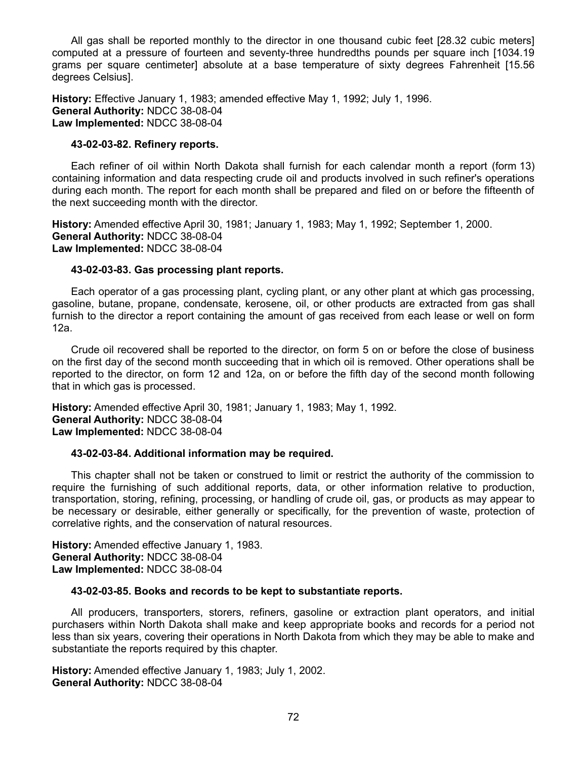All gas shall be reported monthly to the director in one thousand cubic feet [28.32 cubic meters] computed at a pressure of fourteen and seventy-three hundredths pounds per square inch [1034.19 grams per square centimeter] absolute at a base temperature of sixty degrees Fahrenheit [15.56 degrees Celsius].

**History:** Effective January 1, 1983; amended effective May 1, 1992; July 1, 1996. **General Authority:** NDCC 38-08-04 **Law Implemented:** NDCC 38-08-04

## **43-02-03-82. Refinery reports.**

Each refiner of oil within North Dakota shall furnish for each calendar month a report (form 13) containing information and data respecting crude oil and products involved in such refiner's operations during each month. The report for each month shall be prepared and filed on or before the fifteenth of the next succeeding month with the director.

**History:** Amended effective April 30, 1981; January 1, 1983; May 1, 1992; September 1, 2000. **General Authority:** NDCC 38-08-04 **Law Implemented:** NDCC 38-08-04

## **43-02-03-83. Gas processing plant reports.**

Each operator of a gas processing plant, cycling plant, or any other plant at which gas processing, gasoline, butane, propane, condensate, kerosene, oil, or other products are extracted from gas shall furnish to the director a report containing the amount of gas received from each lease or well on form 12a.

Crude oil recovered shall be reported to the director, on form 5 on or before the close of business on the first day of the second month succeeding that in which oil is removed. Other operations shall be reported to the director, on form 12 and 12a, on or before the fifth day of the second month following that in which gas is processed.

**History:** Amended effective April 30, 1981; January 1, 1983; May 1, 1992. **General Authority:** NDCC 38-08-04 **Law Implemented:** NDCC 38-08-04

# **43-02-03-84. Additional information may be required.**

This chapter shall not be taken or construed to limit or restrict the authority of the commission to require the furnishing of such additional reports, data, or other information relative to production, transportation, storing, refining, processing, or handling of crude oil, gas, or products as may appear to be necessary or desirable, either generally or specifically, for the prevention of waste, protection of correlative rights, and the conservation of natural resources.

**History:** Amended effective January 1, 1983. **General Authority:** NDCC 38-08-04 **Law Implemented:** NDCC 38-08-04

# **43-02-03-85. Books and records to be kept to substantiate reports.**

All producers, transporters, storers, refiners, gasoline or extraction plant operators, and initial purchasers within North Dakota shall make and keep appropriate books and records for a period not less than six years, covering their operations in North Dakota from which they may be able to make and substantiate the reports required by this chapter.

**History:** Amended effective January 1, 1983; July 1, 2002. **General Authority:** NDCC 38-08-04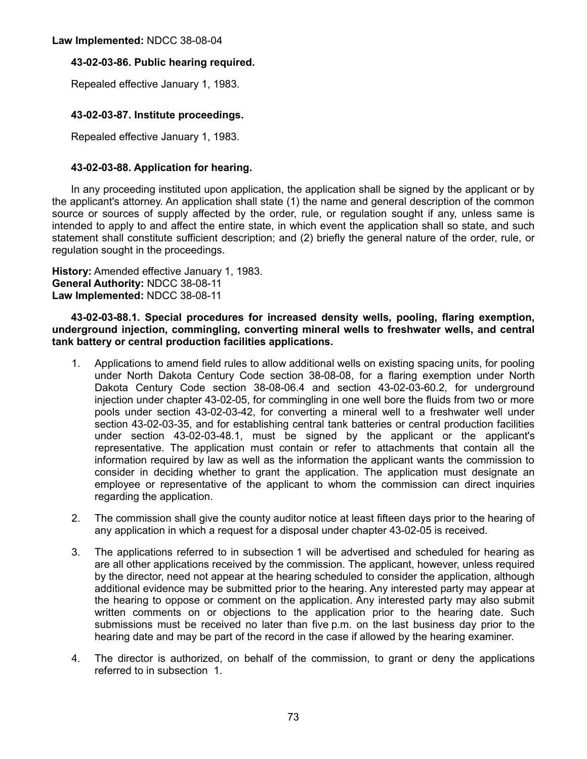# **43-02-03-86. Public hearing required.**

Repealed effective January 1, 1983.

# **43-02-03-87. Institute proceedings.**

Repealed effective January 1, 1983.

# **43-02-03-88. Application for hearing.**

In any proceeding instituted upon application, the application shall be signed by the applicant or by the applicant's attorney. An application shall state (1) the name and general description of the common source or sources of supply affected by the order, rule, or regulation sought if any, unless same is intended to apply to and affect the entire state, in which event the application shall so state, and such statement shall constitute sufficient description; and (2) briefly the general nature of the order, rule, or regulation sought in the proceedings.

**History:** Amended effective January 1, 1983. **General Authority:** NDCC 38-08-11 **Law Implemented:** NDCC 38-08-11

**43-02-03-88.1. Special procedures for increased density wells, pooling, flaring exemption, underground injection, commingling, converting mineral wells to freshwater wells, and central tank battery or central production facilities applications.**

- 1. Applications to amend field rules to allow additional wells on existing spacing units, for pooling under North Dakota Century Code section 38-08-08, for a flaring exemption under North Dakota Century Code section 38-08-06.4 and section 43-02-03-60.2, for underground injection under chapter 43-02-05, for commingling in one well bore the fluids from two or more pools under section 43-02-03-42, for converting a mineral well to a freshwater well under section 43-02-03-35, and for establishing central tank batteries or central production facilities under section 43-02-03-48.1, must be signed by the applicant or the applicant's representative. The application must contain or refer to attachments that contain all the information required by law as well as the information the applicant wants the commission to consider in deciding whether to grant the application. The application must designate an employee or representative of the applicant to whom the commission can direct inquiries regarding the application.
- 2. The commission shall give the county auditor notice at least fifteen days prior to the hearing of any application in which a request for a disposal under chapter 43-02-05 is received.
- 3. The applications referred to in subsection 1 will be advertised and scheduled for hearing as are all other applications received by the commission. The applicant, however, unless required by the director, need not appear at the hearing scheduled to consider the application, although additional evidence may be submitted prior to the hearing. Any interested party may appear at the hearing to oppose or comment on the application. Any interested party may also submit written comments on or objections to the application prior to the hearing date. Such submissions must be received no later than five p.m. on the last business day prior to the hearing date and may be part of the record in the case if allowed by the hearing examiner.
- 4. The director is authorized, on behalf of the commission, to grant or deny the applications referred to in subsection 1.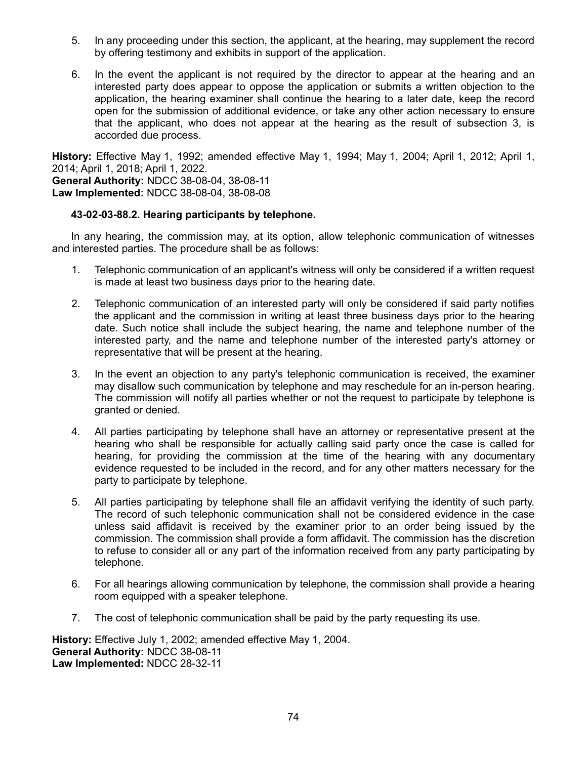- 5. In any proceeding under this section, the applicant, at the hearing, may supplement the record by offering testimony and exhibits in support of the application.
- 6. In the event the applicant is not required by the director to appear at the hearing and an interested party does appear to oppose the application or submits a written objection to the application, the hearing examiner shall continue the hearing to a later date, keep the record open for the submission of additional evidence, or take any other action necessary to ensure that the applicant, who does not appear at the hearing as the result of subsection 3, is accorded due process.

**History:** Effective May 1, 1992; amended effective May 1, 1994; May 1, 2004; April 1, 2012; April 1, 2014; April 1, 2018; April 1, 2022.

**General Authority:** NDCC 38-08-04, 38-08-11 **Law Implemented:** NDCC 38-08-04, 38-08-08

#### **43-02-03-88.2. Hearing participants by telephone.**

In any hearing, the commission may, at its option, allow telephonic communication of witnesses and interested parties. The procedure shall be as follows:

- 1. Telephonic communication of an applicant's witness will only be considered if a written request is made at least two business days prior to the hearing date.
- 2. Telephonic communication of an interested party will only be considered if said party notifies the applicant and the commission in writing at least three business days prior to the hearing date. Such notice shall include the subject hearing, the name and telephone number of the interested party, and the name and telephone number of the interested party's attorney or representative that will be present at the hearing.
- 3. In the event an objection to any party's telephonic communication is received, the examiner may disallow such communication by telephone and may reschedule for an in-person hearing. The commission will notify all parties whether or not the request to participate by telephone is granted or denied.
- 4. All parties participating by telephone shall have an attorney or representative present at the hearing who shall be responsible for actually calling said party once the case is called for hearing, for providing the commission at the time of the hearing with any documentary evidence requested to be included in the record, and for any other matters necessary for the party to participate by telephone.
- 5. All parties participating by telephone shall file an affidavit verifying the identity of such party. The record of such telephonic communication shall not be considered evidence in the case unless said affidavit is received by the examiner prior to an order being issued by the commission. The commission shall provide a form affidavit. The commission has the discretion to refuse to consider all or any part of the information received from any party participating by telephone.
- 6. For all hearings allowing communication by telephone, the commission shall provide a hearing room equipped with a speaker telephone.
- 7. The cost of telephonic communication shall be paid by the party requesting its use.

**History:** Effective July 1, 2002; amended effective May 1, 2004. **General Authority:** NDCC 38-08-11 **Law Implemented:** NDCC 28-32-11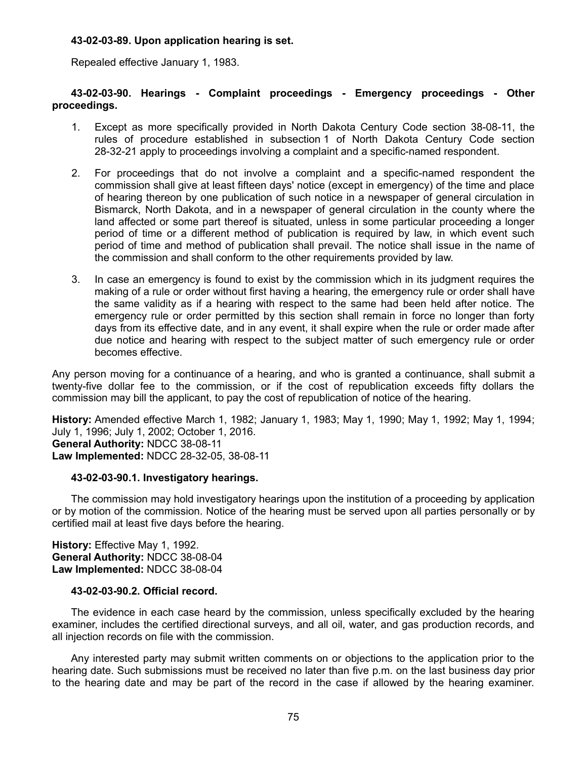### **43-02-03-89. Upon application hearing is set.**

Repealed effective January 1, 1983.

### **43-02-03-90. Hearings - Complaint proceedings - Emergency proceedings - Other proceedings.**

- 1. Except as more specifically provided in North Dakota Century Code section 38-08-11, the rules of procedure established in subsection 1 of North Dakota Century Code section 28-32-21 apply to proceedings involving a complaint and a specific-named respondent.
- 2. For proceedings that do not involve a complaint and a specific-named respondent the commission shall give at least fifteen days' notice (except in emergency) of the time and place of hearing thereon by one publication of such notice in a newspaper of general circulation in Bismarck, North Dakota, and in a newspaper of general circulation in the county where the land affected or some part thereof is situated, unless in some particular proceeding a longer period of time or a different method of publication is required by law, in which event such period of time and method of publication shall prevail. The notice shall issue in the name of the commission and shall conform to the other requirements provided by law.
- 3. In case an emergency is found to exist by the commission which in its judgment requires the making of a rule or order without first having a hearing, the emergency rule or order shall have the same validity as if a hearing with respect to the same had been held after notice. The emergency rule or order permitted by this section shall remain in force no longer than forty days from its effective date, and in any event, it shall expire when the rule or order made after due notice and hearing with respect to the subject matter of such emergency rule or order becomes effective.

Any person moving for a continuance of a hearing, and who is granted a continuance, shall submit a twenty-five dollar fee to the commission, or if the cost of republication exceeds fifty dollars the commission may bill the applicant, to pay the cost of republication of notice of the hearing.

**History:** Amended effective March 1, 1982; January 1, 1983; May 1, 1990; May 1, 1992; May 1, 1994; July 1, 1996; July 1, 2002; October 1, 2016. **General Authority:** NDCC 38-08-11 **Law Implemented:** NDCC 28-32-05, 38-08-11

#### **43-02-03-90.1. Investigatory hearings.**

The commission may hold investigatory hearings upon the institution of a proceeding by application or by motion of the commission. Notice of the hearing must be served upon all parties personally or by certified mail at least five days before the hearing.

**History:** Effective May 1, 1992. **General Authority:** NDCC 38-08-04 **Law Implemented:** NDCC 38-08-04

## **43-02-03-90.2. Official record.**

The evidence in each case heard by the commission, unless specifically excluded by the hearing examiner, includes the certified directional surveys, and all oil, water, and gas production records, and all injection records on file with the commission.

Any interested party may submit written comments on or objections to the application prior to the hearing date. Such submissions must be received no later than five p.m. on the last business day prior to the hearing date and may be part of the record in the case if allowed by the hearing examiner.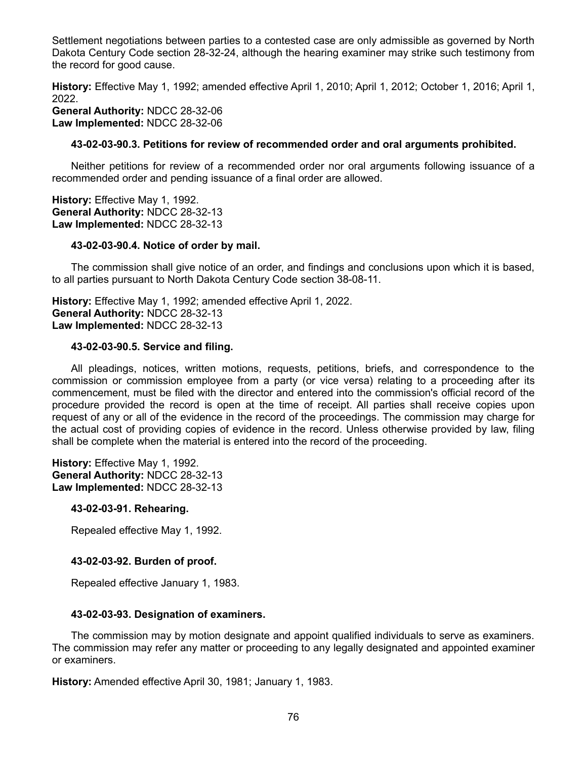Settlement negotiations between parties to a contested case are only admissible as governed by North Dakota Century Code section 28-32-24, although the hearing examiner may strike such testimony from the record for good cause.

**History:** Effective May 1, 1992; amended effective April 1, 2010; April 1, 2012; October 1, 2016; April 1, 2022. **General Authority:** NDCC 28-32-06

**Law Implemented:** NDCC 28-32-06

## **43-02-03-90.3. Petitions for review of recommended order and oral arguments prohibited.**

Neither petitions for review of a recommended order nor oral arguments following issuance of a recommended order and pending issuance of a final order are allowed.

**History:** Effective May 1, 1992. **General Authority:** NDCC 28-32-13 **Law Implemented:** NDCC 28-32-13

#### **43-02-03-90.4. Notice of order by mail.**

The commission shall give notice of an order, and findings and conclusions upon which it is based, to all parties pursuant to North Dakota Century Code section 38-08-11.

**History:** Effective May 1, 1992; amended effective April 1, 2022. **General Authority:** NDCC 28-32-13 **Law Implemented:** NDCC 28-32-13

#### **43-02-03-90.5. Service and filing.**

All pleadings, notices, written motions, requests, petitions, briefs, and correspondence to the commission or commission employee from a party (or vice versa) relating to a proceeding after its commencement, must be filed with the director and entered into the commission's official record of the procedure provided the record is open at the time of receipt. All parties shall receive copies upon request of any or all of the evidence in the record of the proceedings. The commission may charge for the actual cost of providing copies of evidence in the record. Unless otherwise provided by law, filing shall be complete when the material is entered into the record of the proceeding.

**History:** Effective May 1, 1992. **General Authority:** NDCC 28-32-13 **Law Implemented:** NDCC 28-32-13

## **43-02-03-91. Rehearing.**

Repealed effective May 1, 1992.

## **43-02-03-92. Burden of proof.**

Repealed effective January 1, 1983.

## **43-02-03-93. Designation of examiners.**

The commission may by motion designate and appoint qualified individuals to serve as examiners. The commission may refer any matter or proceeding to any legally designated and appointed examiner or examiners.

**History:** Amended effective April 30, 1981; January 1, 1983.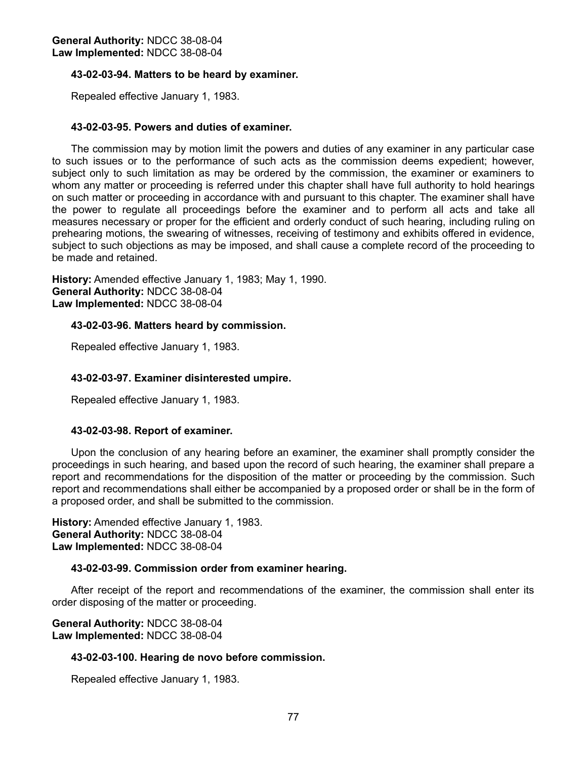## **43-02-03-94. Matters to be heard by examiner.**

Repealed effective January 1, 1983.

#### **43-02-03-95. Powers and duties of examiner.**

The commission may by motion limit the powers and duties of any examiner in any particular case to such issues or to the performance of such acts as the commission deems expedient; however, subject only to such limitation as may be ordered by the commission, the examiner or examiners to whom any matter or proceeding is referred under this chapter shall have full authority to hold hearings on such matter or proceeding in accordance with and pursuant to this chapter. The examiner shall have the power to regulate all proceedings before the examiner and to perform all acts and take all measures necessary or proper for the efficient and orderly conduct of such hearing, including ruling on prehearing motions, the swearing of witnesses, receiving of testimony and exhibits offered in evidence, subject to such objections as may be imposed, and shall cause a complete record of the proceeding to be made and retained.

**History:** Amended effective January 1, 1983; May 1, 1990. **General Authority:** NDCC 38-08-04 **Law Implemented:** NDCC 38-08-04

#### **43-02-03-96. Matters heard by commission.**

Repealed effective January 1, 1983.

## **43-02-03-97. Examiner disinterested umpire.**

Repealed effective January 1, 1983.

## **43-02-03-98. Report of examiner.**

Upon the conclusion of any hearing before an examiner, the examiner shall promptly consider the proceedings in such hearing, and based upon the record of such hearing, the examiner shall prepare a report and recommendations for the disposition of the matter or proceeding by the commission. Such report and recommendations shall either be accompanied by a proposed order or shall be in the form of a proposed order, and shall be submitted to the commission.

**History:** Amended effective January 1, 1983. **General Authority:** NDCC 38-08-04 **Law Implemented:** NDCC 38-08-04

#### **43-02-03-99. Commission order from examiner hearing.**

After receipt of the report and recommendations of the examiner, the commission shall enter its order disposing of the matter or proceeding.

**General Authority:** NDCC 38-08-04 **Law Implemented:** NDCC 38-08-04

## **43-02-03-100. Hearing de novo before commission.**

Repealed effective January 1, 1983.